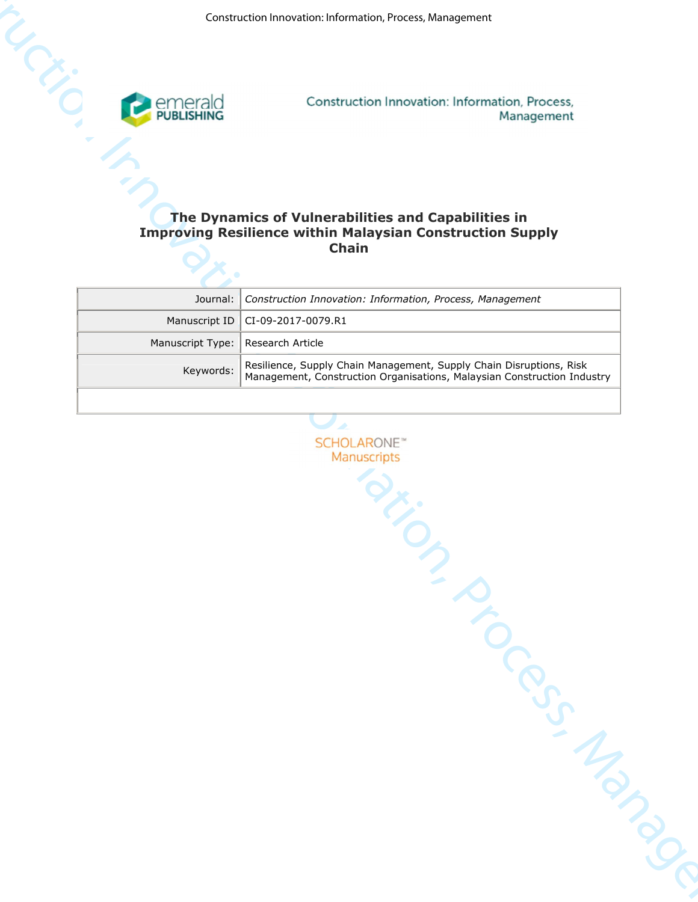

# **The Dynamics of Vulnerabilities and Capabilities in Improving Resilience within Malaysian Construction Supply Chain**

|                  | The Dynamics of Vulnerabilities and Capabilities in<br><b>Improving Resilience within Malaysian Construction Supply</b><br><b>Chain</b>        |
|------------------|------------------------------------------------------------------------------------------------------------------------------------------------|
| Journal:         | Construction Innovation: Information, Process, Management                                                                                      |
| Manuscript ID    | CI-09-2017-0079.R1                                                                                                                             |
| Manuscript Type: | Research Article                                                                                                                               |
| Keywords:        | Resilience, Supply Chain Management, Supply Chain Disruptions, Risk<br>Management, Construction Organisations, Malaysian Construction Industry |
|                  |                                                                                                                                                |
|                  |                                                                                                                                                |
|                  | <b>SCHOLARONE<sup>™</sup></b><br>Manuscripts                                                                                                   |
|                  |                                                                                                                                                |
|                  |                                                                                                                                                |
|                  |                                                                                                                                                |
|                  |                                                                                                                                                |
|                  |                                                                                                                                                |
|                  |                                                                                                                                                |
|                  |                                                                                                                                                |
|                  |                                                                                                                                                |
|                  |                                                                                                                                                |
|                  |                                                                                                                                                |
|                  |                                                                                                                                                |
|                  |                                                                                                                                                |
|                  | Municipal Manager                                                                                                                              |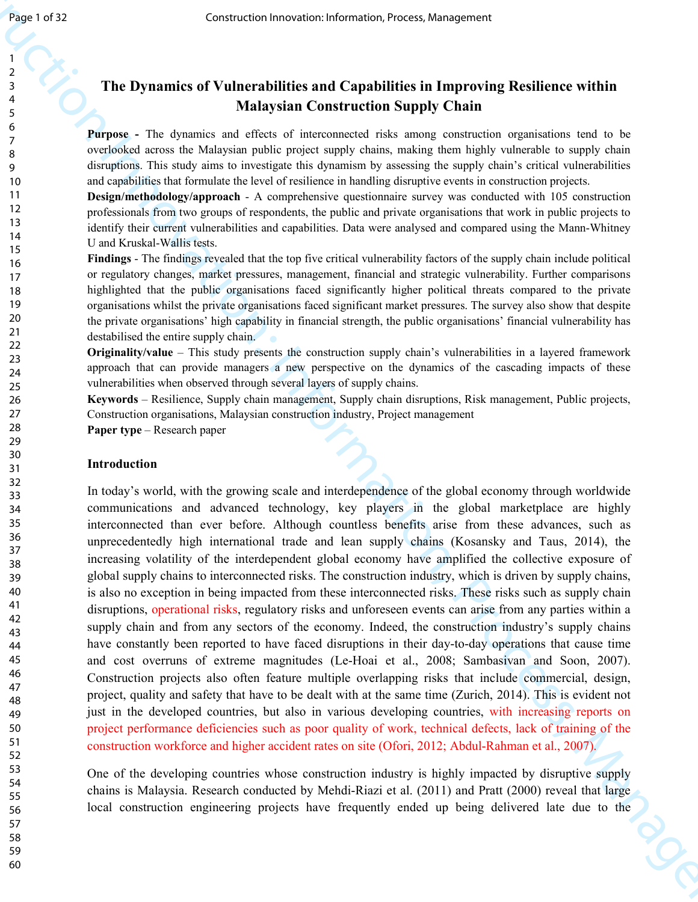# **The Dynamics of Vulnerabilities and Capabilities in Improving Resilience within Malaysian Construction Supply Chain**

**Purpose -** The dynamics and effects of interconnected risks among construction organisations tend to be overlooked across the Malaysian public project supply chains, making them highly vulnerable to supply chain disruptions. This study aims to investigate this dynamism by assessing the supply chain's critical vulnerabilities and capabilities that formulate the level of resilience in handling disruptive events in construction projects.

**Design/methodology/approach** - A comprehensive questionnaire survey was conducted with 105 construction professionals from two groups of respondents, the public and private organisations that work in public projects to identify their current vulnerabilities and capabilities. Data were analysed and compared using the Mann-Whitney U and Kruskal-Wallis tests.

**Findings** - The findings revealed that the top five critical vulnerability factors of the supply chain include political or regulatory changes, market pressures, management, financial and strategic vulnerability. Further comparisons highlighted that the public organisations faced significantly higher political threats compared to the private organisations whilst the private organisations faced significant market pressures. The survey also show that despite the private organisations' high capability in financial strength, the public organisations' financial vulnerability has destabilised the entire supply chain.

**Originality/value** – This study presents the construction supply chain's vulnerabilities in a layered framework approach that can provide managers a new perspective on the dynamics of the cascading impacts of these vulnerabilities when observed through several layers of supply chains.

**Keywords** – Resilience, Supply chain management, Supply chain disruptions, Risk management, Public projects, Construction organisations, Malaysian construction industry, Project management

**Paper type** – Research paper

#### **Introduction**

Construction Innovation (resonance internation From the Apple Construction Innovation Internation Innovation Innovation Innovation Innovation Innovation Innovation Innovation Innovation Innovation Innovation Innovation In In today's world, with the growing scale and interdependence of the global economy through worldwide communications and advanced technology, key players in the global marketplace are highly interconnected than ever before. Although countless benefits arise from these advances, such as unprecedentedly high international trade and lean supply chains (Kosansky and Taus, 2014), the increasing volatility of the interdependent global economy have amplified the collective exposure of global supply chains to interconnected risks. The construction industry, which is driven by supply chains, is also no exception in being impacted from these interconnected risks. These risks such as supply chain disruptions, operational risks, regulatory risks and unforeseen events can arise from any parties within a supply chain and from any sectors of the economy. Indeed, the construction industry's supply chains have constantly been reported to have faced disruptions in their day-to-day operations that cause time and cost overruns of extreme magnitudes (Le-Hoai et al., 2008; Sambasivan and Soon, 2007). Construction projects also often feature multiple overlapping risks that include commercial, design, project, quality and safety that have to be dealt with at the same time (Zurich, 2014). This is evident not just in the developed countries, but also in various developing countries, with increasing reports on project performance deficiencies such as poor quality of work, technical defects, lack of training of the construction workforce and higher accident rates on site (Ofori, 2012; Abdul-Rahman et al., 2007).

One of the developing countries whose construction industry is highly impacted by disruptive supply chains is Malaysia. Research conducted by Mehdi-Riazi et al. (2011) and Pratt (2000) reveal that large local construction engineering projects have frequently ended up being delivered late due to the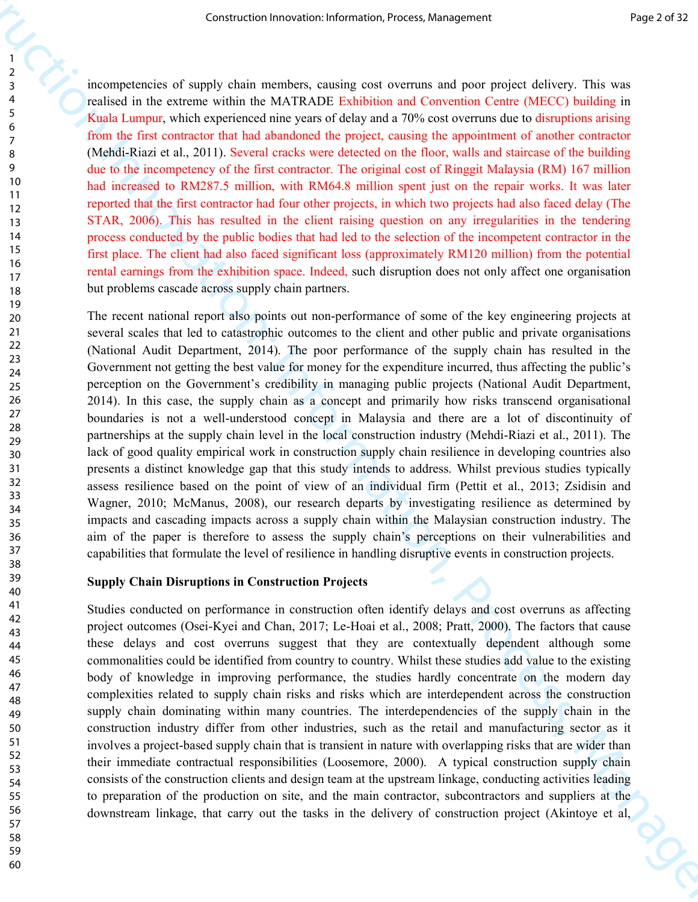incompetencies of supply chain members, causing cost overruns and poor project delivery. This was realised in the extreme within the MATRADE Exhibition and Convention Centre (MECC) building in Kuala Lumpur, which experienced nine years of delay and a 70% cost overruns due to disruptions arising from the first contractor that had abandoned the project, causing the appointment of another contractor (Mehdi-Riazi et al., 2011). Several cracks were detected on the floor, walls and staircase of the building due to the incompetency of the first contractor. The original cost of Ringgit Malaysia (RM) 167 million had increased to RM287.5 million, with RM64.8 million spent just on the repair works. It was later reported that the first contractor had four other projects, in which two projects had also faced delay (The STAR, 2006). This has resulted in the client raising question on any irregularities in the tendering process conducted by the public bodies that had led to the selection of the incompetent contractor in the first place. The client had also faced significant loss (approximately RM120 million) from the potential rental earnings from the exhibition space. Indeed, such disruption does not only affect one organisation but problems cascade across supply chain partners.

Construction Irrestrian Irrestrian Irrestrian Irrestrian Irrestrian Irrestrian Irrestrian Irrestrian Irrestrian Irrestrian Irrestrian Irrestrian Irrestrian Irrestrian Irrestrian Irrestrian Irrestrian Irrestrian Irrestrian The recent national report also points out non-performance of some of the key engineering projects at several scales that led to catastrophic outcomes to the client and other public and private organisations (National Audit Department, 2014). The poor performance of the supply chain has resulted in the Government not getting the best value for money for the expenditure incurred, thus affecting the public's perception on the Government's credibility in managing public projects (National Audit Department, 2014). In this case, the supply chain as a concept and primarily how risks transcend organisational boundaries is not a well-understood concept in Malaysia and there are a lot of discontinuity of partnerships at the supply chain level in the local construction industry (Mehdi-Riazi et al., 2011). The lack of good quality empirical work in construction supply chain resilience in developing countries also presents a distinct knowledge gap that this study intends to address. Whilst previous studies typically assess resilience based on the point of view of an individual firm (Pettit et al., 2013; Zsidisin and Wagner, 2010; McManus, 2008), our research departs by investigating resilience as determined by impacts and cascading impacts across a supply chain within the Malaysian construction industry. The aim of the paper is therefore to assess the supply chain's perceptions on their vulnerabilities and capabilities that formulate the level of resilience in handling disruptive events in construction projects.

#### **Supply Chain Disruptions in Construction Projects**

Studies conducted on performance in construction often identify delays and cost overruns as affecting project outcomes (Osei-Kyei and Chan, 2017; Le-Hoai et al., 2008; Pratt, 2000). The factors that cause these delays and cost overruns suggest that they are contextually dependent although some commonalities could be identified from country to country. Whilst these studies add value to the existing body of knowledge in improving performance, the studies hardly concentrate on the modern day complexities related to supply chain risks and risks which are interdependent across the construction supply chain dominating within many countries. The interdependencies of the supply chain in the construction industry differ from other industries, such as the retail and manufacturing sector as it involves a project-based supply chain that is transient in nature with overlapping risks that are wider than their immediate contractual responsibilities (Loosemore, 2000). A typical construction supply chain consists of the construction clients and design team at the upstream linkage, conducting activities leading to preparation of the production on site, and the main contractor, subcontractors and suppliers at the downstream linkage, that carry out the tasks in the delivery of construction project (Akintoye et al,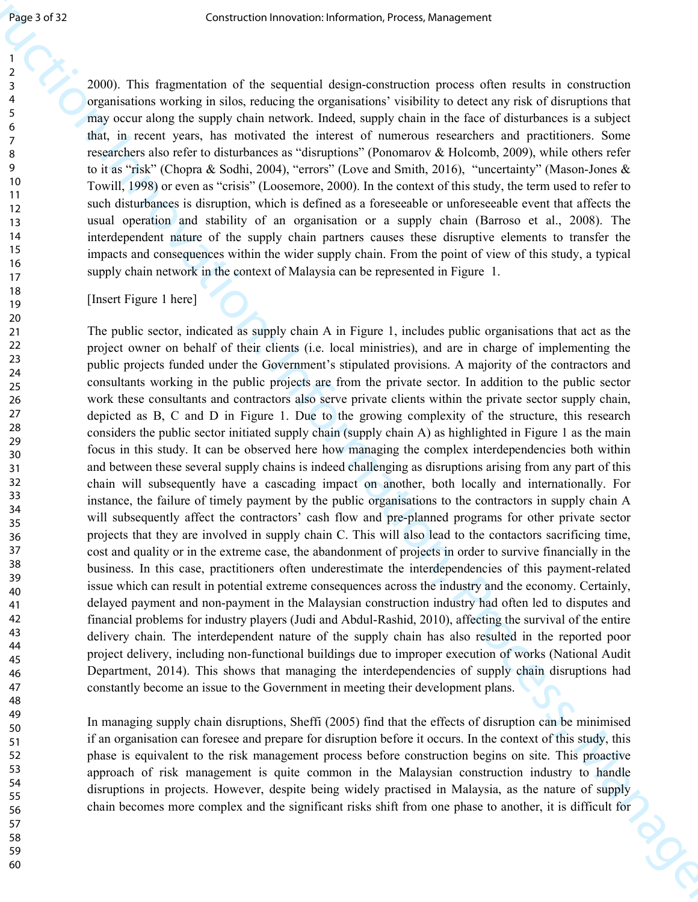2000). This fragmentation of the sequential design-construction process often results in construction organisations working in silos, reducing the organisations' visibility to detect any risk of disruptions that may occur along the supply chain network. Indeed, supply chain in the face of disturbances is a subject that, in recent years, has motivated the interest of numerous researchers and practitioners. Some researchers also refer to disturbances as "disruptions" (Ponomarov & Holcomb, 2009), while others refer to it as "risk" (Chopra & Sodhi, 2004), "errors" (Love and Smith, 2016), "uncertainty" (Mason-Jones & Towill, 1998) or even as "crisis" (Loosemore, 2000). In the context of this study, the term used to refer to such disturbances is disruption, which is defined as a foreseeable or unforeseeable event that affects the usual operation and stability of an organisation or a supply chain (Barroso et al., 2008). The interdependent nature of the supply chain partners causes these disruptive elements to transfer the impacts and consequences within the wider supply chain. From the point of view of this study, a typical supply chain network in the context of Malaysia can be represented in Figure 1.

[Insert Figure 1 here]

**Example 1982**<br> **Construction** The sequence of the sequence of the sequence of the sequence of the construction<br> **Construction**: The sequence of the sequence of the sequence of the sequence of the sequence of the sequence The public sector, indicated as supply chain A in Figure 1, includes public organisations that act as the project owner on behalf of their clients (i.e. local ministries), and are in charge of implementing the public projects funded under the Government's stipulated provisions. A majority of the contractors and consultants working in the public projects are from the private sector. In addition to the public sector work these consultants and contractors also serve private clients within the private sector supply chain, depicted as B, C and D in Figure 1. Due to the growing complexity of the structure, this research considers the public sector initiated supply chain (supply chain A) as highlighted in Figure 1 as the main focus in this study. It can be observed here how managing the complex interdependencies both within and between these several supply chains is indeed challenging as disruptions arising from any part of this chain will subsequently have a cascading impact on another, both locally and internationally. For instance, the failure of timely payment by the public organisations to the contractors in supply chain A will subsequently affect the contractors' cash flow and pre-planned programs for other private sector projects that they are involved in supply chain C. This will also lead to the contactors sacrificing time, cost and quality or in the extreme case, the abandonment of projects in order to survive financially in the business. In this case, practitioners often underestimate the interdependencies of this payment-related issue which can result in potential extreme consequences across the industry and the economy. Certainly, delayed payment and non-payment in the Malaysian construction industry had often led to disputes and financial problems for industry players (Judi and Abdul-Rashid, 2010), affecting the survival of the entire delivery chain. The interdependent nature of the supply chain has also resulted in the reported poor project delivery, including non-functional buildings due to improper execution of works (National Audit Department, 2014). This shows that managing the interdependencies of supply chain disruptions had constantly become an issue to the Government in meeting their development plans.

In managing supply chain disruptions, Sheffi (2005) find that the effects of disruption can be minimised if an organisation can foresee and prepare for disruption before it occurs. In the context of this study, this phase is equivalent to the risk management process before construction begins on site. This proactive approach of risk management is quite common in the Malaysian construction industry to handle disruptions in projects. However, despite being widely practised in Malaysia, as the nature of supply chain becomes more complex and the significant risks shift from one phase to another, it is difficult for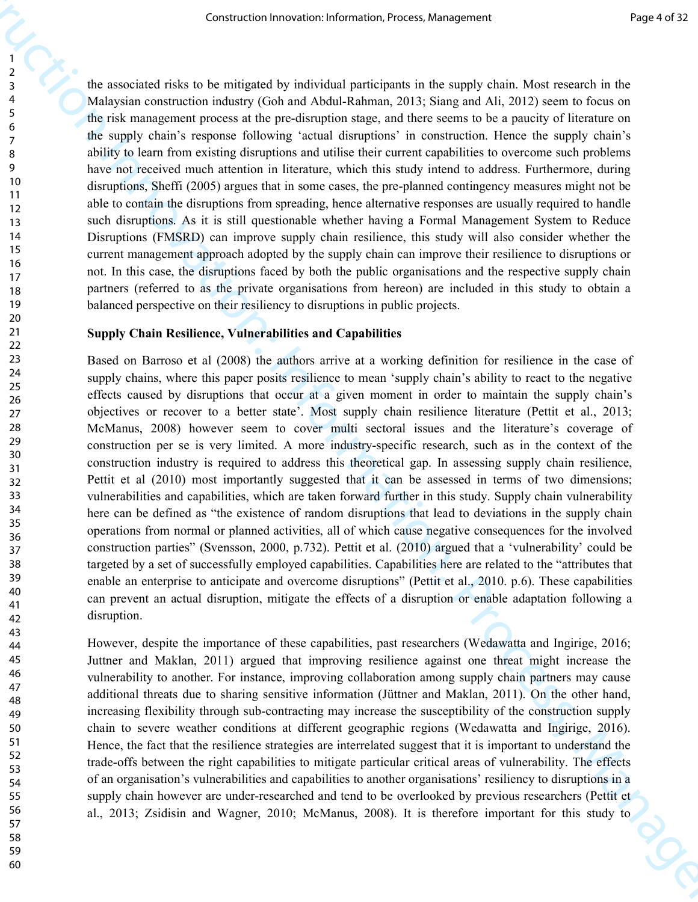the associated risks to be mitigated by individual participants in the supply chain. Most research in the Malaysian construction industry (Goh and Abdul-Rahman, 2013; Siang and Ali, 2012) seem to focus on the risk management process at the pre-disruption stage, and there seems to be a paucity of literature on the supply chain's response following 'actual disruptions' in construction. Hence the supply chain's ability to learn from existing disruptions and utilise their current capabilities to overcome such problems have not received much attention in literature, which this study intend to address. Furthermore, during disruptions, Sheffi (2005) argues that in some cases, the pre-planned contingency measures might not be able to contain the disruptions from spreading, hence alternative responses are usually required to handle such disruptions. As it is still questionable whether having a Formal Management System to Reduce Disruptions (FMSRD) can improve supply chain resilience, this study will also consider whether the current management approach adopted by the supply chain can improve their resilience to disruptions or not. In this case, the disruptions faced by both the public organisations and the respective supply chain partners (referred to as the private organisations from hereon) are included in this study to obtain a balanced perspective on their resiliency to disruptions in public projects.

#### **Supply Chain Resilience, Vulnerabilities and Capabilities**

Construction Irrespublic in the mass of the mass of the mass of the mass of the mass of the mass of the mass of the mass of the mass of the mass of the mass of the mass of the mass of the mass of the mass of the mass of t Based on Barroso et al (2008) the authors arrive at a working definition for resilience in the case of supply chains, where this paper posits resilience to mean 'supply chain's ability to react to the negative effects caused by disruptions that occur at a given moment in order to maintain the supply chain's objectives or recover to a better state'. Most supply chain resilience literature (Pettit et al., 2013; McManus, 2008) however seem to cover multi sectoral issues and the literature's coverage of construction per se is very limited. A more industry-specific research, such as in the context of the construction industry is required to address this theoretical gap. In assessing supply chain resilience, Pettit et al (2010) most importantly suggested that it can be assessed in terms of two dimensions; vulnerabilities and capabilities, which are taken forward further in this study. Supply chain vulnerability here can be defined as "the existence of random disruptions that lead to deviations in the supply chain operations from normal or planned activities, all of which cause negative consequences for the involved construction parties" (Svensson, 2000, p.732). Pettit et al. (2010) argued that a 'vulnerability' could be targeted by a set of successfully employed capabilities. Capabilities here are related to the "attributes that enable an enterprise to anticipate and overcome disruptions" (Pettit et al., 2010. p.6). These capabilities can prevent an actual disruption, mitigate the effects of a disruption or enable adaptation following a disruption.

However, despite the importance of these capabilities, past researchers (Wedawatta and Ingirige, 2016; Juttner and Maklan, 2011) argued that improving resilience against one threat might increase the vulnerability to another. For instance, improving collaboration among supply chain partners may cause additional threats due to sharing sensitive information (Jüttner and Maklan, 2011). On the other hand, increasing flexibility through sub-contracting may increase the susceptibility of the construction supply chain to severe weather conditions at different geographic regions (Wedawatta and Ingirige, 2016). Hence, the fact that the resilience strategies are interrelated suggest that it is important to understand the trade-offs between the right capabilities to mitigate particular critical areas of vulnerability. The effects of an organisation's vulnerabilities and capabilities to another organisations' resiliency to disruptions in a supply chain however are under-researched and tend to be overlooked by previous researchers (Pettit et al., 2013; Zsidisin and Wagner, 2010; McManus, 2008). It is therefore important for this study to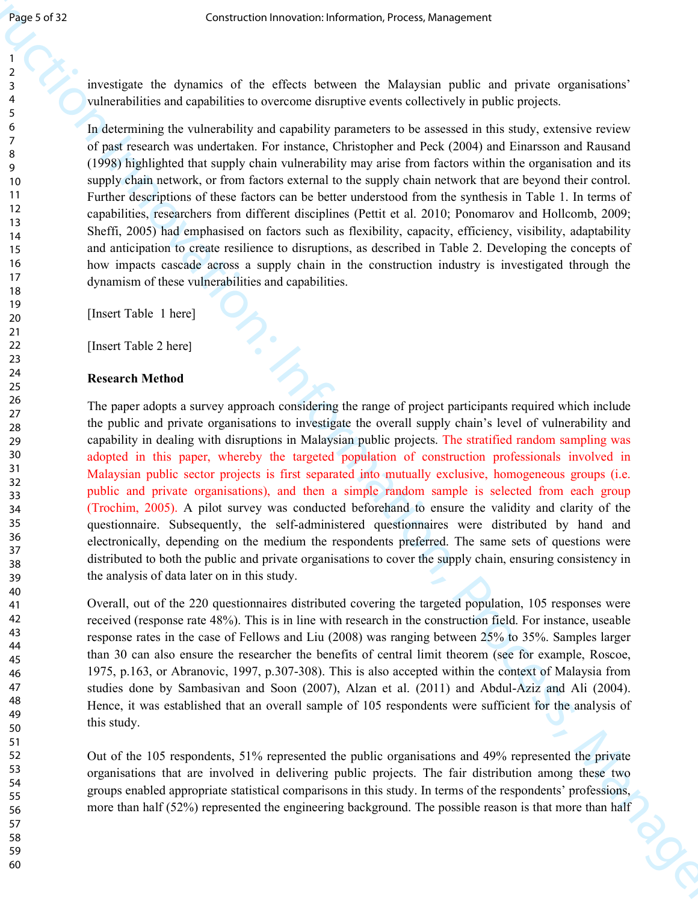60

investigate the dynamics of the effects between the Malaysian public and private organisations' vulnerabilities and capabilities to overcome disruptive events collectively in public projects.

In determining the vulnerability and capability parameters to be assessed in this study, extensive review of past research was undertaken. For instance, Christopher and Peck (2004) and Einarsson and Rausand (1998) highlighted that supply chain vulnerability may arise from factors within the organisation and its supply chain network, or from factors external to the supply chain network that are beyond their control. Further descriptions of these factors can be better understood from the synthesis in Table 1. In terms of capabilities, researchers from different disciplines (Pettit et al. 2010; Ponomarov and Hollcomb, 2009; Sheffi, 2005) had emphasised on factors such as flexibility, capacity, efficiency, visibility, adaptability and anticipation to create resilience to disruptions, as described in Table 2. Developing the concepts of how impacts cascade across a supply chain in the construction industry is investigated through the dynamism of these vulnerabilities and capabilities.

[Insert Table 1 here]

[Insert Table 2 here]

#### **Research Method**

Sensor 2012<br>
Sensor 2012<br>
Interviete the dynamics of the effects there are the Multipline public and public and public and<br>
The dynamics of the dynamics of the effects term of the multipline public and<br>  $\tau$  is the dynami The paper adopts a survey approach considering the range of project participants required which include the public and private organisations to investigate the overall supply chain's level of vulnerability and capability in dealing with disruptions in Malaysian public projects. The stratified random sampling was adopted in this paper, whereby the targeted population of construction professionals involved in Malaysian public sector projects is first separated into mutually exclusive, homogeneous groups (i.e. public and private organisations), and then a simple random sample is selected from each group (Trochim, 2005). A pilot survey was conducted beforehand to ensure the validity and clarity of the questionnaire. Subsequently, the self-administered questionnaires were distributed by hand and electronically, depending on the medium the respondents preferred. The same sets of questions were distributed to both the public and private organisations to cover the supply chain, ensuring consistency in the analysis of data later on in this study.

Overall, out of the 220 questionnaires distributed covering the targeted population, 105 responses were received (response rate 48%). This is in line with research in the construction field. For instance, useable response rates in the case of Fellows and Liu (2008) was ranging between 25% to 35%. Samples larger than 30 can also ensure the researcher the benefits of central limit theorem (see for example, Roscoe, 1975, p.163, or Abranovic, 1997, p.307-308). This is also accepted within the context of Malaysia from studies done by Sambasivan and Soon (2007), Alzan et al. (2011) and Abdul-Aziz and Ali (2004). Hence, it was established that an overall sample of 105 respondents were sufficient for the analysis of this study.

Out of the 105 respondents, 51% represented the public organisations and 49% represented the private organisations that are involved in delivering public projects. The fair distribution among these two groups enabled appropriate statistical comparisons in this study. In terms of the respondents' professions, more than half (52%) represented the engineering background. The possible reason is that more than half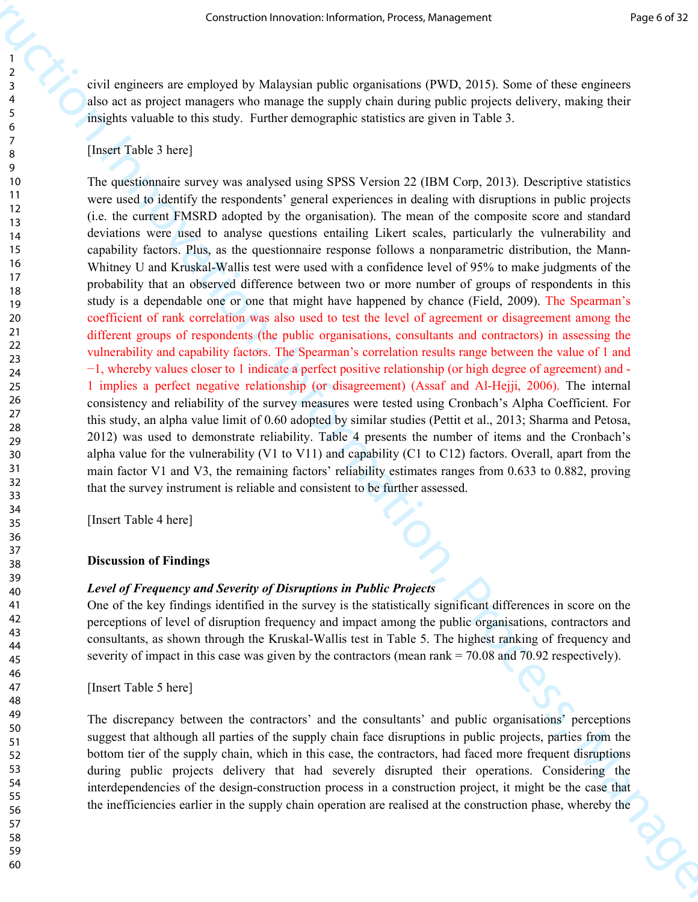civil engineers are employed by Malaysian public organisations (PWD, 2015). Some of these engineers also act as project managers who manage the supply chain during public projects delivery, making their insights valuable to this study. Further demographic statistics are given in Table 3.

### [Insert Table 3 here]

Construction Irrespondent Irrespondent Irrespondent Irrespondent Irrespondent Irrespondent Irrespondent Irrespondent Irrespondent Innovation Innovation Innovation Innovation Innovation Innovation Innovation Innovation Inn The questionnaire survey was analysed using SPSS Version 22 (IBM Corp, 2013). Descriptive statistics were used to identify the respondents' general experiences in dealing with disruptions in public projects (i.e. the current FMSRD adopted by the organisation). The mean of the composite score and standard deviations were used to analyse questions entailing Likert scales, particularly the vulnerability and capability factors. Plus, as the questionnaire response follows a nonparametric distribution, the Mann-Whitney U and Kruskal-Wallis test were used with a confidence level of 95% to make judgments of the probability that an observed difference between two or more number of groups of respondents in this study is a dependable one or one that might have happened by chance (Field, 2009). The Spearman's coefficient of rank correlation was also used to test the level of agreement or disagreement among the different groups of respondents (the public organisations, consultants and contractors) in assessing the vulnerability and capability factors. The Spearman's correlation results range between the value of 1 and −1, whereby values closer to 1 indicate a perfect positive relationship (or high degree of agreement) and - 1 implies a perfect negative relationship (or disagreement) (Assaf and Al-Hejji, 2006). The internal consistency and reliability of the survey measures were tested using Cronbach's Alpha Coefficient. For this study, an alpha value limit of 0.60 adopted by similar studies (Pettit et al., 2013; Sharma and Petosa, 2012) was used to demonstrate reliability. Table 4 presents the number of items and the Cronbach's alpha value for the vulnerability (V1 to V11) and capability (C1 to C12) factors. Overall, apart from the main factor V1 and V3, the remaining factors' reliability estimates ranges from 0.633 to 0.882, proving that the survey instrument is reliable and consistent to be further assessed.

[Insert Table 4 here]

#### **Discussion of Findings**

#### *Level of Frequency and Severity of Disruptions in Public Projects*

One of the key findings identified in the survey is the statistically significant differences in score on the perceptions of level of disruption frequency and impact among the public organisations, contractors and consultants, as shown through the Kruskal-Wallis test in Table 5. The highest ranking of frequency and severity of impact in this case was given by the contractors (mean rank = 70.08 and 70.92 respectively).

[Insert Table 5 here]

The discrepancy between the contractors' and the consultants' and public organisations' perceptions suggest that although all parties of the supply chain face disruptions in public projects, parties from the bottom tier of the supply chain, which in this case, the contractors, had faced more frequent disruptions during public projects delivery that had severely disrupted their operations. Considering the interdependencies of the design-construction process in a construction project, it might be the case that the inefficiencies earlier in the supply chain operation are realised at the construction phase, whereby the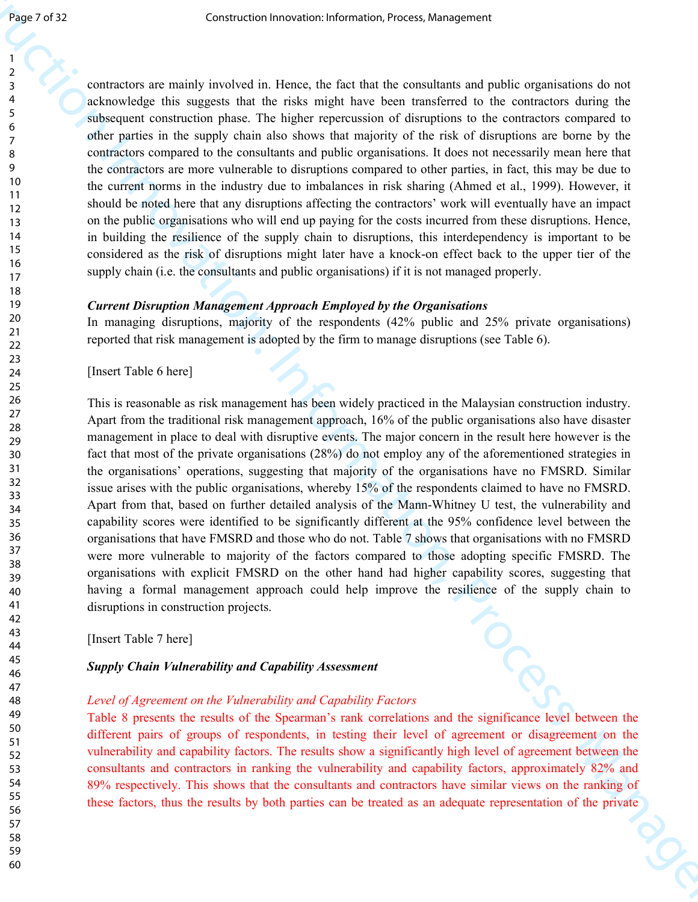contractors are mainly involved in. Hence, the fact that the consultants and public organisations do not acknowledge this suggests that the risks might have been transferred to the contractors during the subsequent construction phase. The higher repercussion of disruptions to the contractors compared to other parties in the supply chain also shows that majority of the risk of disruptions are borne by the contractors compared to the consultants and public organisations. It does not necessarily mean here that the contractors are more vulnerable to disruptions compared to other parties, in fact, this may be due to the current norms in the industry due to imbalances in risk sharing (Ahmed et al., 1999). However, it should be noted here that any disruptions affecting the contractors' work will eventually have an impact on the public organisations who will end up paying for the costs incurred from these disruptions. Hence, in building the resilience of the supply chain to disruptions, this interdependency is important to be considered as the risk of disruptions might later have a knock-on effect back to the upper tier of the supply chain (i.e. the consultants and public organisations) if it is not managed properly.

### *Current Disruption Management Approach Employed by the Organisations*

In managing disruptions, majority of the respondents (42% public and 25% private organisations) reported that risk management is adopted by the firm to manage disruptions (see Table 6).

[Insert Table 6 here]

Constraint free other into the two spaces constraints in the constraint of priori (i.e. the construction is a big construction of the extent of the extent in the construction in the extent of the extent of the extent in t This is reasonable as risk management has been widely practiced in the Malaysian construction industry. Apart from the traditional risk management approach, 16% of the public organisations also have disaster management in place to deal with disruptive events. The major concern in the result here however is the fact that most of the private organisations (28%) do not employ any of the aforementioned strategies in the organisations' operations, suggesting that majority of the organisations have no FMSRD. Similar issue arises with the public organisations, whereby 15% of the respondents claimed to have no FMSRD. Apart from that, based on further detailed analysis of the Mann-Whitney U test, the vulnerability and capability scores were identified to be significantly different at the 95% confidence level between the organisations that have FMSRD and those who do not. Table 7 shows that organisations with no FMSRD were more vulnerable to majority of the factors compared to those adopting specific FMSRD. The organisations with explicit FMSRD on the other hand had higher capability scores, suggesting that having a formal management approach could help improve the resilience of the supply chain to disruptions in construction projects.

[Insert Table 7 here]

#### *Supply Chain Vulnerability and Capability Assessment*

#### *Level of Agreement on the Vulnerability and Capability Factors*

Table 8 presents the results of the Spearman's rank correlations and the significance level between the different pairs of groups of respondents, in testing their level of agreement or disagreement on the vulnerability and capability factors. The results show a significantly high level of agreement between the consultants and contractors in ranking the vulnerability and capability factors, approximately 82% and 89% respectively. This shows that the consultants and contractors have similar views on the ranking of these factors, thus the results by both parties can be treated as an adequate representation of the private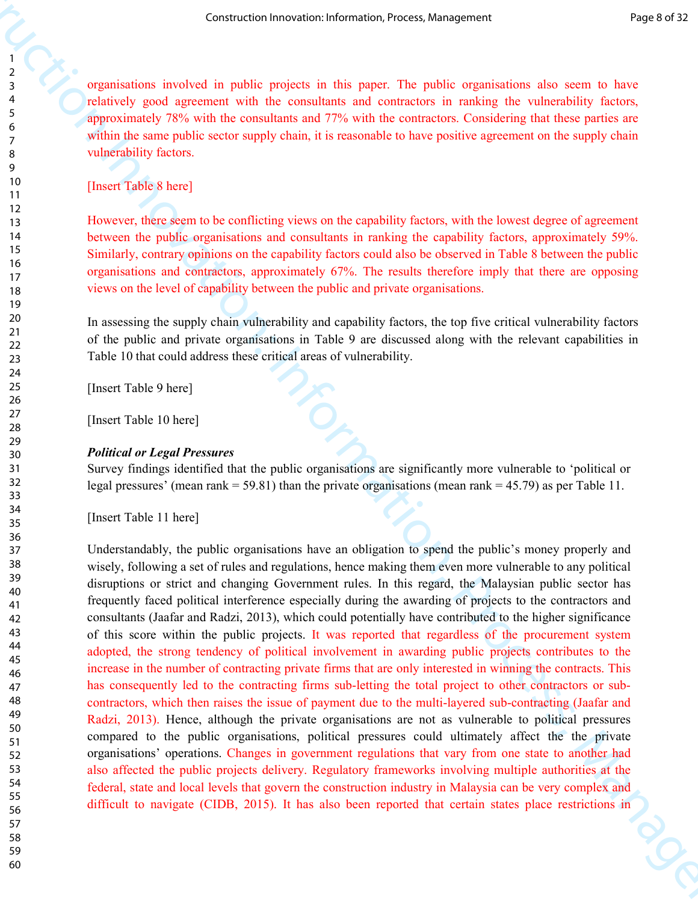organisations involved in public projects in this paper. The public organisations also seem to have relatively good agreement with the consultants and contractors in ranking the vulnerability factors, approximately 78% with the consultants and 77% with the contractors. Considering that these parties are within the same public sector supply chain, it is reasonable to have positive agreement on the supply chain vulnerability factors.

[Insert Table 8 here]

However, there seem to be conflicting views on the capability factors, with the lowest degree of agreement between the public organisations and consultants in ranking the capability factors, approximately 59%. Similarly, contrary opinions on the capability factors could also be observed in Table 8 between the public organisations and contractors, approximately 67%. The results therefore imply that there are opposing views on the level of capability between the public and private organisations.

In assessing the supply chain vulnerability and capability factors, the top five critical vulnerability factors of the public and private organisations in Table 9 are discussed along with the relevant capabilities in Table 10 that could address these critical areas of vulnerability.

[Insert Table 9 here]

[Insert Table 10 here]

#### *Political or Legal Pressures*

Survey findings identified that the public organisations are significantly more vulnerable to 'political or legal pressures' (mean rank  $= 59.81$ ) than the private organisations (mean rank  $= 45.79$ ) as per Table 11.

[Insert Table 11 here]

Constraints frequency in the system of the system of the system of the system of the system of the system of the system of the construction in the system of the system of the system of the system of the system of the syst Understandably, the public organisations have an obligation to spend the public's money properly and wisely, following a set of rules and regulations, hence making them even more vulnerable to any political disruptions or strict and changing Government rules. In this regard, the Malaysian public sector has frequently faced political interference especially during the awarding of projects to the contractors and consultants (Jaafar and Radzi, 2013), which could potentially have contributed to the higher significance of this score within the public projects. It was reported that regardless of the procurement system adopted, the strong tendency of political involvement in awarding public projects contributes to the increase in the number of contracting private firms that are only interested in winning the contracts. This has consequently led to the contracting firms sub-letting the total project to other contractors or subcontractors, which then raises the issue of payment due to the multi-layered sub-contracting (Jaafar and Radzi, 2013). Hence, although the private organisations are not as vulnerable to political pressures compared to the public organisations, political pressures could ultimately affect the the private organisations' operations. Changes in government regulations that vary from one state to another had also affected the public projects delivery. Regulatory frameworks involving multiple authorities at the federal, state and local levels that govern the construction industry in Malaysia can be very complex and difficult to navigate (CIDB, 2015). It has also been reported that certain states place restrictions in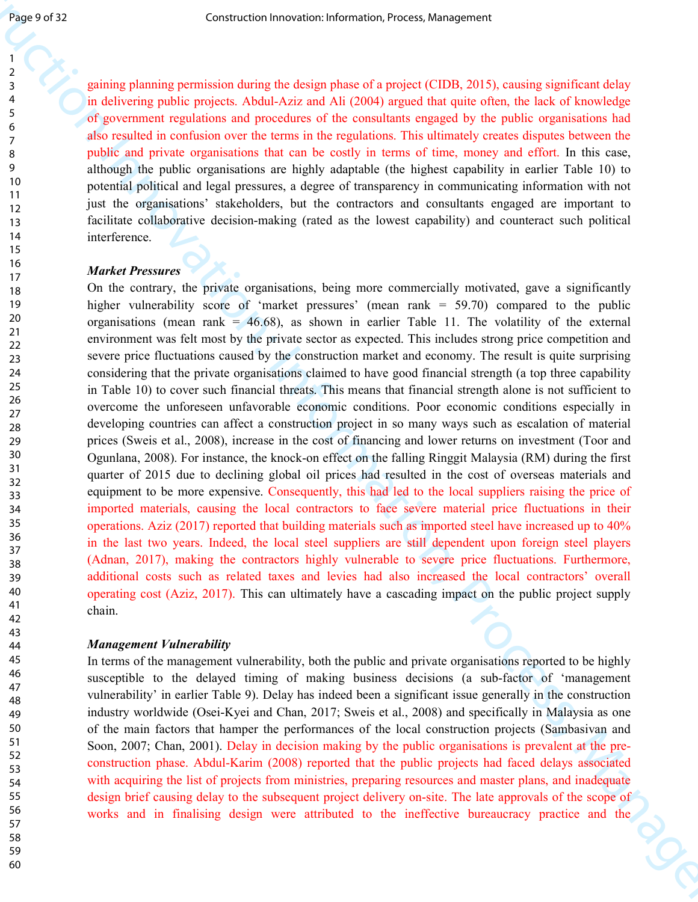gaining planning permission during the design phase of a project (CIDB, 2015), causing significant delay in delivering public projects. Abdul-Aziz and Ali (2004) argued that quite often, the lack of knowledge of government regulations and procedures of the consultants engaged by the public organisations had also resulted in confusion over the terms in the regulations. This ultimately creates disputes between the public and private organisations that can be costly in terms of time, money and effort. In this case, although the public organisations are highly adaptable (the highest capability in earlier Table 10) to potential political and legal pressures, a degree of transparency in communicating information with not just the organisations' stakeholders, but the contractors and consultants engaged are important to facilitate collaborative decision-making (rated as the lowest capability) and counteract such political interference.

#### *Market Pressures*

Sensor 2013<br>
2. Construction Internaction Internaction Internaction Internaction Internaction Internaction Internaction Internaction Internaction Internaction Internaction Internaction Internaction Internaction Internacti On the contrary, the private organisations, being more commercially motivated, gave a significantly higher vulnerability score of 'market pressures' (mean rank = 59.70) compared to the public organisations (mean rank  $= 46.68$ ), as shown in earlier Table 11. The volatility of the external environment was felt most by the private sector as expected. This includes strong price competition and severe price fluctuations caused by the construction market and economy. The result is quite surprising considering that the private organisations claimed to have good financial strength (a top three capability in Table 10) to cover such financial threats. This means that financial strength alone is not sufficient to overcome the unforeseen unfavorable economic conditions. Poor economic conditions especially in developing countries can affect a construction project in so many ways such as escalation of material prices (Sweis et al., 2008), increase in the cost of financing and lower returns on investment (Toor and Ogunlana, 2008). For instance, the knock-on effect on the falling Ringgit Malaysia (RM) during the first quarter of 2015 due to declining global oil prices had resulted in the cost of overseas materials and equipment to be more expensive. Consequently, this had led to the local suppliers raising the price of imported materials, causing the local contractors to face severe material price fluctuations in their operations. Aziz (2017) reported that building materials such as imported steel have increased up to 40% in the last two years. Indeed, the local steel suppliers are still dependent upon foreign steel players (Adnan, 2017), making the contractors highly vulnerable to severe price fluctuations. Furthermore, additional costs such as related taxes and levies had also increased the local contractors' overall operating cost (Aziz, 2017). This can ultimately have a cascading impact on the public project supply chain.

#### *Management Vulnerability*

In terms of the management vulnerability, both the public and private organisations reported to be highly susceptible to the delayed timing of making business decisions (a sub-factor of 'management vulnerability' in earlier Table 9). Delay has indeed been a significant issue generally in the construction industry worldwide (Osei-Kyei and Chan, 2017; Sweis et al., 2008) and specifically in Malaysia as one of the main factors that hamper the performances of the local construction projects (Sambasivan and Soon, 2007; Chan, 2001). Delay in decision making by the public organisations is prevalent at the preconstruction phase. Abdul-Karim (2008) reported that the public projects had faced delays associated with acquiring the list of projects from ministries, preparing resources and master plans, and inadequate design brief causing delay to the subsequent project delivery on-site. The late approvals of the scope of works and in finalising design were attributed to the ineffective bureaucracy practice and the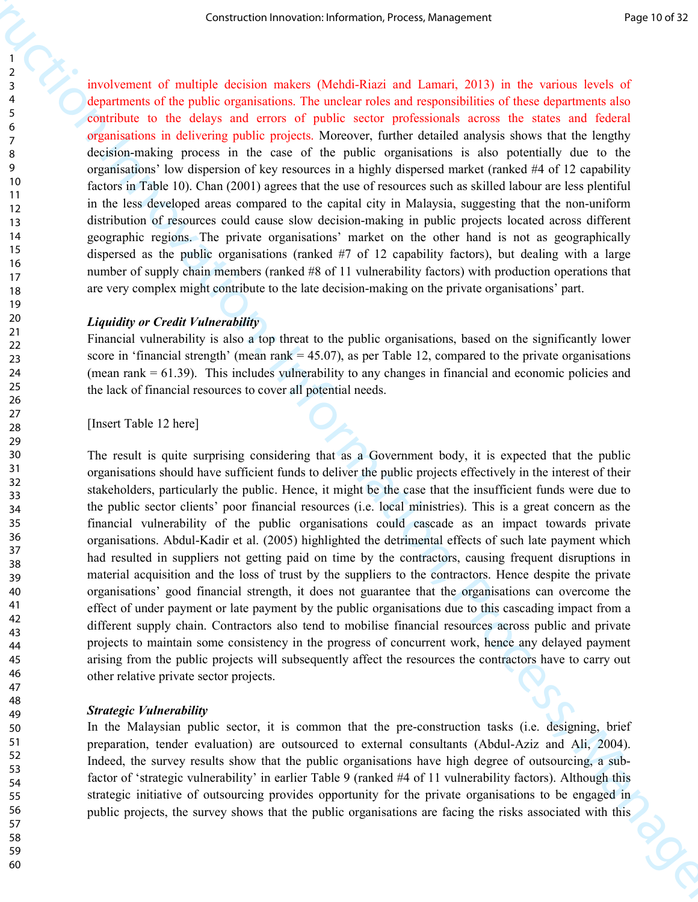involvement of multiple decision makers (Mehdi-Riazi and Lamari, 2013) in the various levels of departments of the public organisations. The unclear roles and responsibilities of these departments also contribute to the delays and errors of public sector professionals across the states and federal organisations in delivering public projects. Moreover, further detailed analysis shows that the lengthy decision-making process in the case of the public organisations is also potentially due to the organisations' low dispersion of key resources in a highly dispersed market (ranked #4 of 12 capability factors in Table 10). Chan (2001) agrees that the use of resources such as skilled labour are less plentiful in the less developed areas compared to the capital city in Malaysia, suggesting that the non-uniform distribution of resources could cause slow decision-making in public projects located across different geographic regions. The private organisations' market on the other hand is not as geographically dispersed as the public organisations (ranked #7 of 12 capability factors), but dealing with a large number of supply chain members (ranked #8 of 11 vulnerability factors) with production operations that are very complex might contribute to the late decision-making on the private organisations' part.

#### *Liquidity or Credit Vulnerability*

Financial vulnerability is also a top threat to the public organisations, based on the significantly lower score in 'financial strength' (mean rank  $=$  45.07), as per Table 12, compared to the private organisations (mean rank = 61.39). This includes vulnerability to any changes in financial and economic policies and the lack of financial resources to cover all potential needs.

[Insert Table 12 here]

Construction Irreports. The Construction Irreports are considered to the Construction II and the Construction II and the Construction II and the Construction II and the Construction II and the Construction II and the Cons The result is quite surprising considering that as a Government body, it is expected that the public organisations should have sufficient funds to deliver the public projects effectively in the interest of their stakeholders, particularly the public. Hence, it might be the case that the insufficient funds were due to the public sector clients' poor financial resources (i.e. local ministries). This is a great concern as the financial vulnerability of the public organisations could cascade as an impact towards private organisations. Abdul-Kadir et al. (2005) highlighted the detrimental effects of such late payment which had resulted in suppliers not getting paid on time by the contractors, causing frequent disruptions in material acquisition and the loss of trust by the suppliers to the contractors. Hence despite the private organisations' good financial strength, it does not guarantee that the organisations can overcome the effect of under payment or late payment by the public organisations due to this cascading impact from a different supply chain. Contractors also tend to mobilise financial resources across public and private projects to maintain some consistency in the progress of concurrent work, hence any delayed payment arising from the public projects will subsequently affect the resources the contractors have to carry out other relative private sector projects.

#### *Strategic Vulnerability*

In the Malaysian public sector, it is common that the pre-construction tasks (i.e. designing, brief preparation, tender evaluation) are outsourced to external consultants (Abdul-Aziz and Ali, 2004). Indeed, the survey results show that the public organisations have high degree of outsourcing, a subfactor of 'strategic vulnerability' in earlier Table 9 (ranked #4 of 11 vulnerability factors). Although this strategic initiative of outsourcing provides opportunity for the private organisations to be engaged in public projects, the survey shows that the public organisations are facing the risks associated with this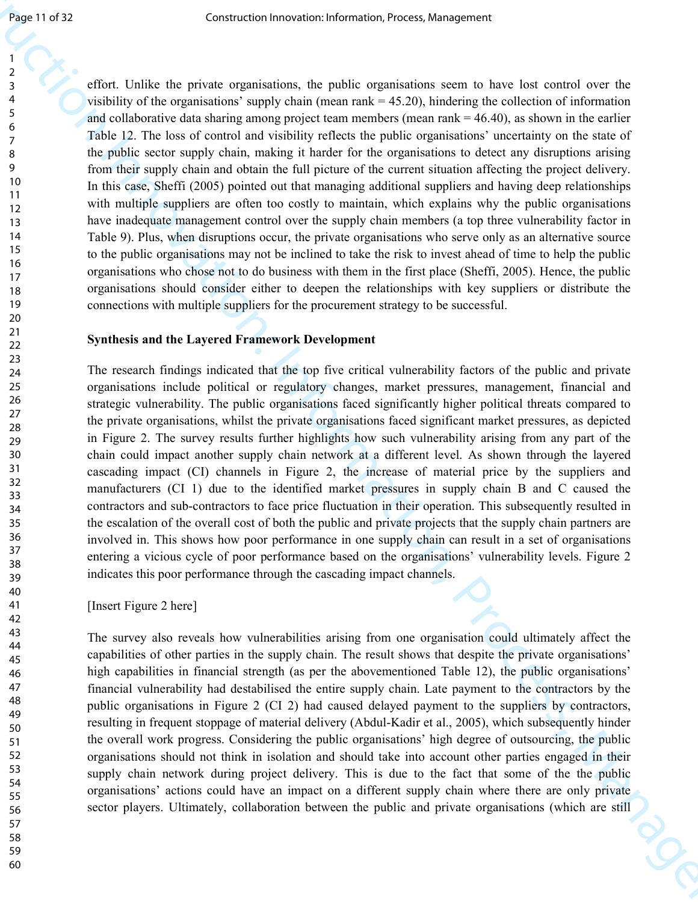Sean II of 22<br>
Search Christian charge the system is the system of the system of the system of the system of the system of the system of the system of the system of the system of the system of the system of the system of effort. Unlike the private organisations, the public organisations seem to have lost control over the visibility of the organisations' supply chain (mean rank  $=$  45.20), hindering the collection of information and collaborative data sharing among project team members (mean rank = 46.40), as shown in the earlier Table 12. The loss of control and visibility reflects the public organisations' uncertainty on the state of the public sector supply chain, making it harder for the organisations to detect any disruptions arising from their supply chain and obtain the full picture of the current situation affecting the project delivery. In this case, Sheffi (2005) pointed out that managing additional suppliers and having deep relationships with multiple suppliers are often too costly to maintain, which explains why the public organisations have inadequate management control over the supply chain members (a top three vulnerability factor in Table 9). Plus, when disruptions occur, the private organisations who serve only as an alternative source to the public organisations may not be inclined to take the risk to invest ahead of time to help the public organisations who chose not to do business with them in the first place (Sheffi, 2005). Hence, the public organisations should consider either to deepen the relationships with key suppliers or distribute the connections with multiple suppliers for the procurement strategy to be successful.

#### **Synthesis and the Layered Framework Development**

The research findings indicated that the top five critical vulnerability factors of the public and private organisations include political or regulatory changes, market pressures, management, financial and strategic vulnerability. The public organisations faced significantly higher political threats compared to the private organisations, whilst the private organisations faced significant market pressures, as depicted in Figure 2. The survey results further highlights how such vulnerability arising from any part of the chain could impact another supply chain network at a different level. As shown through the layered cascading impact (CI) channels in Figure 2, the increase of material price by the suppliers and manufacturers (CI 1) due to the identified market pressures in supply chain B and C caused the contractors and sub-contractors to face price fluctuation in their operation. This subsequently resulted in the escalation of the overall cost of both the public and private projects that the supply chain partners are involved in. This shows how poor performance in one supply chain can result in a set of organisations entering a vicious cycle of poor performance based on the organisations' vulnerability levels. Figure 2 indicates this poor performance through the cascading impact channels.

[Insert Figure 2 here]

The survey also reveals how vulnerabilities arising from one organisation could ultimately affect the capabilities of other parties in the supply chain. The result shows that despite the private organisations' high capabilities in financial strength (as per the abovementioned Table 12), the public organisations' financial vulnerability had destabilised the entire supply chain. Late payment to the contractors by the public organisations in Figure 2 (CI 2) had caused delayed payment to the suppliers by contractors, resulting in frequent stoppage of material delivery (Abdul-Kadir et al., 2005), which subsequently hinder the overall work progress. Considering the public organisations' high degree of outsourcing, the public organisations should not think in isolation and should take into account other parties engaged in their supply chain network during project delivery. This is due to the fact that some of the the public organisations' actions could have an impact on a different supply chain where there are only private sector players. Ultimately, collaboration between the public and private organisations (which are still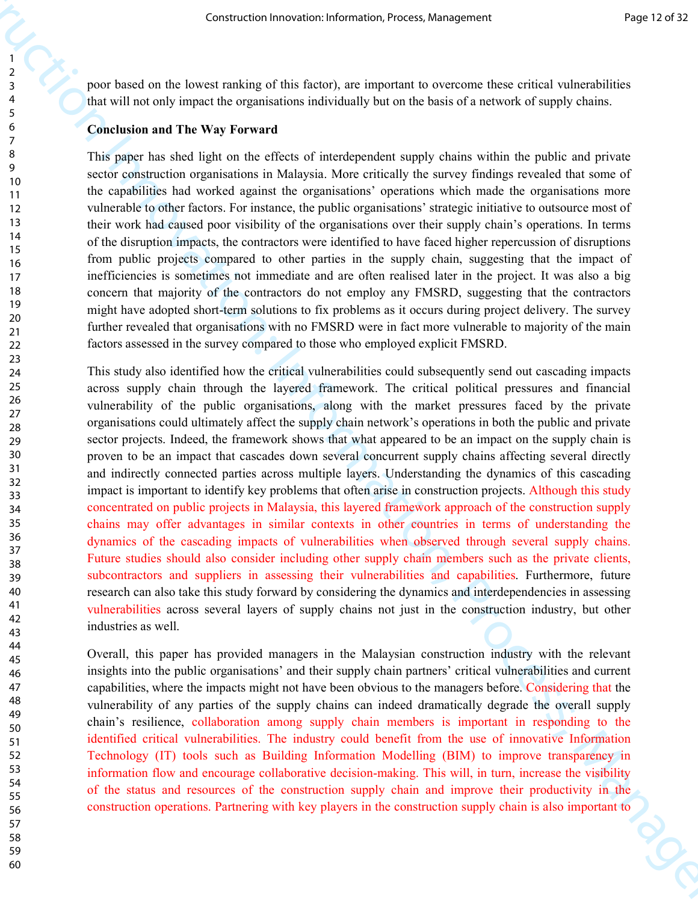poor based on the lowest ranking of this factor), are important to overcome these critical vulnerabilities that will not only impact the organisations individually but on the basis of a network of supply chains.

#### **Conclusion and The Way Forward**

This paper has shed light on the effects of interdependent supply chains within the public and private sector construction organisations in Malaysia. More critically the survey findings revealed that some of the capabilities had worked against the organisations' operations which made the organisations more vulnerable to other factors. For instance, the public organisations' strategic initiative to outsource most of their work had caused poor visibility of the organisations over their supply chain's operations. In terms of the disruption impacts, the contractors were identified to have faced higher repercussion of disruptions from public projects compared to other parties in the supply chain, suggesting that the impact of inefficiencies is sometimes not immediate and are often realised later in the project. It was also a big concern that majority of the contractors do not employ any FMSRD, suggesting that the contractors might have adopted short-term solutions to fix problems as it occurs during project delivery. The survey further revealed that organisations with no FMSRD were in fact more vulnerable to majority of the main factors assessed in the survey compared to those who employed explicit FMSRD.

Construction Irreduces a constraint resonance and the construction Irreduces and the construction Irreduces and the construction Irreduces and the construction Irreduces and the construction Irreduces and the Construction This study also identified how the critical vulnerabilities could subsequently send out cascading impacts across supply chain through the layered framework. The critical political pressures and financial vulnerability of the public organisations, along with the market pressures faced by the private organisations could ultimately affect the supply chain network's operations in both the public and private sector projects. Indeed, the framework shows that what appeared to be an impact on the supply chain is proven to be an impact that cascades down several concurrent supply chains affecting several directly and indirectly connected parties across multiple layers. Understanding the dynamics of this cascading impact is important to identify key problems that often arise in construction projects. Although this study concentrated on public projects in Malaysia, this layered framework approach of the construction supply chains may offer advantages in similar contexts in other countries in terms of understanding the dynamics of the cascading impacts of vulnerabilities when observed through several supply chains. Future studies should also consider including other supply chain members such as the private clients, subcontractors and suppliers in assessing their vulnerabilities and capabilities. Furthermore, future research can also take this study forward by considering the dynamics and interdependencies in assessing vulnerabilities across several layers of supply chains not just in the construction industry, but other industries as well.

Overall, this paper has provided managers in the Malaysian construction industry with the relevant insights into the public organisations' and their supply chain partners' critical vulnerabilities and current capabilities, where the impacts might not have been obvious to the managers before. Considering that the vulnerability of any parties of the supply chains can indeed dramatically degrade the overall supply chain's resilience, collaboration among supply chain members is important in responding to the identified critical vulnerabilities. The industry could benefit from the use of innovative Information Technology (IT) tools such as Building Information Modelling (BIM) to improve transparency in information flow and encourage collaborative decision-making. This will, in turn, increase the visibility of the status and resources of the construction supply chain and improve their productivity in the construction operations. Partnering with key players in the construction supply chain is also important to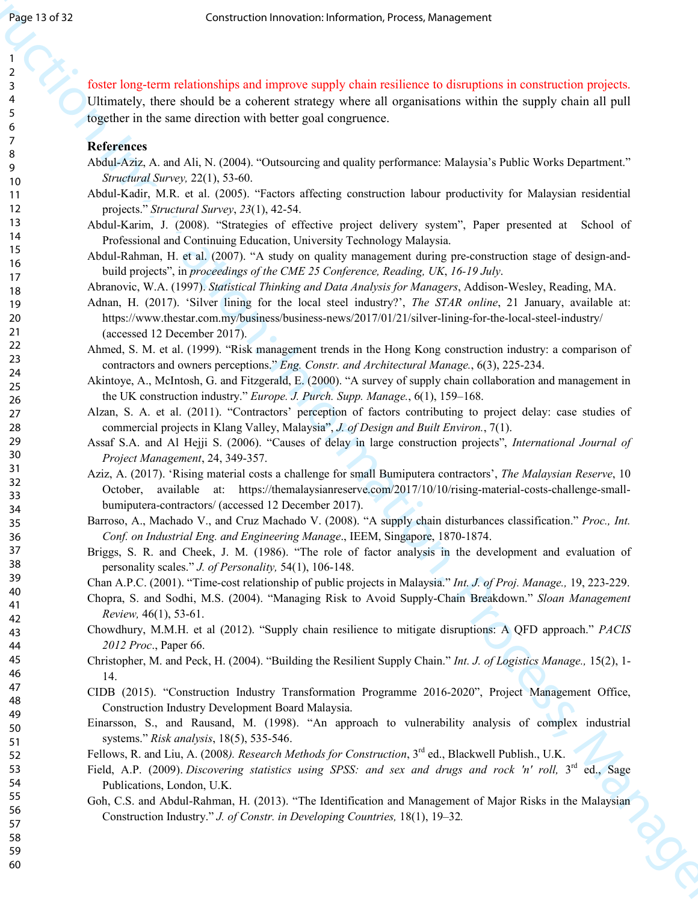**Example 21 Solution**<br>
2 Solution Construction Internation, Process, Management is construction projection<br>
2 Construction Innovation International Construction International Construction<br>
2 Solution Internation Internati foster long-term relationships and improve supply chain resilience to disruptions in construction projects. Ultimately, there should be a coherent strategy where all organisations within the supply chain all pull together in the same direction with better goal congruence.

#### **References**

- Abdul-Aziz, A. and Ali, N. (2004). "Outsourcing and quality performance: Malaysia's Public Works Department." *Structural Survey,* 22(1), 53-60.
- Abdul-Kadir, M.R. et al. (2005). "Factors affecting construction labour productivity for Malaysian residential projects." *Structural Survey*, *23*(1), 42-54.
- Abdul-Karim, J. (2008). "Strategies of effective project delivery system", Paper presented at School of Professional and Continuing Education, University Technology Malaysia.
- Abdul-Rahman, H. et al. (2007). "A study on quality management during pre-construction stage of design-andbuild projects", in *proceedings of the CME 25 Conference, Reading, UK*, *16-19 July*.

Abranovic, W.A. (1997). *Statistical Thinking and Data Analysis for Managers*, Addison-Wesley, Reading, MA.

- Adnan, H. (2017). 'Silver lining for the local steel industry?', *The STAR online*, 21 January, available at: https://www.thestar.com.my/business/business-news/2017/01/21/silver-lining-for-the-local-steel-industry/ (accessed 12 December 2017).
- Ahmed, S. M. et al. (1999). "Risk management trends in the Hong Kong construction industry: a comparison of contractors and owners perceptions." *Eng. Constr. and Architectural Manage.*, 6(3), 225-234.
- Akintoye, A., McIntosh, G. and Fitzgerald, E. (2000). "A survey of supply chain collaboration and management in the UK construction industry." *Europe. J. Purch. Supp. Manage.*, 6(1), 159–168.
- Alzan, S. A. et al. (2011). "Contractors' perception of factors contributing to project delay: case studies of commercial projects in Klang Valley, Malaysia", *J. of Design and Built Environ.*, 7(1).
- Assaf S.A. and Al Hejji S. (2006). "Causes of delay in large construction projects", *International Journal of Project Management*, 24, 349-357.
- Aziz, A. (2017). 'Rising material costs a challenge for small Bumiputera contractors', *The Malaysian Reserve*, 10 October, available at: https://themalaysianreserve.com/2017/10/10/rising-material-costs-challenge-smallbumiputera-contractors/ (accessed 12 December 2017).
- Barroso, A., Machado V., and Cruz Machado V. (2008). "A supply chain disturbances classification." *Proc., Int. Conf. on Industrial Eng. and Engineering Manage*., IEEM, Singapore, 1870-1874.
- Briggs, S. R. and Cheek, J. M. (1986). "The role of factor analysis in the development and evaluation of personality scales." *J. of Personality,* 54(1), 106-148.
- Chan A.P.C. (2001). "Time-cost relationship of public projects in Malaysia." *Int. J. of Proj. Manage.,* 19, 223-229.
- Chopra, S. and Sodhi, M.S. (2004). "Managing Risk to Avoid Supply-Chain Breakdown." *Sloan Management Review,* 46(1), 53-61.
- Chowdhury, M.M.H. et al (2012). "Supply chain resilience to mitigate disruptions: A QFD approach." *PACIS 2012 Proc*., Paper 66.
- Christopher, M. and Peck, H. (2004). "Building the Resilient Supply Chain." *Int. J. of Logistics Manage.,* 15(2), 1- 14.
- CIDB (2015). "Construction Industry Transformation Programme 2016-2020", Project Management Office, Construction Industry Development Board Malaysia.
- Einarsson, S., and Rausand, M. (1998). "An approach to vulnerability analysis of complex industrial systems." *Risk analysis*, 18(5), 535-546.
- Fellows, R. and Liu, A. (2008*). Research Methods for Construction*, 3rd ed., Blackwell Publish., U.K.
- Field, A.P. (2009). *Discovering statistics using SPSS: and sex and drugs and rock 'n' roll*, 3<sup>rd</sup> ed., Sage Publications, London, U.K.
- Goh, C.S. and Abdul-Rahman, H. (2013). "The Identification and Management of Major Risks in the Malaysian Construction Industry." *J. of Constr. in Developing Countries,* 18(1), 19–32*.*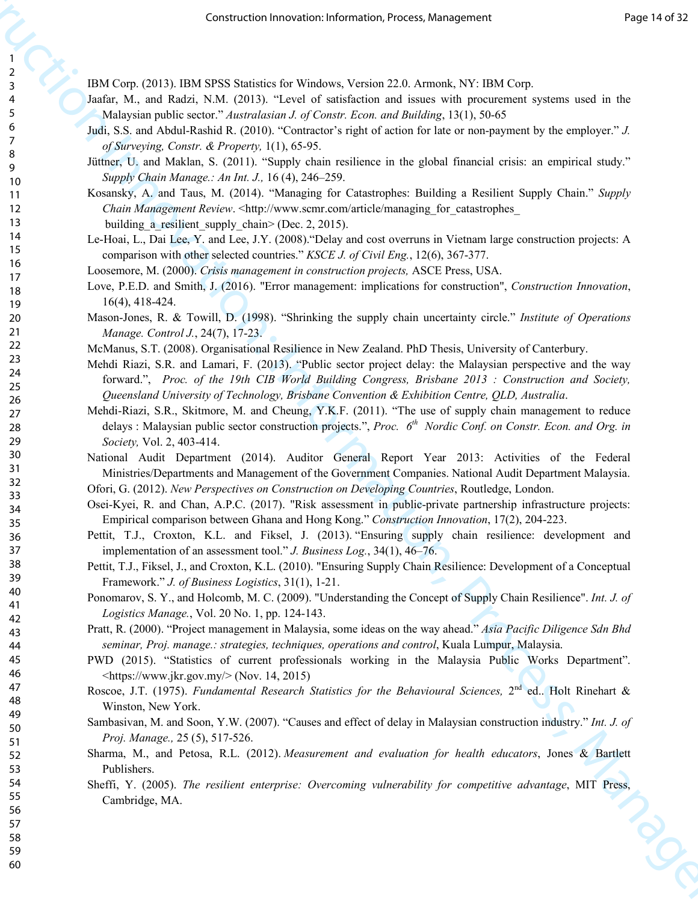IBM Corp. (2013). IBM SPSS Statistics for Windows, Version 22.0. Armonk, NY: IBM Corp.

- Jaafar, M., and Radzi, N.M. (2013). "Level of satisfaction and issues with procurement systems used in the Malaysian public sector." *Australasian J. of Constr. Econ. and Building*, 13(1), 50-65
- Judi, S.S. and Abdul-Rashid R. (2010). "Contractor's right of action for late or non-payment by the employer." *J. of Surveying, Constr. & Property,* 1(1), 65-95.
- Jüttner, U. and Maklan, S. (2011). "Supply chain resilience in the global financial crisis: an empirical study." *Supply Chain Manage.: An Int. J.,* 16 (4), 246–259.
- Kosansky, A. and Taus, M. (2014). "Managing for Catastrophes: Building a Resilient Supply Chain." *Supply Chain Management Review.* <http://www.scmr.com/article/managing\_for\_catastrophes\_ building a resilient supply chain> (Dec. 2, 2015).
- Le-Hoai, L., Dai Lee, Y. and Lee, J.Y. (2008)."Delay and cost overruns in Vietnam large construction projects: A comparison with other selected countries." *KSCE J. of Civil Eng.*, 12(6), 367-377.
- Loosemore, M. (2000). *Crisis management in construction projects,* ASCE Press, USA.
- Love, P.E.D. and Smith, J. (2016). "Error management: implications for construction", *Construction Innovation*, 16(4), 418-424.
- Mason-Jones, R. & Towill, D. (1998). "Shrinking the supply chain uncertainty circle." *Institute of Operations Manage. Control J.*, 24(7), 17-23.
- McManus, S.T. (2008). Organisational Resilience in New Zealand. PhD Thesis, University of Canterbury.
- Mehdi Riazi, S.R. and Lamari, F. (2013). "Public sector project delay: the Malaysian perspective and the way forward.", *Proc. of the 19th CIB World Building Congress, Brisbane 2013 : Construction and Society, Queensland University of Technology, Brisbane Convention & Exhibition Centre, QLD, Australia*.
- Construction Innovation: Information, Process, Management Mehdi-Riazi, S.R., Skitmore, M. and Cheung, Y.K.F. (2011). "The use of supply chain management to reduce delays : Malaysian public sector construction projects.", *Proc. 6th Nordic Conf. on Constr. Econ. and Org. in Society,* Vol. 2, 403-414.
	- National Audit Department (2014). Auditor General Report Year 2013: Activities of the Federal Ministries/Departments and Management of the Government Companies. National Audit Department Malaysia.
	- Ofori, G. (2012). *New Perspectives on Construction on Developing Countries*, Routledge, London.
	- Osei-Kyei, R. and Chan, A.P.C. (2017). "Risk assessment in public-private partnership infrastructure projects: Empirical comparison between Ghana and Hong Kong." *Construction Innovation*, 17(2), 204-223.
	- Pettit, T.J., Croxton, K.L. and Fiksel, J. (2013). "Ensuring supply chain resilience: development and implementation of an assessment tool." *J. Business Log.*, 34(1), 46–76.
	- Pettit, T.J., Fiksel, J., and Croxton, K.L. (2010). "Ensuring Supply Chain Resilience: Development of a Conceptual Framework." *J. of Business Logistics*, 31(1), 1-21.
	- Ponomarov, S. Y., and Holcomb, M. C. (2009). "Understanding the Concept of Supply Chain Resilience". *Int. J. of Logistics Manage.*, Vol. 20 No. 1, pp. 124-143.
	- Pratt, R. (2000). "Project management in Malaysia, some ideas on the way ahead." *Asia Pacific Diligence Sdn Bhd seminar, Proj. manage.: strategies, techniques, operations and control*, Kuala Lumpur, Malaysia.
	- PWD (2015). "Statistics of current professionals working in the Malaysia Public Works Department".  $\langle \frac{\text{https://www.jkr.gov.my/}}{\text{Noww.jkr.gov.my/}} \rangle$  (Nov. 14, 2015)
	- Roscoe, J.T. (1975). *Fundamental Research Statistics for the Behavioural Sciences*, 2<sup>nd</sup> ed.. Holt Rinehart & Winston, New York.
	- Sambasivan, M. and Soon, Y.W. (2007). "Causes and effect of delay in Malaysian construction industry." *Int. J. of Proj. Manage.,* 25 (5), 517-526.
	- Sharma, M., and Petosa, R.L. (2012). *Measurement and evaluation for health educators*, Jones & Bartlett Publishers.
	- Sheffi, Y. (2005). *The resilient enterprise: Overcoming vulnerability for competitive advantage*, MIT Press, Cambridge, MA.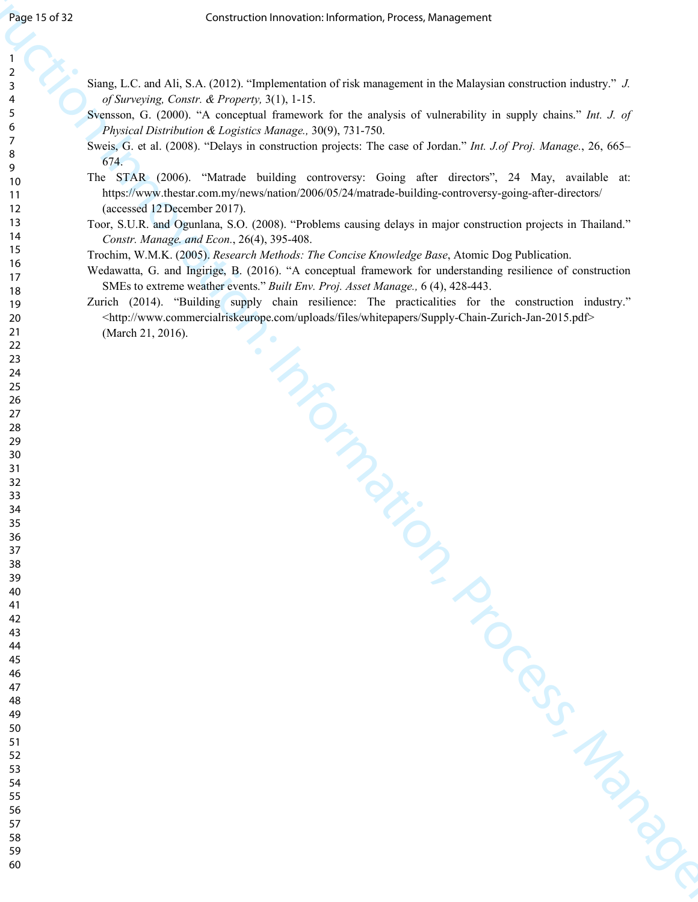- Siang, L.C. and Ali, S.A. (2012). "Implementation of risk management in the Malaysian construction industry." *J. of Surveying, Constr. & Property,* 3(1), 1-15.
- Svensson, G. (2000). "A conceptual framework for the analysis of vulnerability in supply chains." *Int. J. of Physical Distribution & Logistics Manage.,* 30(9), 731-750.
- Sweis, G. et al. (2008). "Delays in construction projects: The case of Jordan." *Int. J.of Proj. Manage.*, 26, 665– 674.
- Figure 13 d as a construction Innovation Internation Process, Management<br>
2. The state 1.1, and A.B. A. (2011). Implementation of risk measurement in the Malaysian controllation indices<br>
2. The state 12 does not be proven The STAR (2006). "Matrade building controversy: Going after directors", 24 May, available at: https://www.thestar.com.my/news/nation/2006/05/24/matrade-building-controversy-going-after-directors/ (accessed 12 December 2017).
	- Toor, S.U.R. and Ogunlana, S.O. (2008). "Problems causing delays in major construction projects in Thailand." *Constr. Manage. and Econ.*, 26(4), 395-408.
	- Trochim, W.M.K. (2005). *Research Methods: The Concise Knowledge Base*, Atomic Dog Publication.
	- Wedawatta, G. and Ingirige, B. (2016). "A conceptual framework for understanding resilience of construction SMEs to extreme weather events." *Built Env. Proj. Asset Manage.,* 6 (4), 428-443.
	- Zurich (2014). "Building supply chain resilience: The practicalities for the construction industry." <http://www.commercialriskeurope.com/uploads/files/whitepapers/Supply-Chain-Zurich-Jan-2015.pdf> (March 21, 2016).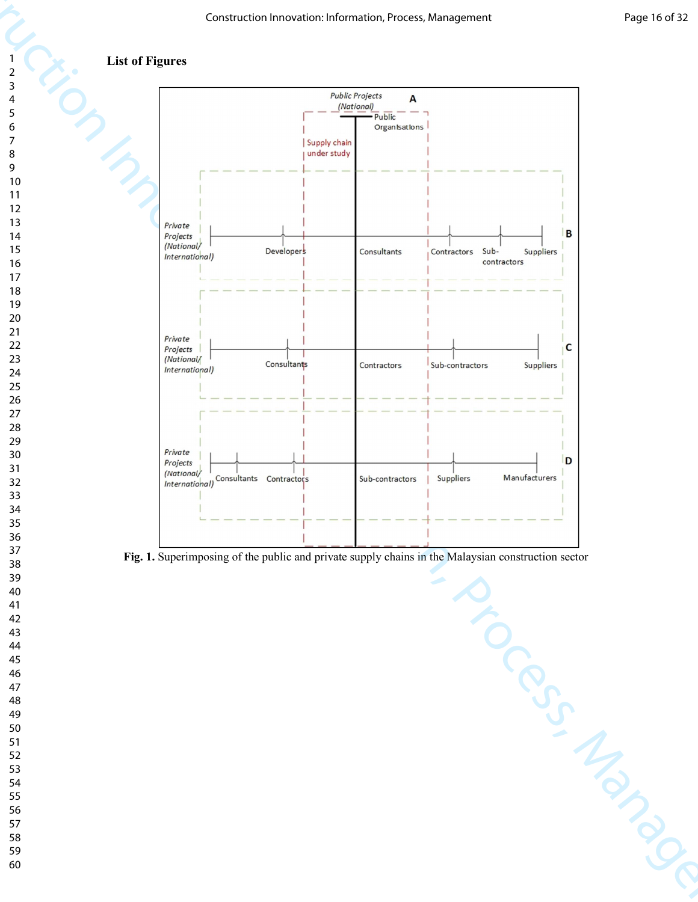## **List of Figures**



**Fig. 1.** Superimposing of the public and private supply chains in the Malaysian construction sector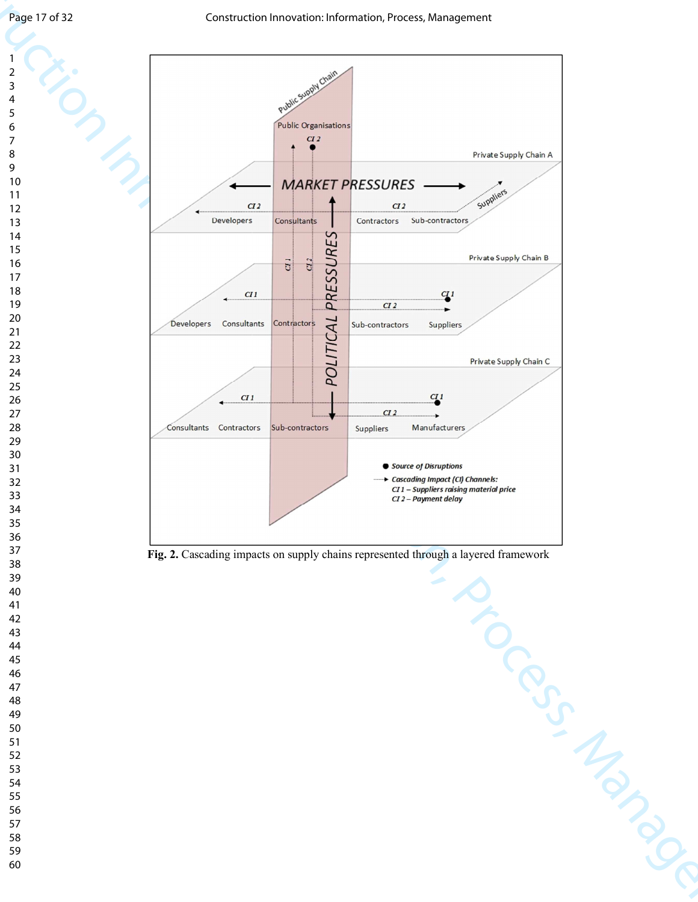

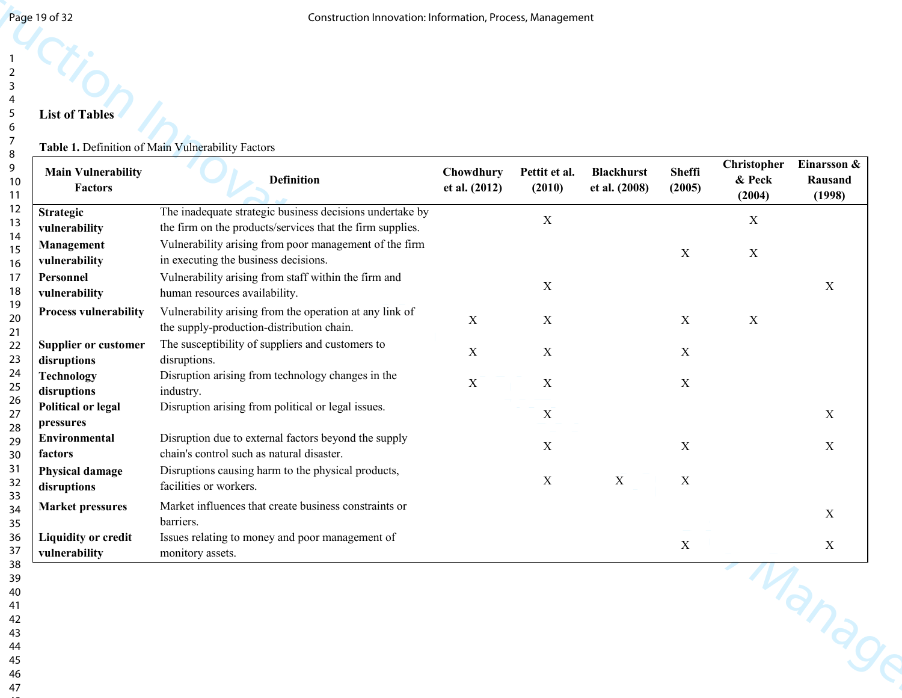# 

#### **Table 1.** Definition of Main Vulnerability Factors

| Page 19 of 32                                | Construction Innovation: Information, Process, Management                                                                                                   |                            |                           |                                    |                         |                                 |                                  |
|----------------------------------------------|-------------------------------------------------------------------------------------------------------------------------------------------------------------|----------------------------|---------------------------|------------------------------------|-------------------------|---------------------------------|----------------------------------|
| <b>List of Tables</b>                        |                                                                                                                                                             |                            |                           |                                    |                         |                                 |                                  |
|                                              | Table 1. Definition of Main Vulnerability Factors                                                                                                           |                            |                           |                                    |                         |                                 |                                  |
| <b>Main Vulnerability</b><br><b>Factors</b>  | <b>Definition</b>                                                                                                                                           | Chowdhury<br>et al. (2012) | Pettit et al.<br>(2010)   | <b>Blackhurst</b><br>et al. (2008) | <b>Sheffi</b><br>(2005) | Christopher<br>& Peck<br>(2004) | Einarsson &<br>Rausand<br>(1998) |
| <b>Strategic</b>                             | The inadequate strategic business decisions undertake by                                                                                                    |                            | $\mathbf X$               |                                    |                         | $\mathbf X$                     |                                  |
| vulnerability<br>Management<br>vulnerability | the firm on the products/services that the firm supplies.<br>Vulnerability arising from poor management of the firm<br>in executing the business decisions. |                            |                           |                                    | $\mathbf X$             | $\mathbf X$                     |                                  |
| Personnel<br>vulnerability                   | Vulnerability arising from staff within the firm and<br>human resources availability.                                                                       |                            | $\mathbf X$               |                                    |                         |                                 | $\mathbf X$                      |
| <b>Process vulnerability</b>                 | Vulnerability arising from the operation at any link of<br>the supply-production-distribution chain.                                                        | X                          | X                         |                                    | $\mathbf X$             | $\mathbf X$                     |                                  |
| <b>Supplier or customer</b><br>disruptions   | The susceptibility of suppliers and customers to<br>disruptions.                                                                                            | X                          | X                         |                                    | X                       |                                 |                                  |
| <b>Technology</b><br>disruptions             | Disruption arising from technology changes in the<br>industry.                                                                                              | $\boldsymbol{\mathrm{X}}$  | X                         |                                    | $\mathbf X$             |                                 |                                  |
| <b>Political or legal</b><br>pressures       | Disruption arising from political or legal issues.                                                                                                          |                            | X                         |                                    |                         |                                 | X                                |
| Environmental<br>factors                     | Disruption due to external factors beyond the supply<br>chain's control such as natural disaster.                                                           |                            | $\mathbf X$               |                                    | $\mathbf X$             |                                 | $\mathbf X$                      |
| <b>Physical damage</b><br>disruptions        | Disruptions causing harm to the physical products,<br>facilities or workers.                                                                                |                            | $\boldsymbol{\mathrm{X}}$ | $\mathbf X$                        | $\mathbf X$             |                                 |                                  |
| <b>Market pressures</b>                      | Market influences that create business constraints or<br>barriers.                                                                                          |                            |                           |                                    |                         |                                 | $\mathbf X$                      |
| <b>Liquidity or credit</b><br>vulnerability  | Issues relating to money and poor management of<br>monitory assets.                                                                                         |                            |                           |                                    | $\mathbf X$             |                                 | $\mathbf X$                      |
|                                              |                                                                                                                                                             |                            |                           |                                    |                         |                                 | Manage                           |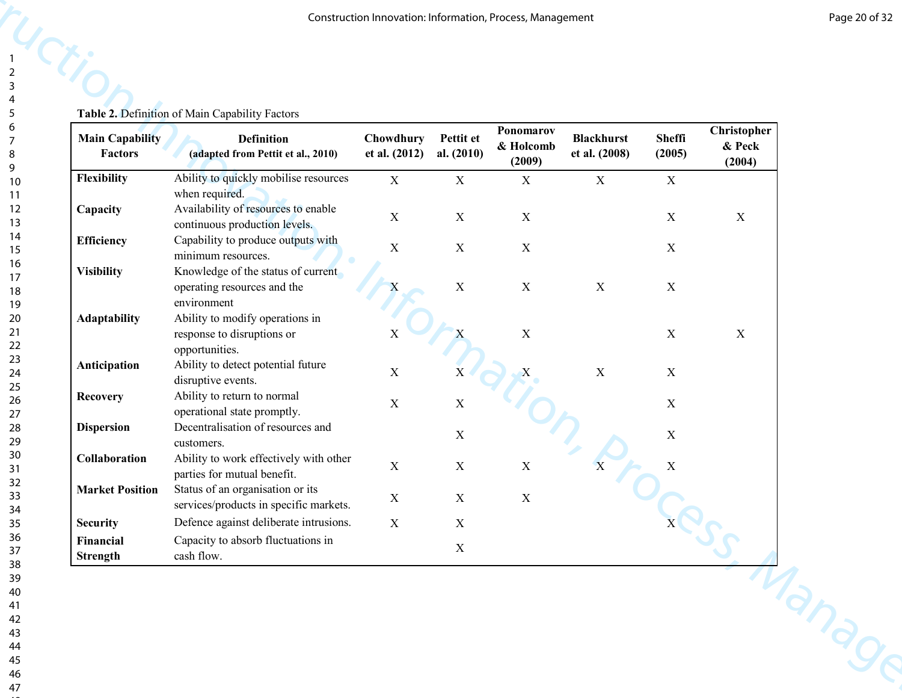**le 2. Definition of Main Capability Factors** 

|                                          | Table 2. Definition of Main Capability Factors                                         | Construction Innovation: Information, Process, Management |                           |                                  |                                    |                  |                                 |
|------------------------------------------|----------------------------------------------------------------------------------------|-----------------------------------------------------------|---------------------------|----------------------------------|------------------------------------|------------------|---------------------------------|
| <b>Main Capability</b><br><b>Factors</b> | <b>Definition</b><br>(adapted from Pettit et al., 2010)                                | Chowdhury<br>et al. (2012)                                | Pettit et<br>al. $(2010)$ | Ponomarov<br>& Holcomb<br>(2009) | <b>Blackhurst</b><br>et al. (2008) | Sheffi<br>(2005) | Christopher<br>& Peck<br>(2004) |
| Flexibility                              | Ability to quickly mobilise resources                                                  | $\mathbf X$                                               | X                         | X                                | $\boldsymbol{\mathrm{X}}$          | $\mathbf X$      |                                 |
| Capacity                                 | when required.<br>Availability of resources to enable<br>continuous production levels. | $\mathbf X$                                               | $\boldsymbol{\mathrm{X}}$ | $\mathbf X$                      |                                    | X                | $\mathbf X$                     |
| <b>Efficiency</b>                        | Capability to produce outputs with<br>minimum resources.                               | $\mathbf X$                                               | $\mathbf X$               | $\mathbf X$                      |                                    | X                |                                 |
| <b>Visibility</b>                        | Knowledge of the status of current<br>operating resources and the<br>environment       | X                                                         | $\mathbf X$               | $\mathbf X$                      | $\mathbf X$                        | $\mathbf X$      |                                 |
| Adaptability                             | Ability to modify operations in<br>response to disruptions or<br>opportunities.        | $\mathbf X$                                               |                           | $\mathbf X$                      |                                    | $\mathbf X$      | $\mathbf X$                     |
| Anticipation                             | Ability to detect potential future<br>disruptive events.                               | $\mathbf X$                                               | $\mathbf X$               | X                                | $\mathbf X$                        | X                |                                 |
| Recovery                                 | Ability to return to normal<br>operational state promptly.                             | $\mathbf X$                                               | $\mathbf X$               |                                  |                                    | $\mathbf X$      |                                 |
| <b>Dispersion</b>                        | Decentralisation of resources and<br>customers.                                        |                                                           | X                         |                                  |                                    | $\mathbf X$      |                                 |
| Collaboration                            | Ability to work effectively with other<br>parties for mutual benefit.                  | $\mathbf X$                                               | $\mathbf X$               | $\mathbf X$                      |                                    | X                |                                 |
| <b>Market Position</b>                   | Status of an organisation or its<br>services/products in specific markets.             | $\mathbf X$                                               | $\mathbf X$               | $\mathbf X$                      |                                    |                  |                                 |
| <b>Security</b>                          | Defence against deliberate intrusions.                                                 | $\mathbf X$                                               | $\mathbf X$               |                                  |                                    |                  |                                 |
| Financial<br>Strength                    | Capacity to absorb fluctuations in<br>cash flow.                                       |                                                           | $\mathbf X$               |                                  |                                    |                  |                                 |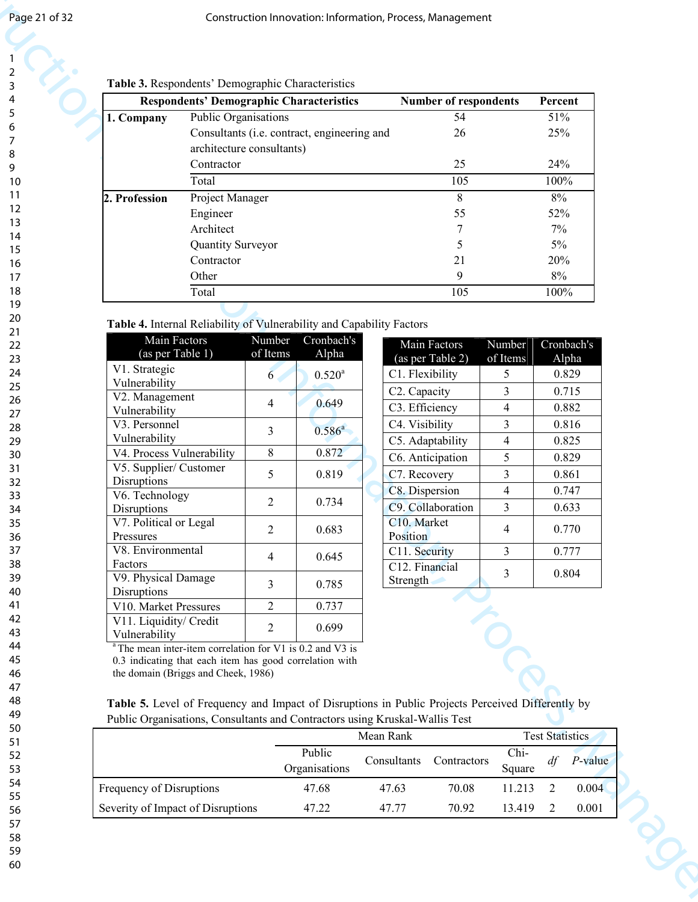#### Table 3. Respondents' Demographic Characteristics

|                                                                                                                                                                                                                                                                                                                                                                                                                                   |                                         |                                                                                                                                           | Table 3. Respondents' Demographic Characteristics                                            |                                                                                                                                              |                                                           |                                                                                                                                                      |                                                    |                                  |
|-----------------------------------------------------------------------------------------------------------------------------------------------------------------------------------------------------------------------------------------------------------------------------------------------------------------------------------------------------------------------------------------------------------------------------------|-----------------------------------------|-------------------------------------------------------------------------------------------------------------------------------------------|----------------------------------------------------------------------------------------------|----------------------------------------------------------------------------------------------------------------------------------------------|-----------------------------------------------------------|------------------------------------------------------------------------------------------------------------------------------------------------------|----------------------------------------------------|----------------------------------|
|                                                                                                                                                                                                                                                                                                                                                                                                                                   |                                         |                                                                                                                                           | <b>Respondents' Demographic Characteristics</b>                                              |                                                                                                                                              | Number of respondents                                     |                                                                                                                                                      | Percent                                            |                                  |
| 1. Company                                                                                                                                                                                                                                                                                                                                                                                                                        | Public Organisations                    |                                                                                                                                           | Consultants (i.e. contract, engineering and                                                  |                                                                                                                                              | $\overline{54}$<br>26                                     |                                                                                                                                                      | 51%<br>25%                                         |                                  |
|                                                                                                                                                                                                                                                                                                                                                                                                                                   | architecture consultants)<br>Contractor |                                                                                                                                           |                                                                                              |                                                                                                                                              | 25                                                        |                                                                                                                                                      | 24%                                                |                                  |
|                                                                                                                                                                                                                                                                                                                                                                                                                                   | Total                                   |                                                                                                                                           |                                                                                              |                                                                                                                                              | 105                                                       |                                                                                                                                                      | 100%                                               |                                  |
| 2. Profession                                                                                                                                                                                                                                                                                                                                                                                                                     | Project Manager                         |                                                                                                                                           |                                                                                              |                                                                                                                                              | $8\,$                                                     |                                                                                                                                                      | $8\%$                                              |                                  |
|                                                                                                                                                                                                                                                                                                                                                                                                                                   | Engineer                                |                                                                                                                                           |                                                                                              |                                                                                                                                              | 55                                                        |                                                                                                                                                      | 52%                                                |                                  |
|                                                                                                                                                                                                                                                                                                                                                                                                                                   | Architect                               |                                                                                                                                           |                                                                                              |                                                                                                                                              |                                                           |                                                                                                                                                      | 7%                                                 |                                  |
|                                                                                                                                                                                                                                                                                                                                                                                                                                   | Quantity Surveyor                       |                                                                                                                                           |                                                                                              |                                                                                                                                              | 5                                                         |                                                                                                                                                      | $5\%$                                              |                                  |
|                                                                                                                                                                                                                                                                                                                                                                                                                                   | Contractor                              |                                                                                                                                           |                                                                                              |                                                                                                                                              | 21                                                        |                                                                                                                                                      | 20%                                                |                                  |
|                                                                                                                                                                                                                                                                                                                                                                                                                                   | Other                                   |                                                                                                                                           |                                                                                              |                                                                                                                                              | 9                                                         |                                                                                                                                                      | 8%                                                 |                                  |
|                                                                                                                                                                                                                                                                                                                                                                                                                                   | Total                                   |                                                                                                                                           |                                                                                              |                                                                                                                                              | 105                                                       |                                                                                                                                                      | 100%                                               |                                  |
| V2. Management<br>Vulnerability<br>V3. Personnel<br>Vulnerability<br>V4. Process Vulnerability<br>V5. Supplier/ Customer<br>Disruptions<br>V6. Technology<br>Disruptions<br>V7. Political or Legal<br>Pressures<br>V8. Environmental<br>Factors<br>V9. Physical Damage<br>Disruptions<br>V10. Market Pressures<br>V11. Liquidity/ Credit<br>Vulnerability<br><sup>a</sup> The mean inter-item correlation for V1 is 0.2 and V3 is |                                         | 4<br>$\mathfrak{Z}$<br>8<br>5<br>$\overline{2}$<br>$\overline{2}$<br>$\overline{4}$<br>$\overline{3}$<br>$\overline{2}$<br>$\overline{2}$ | 0.649<br>$0.586^{a}$<br>0.872<br>0.819<br>0.734<br>0.683<br>0.645<br>0.785<br>0.737<br>0.699 | C3. Efficiency<br>C4. Visibility<br>C7. Recovery<br>C8. Dispersion<br>C10. Market<br>Position<br>C11. Security<br>C12. Financial<br>Strength | C5. Adaptability<br>C6. Anticipation<br>C9. Collaboration | 4<br>$\overline{3}$<br>$\overline{4}$<br>5<br>$\mathfrak{Z}$<br>$\overline{4}$<br>3 <sup>1</sup><br>$\overline{4}$<br>$\mathbf{3}$<br>$\mathfrak{Z}$ | 0.816<br>0.825<br>0.829<br>0.861<br>0.770<br>0.804 | 0.882<br>0.747<br>0.633<br>0.777 |
| 0.3 indicating that each item has good correlation with<br>the domain (Briggs and Cheek, 1986)<br>Table 5. Level of Frequency and Impact of Disruptions in Public Projects Perceived Differently by<br>Public Organisations, Consultants and Contractors using Kruskal-Wallis Test                                                                                                                                                |                                         |                                                                                                                                           | Public                                                                                       | Mean Rank<br>Consultants                                                                                                                     | Contractors                                               | Chi-                                                                                                                                                 | <b>Test Statistics</b><br>df                       | $P$ -value                       |
|                                                                                                                                                                                                                                                                                                                                                                                                                                   |                                         |                                                                                                                                           | Organisations                                                                                |                                                                                                                                              |                                                           | Square                                                                                                                                               |                                                    |                                  |
| Frequency of Disruptions                                                                                                                                                                                                                                                                                                                                                                                                          | Severity of Impact of Disruptions       |                                                                                                                                           | 47.68                                                                                        | 47.63                                                                                                                                        | 70.08                                                     | 11.213                                                                                                                                               | 2                                                  | 0.004                            |

#### Table 4. Internal Reliability of Vulnerability and Capability Factors

| Main Factors              | Number         | Cronbach's      |
|---------------------------|----------------|-----------------|
| (as per Table 1)          | of Items       | Alpha           |
| V1. Strategic             |                | $0.520^{\rm a}$ |
| Vulnerability             | 6              |                 |
| V2. Management            |                |                 |
| Vulnerability             | 4              | 0.649           |
| V3. Personnel             | 3              | $0.586^{a}$     |
| Vulnerability             |                |                 |
| V4. Process Vulnerability | 8              | 0.872           |
| V5. Supplier/ Customer    | 5              |                 |
| Disruptions               |                | 0.819           |
| V6. Technology            | $\overline{2}$ | 0.734           |
| Disruptions               |                |                 |
| V7. Political or Legal    | $\overline{2}$ | 0.683           |
| Pressures                 |                |                 |
| V8. Environmental         | 4              | 0.645           |
| Factors                   |                |                 |
| V9. Physical Damage       | 3              | 0.785           |
| Disruptions               |                |                 |
| V10. Market Pressures     | $\overline{2}$ | 0.737           |
| V11. Liquidity/ Credit    | $\overline{2}$ | 0.699           |
| Vulnerability             |                |                 |

| Main Factors<br>(as per Table 2) | Number<br>of Items | Cronbach's<br>Alpha |
|----------------------------------|--------------------|---------------------|
| C1. Flexibility                  | 5                  | 0.829               |
| C <sub>2</sub> . Capacity        | 3                  | 0.715               |
| C3. Efficiency                   | 4                  | 0.882               |
| C4. Visibility                   | 3                  | 0.816               |
| C5. Adaptability                 | 4                  | 0.825               |
| C6. Anticipation                 | 5                  | 0.829               |
| C7. Recovery                     | 3                  | 0.861               |
| C8. Dispersion                   | 4                  | 0.747               |
| C9. Collaboration                | 3                  | 0.633               |
| C10. Market<br>Position          | 4                  | 0.770               |
| C11. Security                    | 3                  | 0.777               |
| C12. Financial<br>Strength       | 3                  | 0.804               |

|  |  | <b>Table 5.</b> Level of Frequency and Impact of Disruptions in Public Projects Perceived Differently by |  |  |  |
|--|--|----------------------------------------------------------------------------------------------------------|--|--|--|
|  |  | Public Organisations, Consultants and Contractors using Kruskal-Wallis Test                              |  |  |  |

|                                   |                         | Mean Rank   |             |                |    | <b>Test Statistics</b> |  |  |  |
|-----------------------------------|-------------------------|-------------|-------------|----------------|----|------------------------|--|--|--|
|                                   | Public<br>Organisations | Consultants | Contractors | Chi-<br>Square | df | $P$ -value             |  |  |  |
| Frequency of Disruptions          | 47.68                   | 47.63       | 70.08       | 11.213         |    | 0.004                  |  |  |  |
| Severity of Impact of Disruptions | 47.22                   | 47.77       | 70.92       | 13.419         |    | 0.001                  |  |  |  |
|                                   |                         |             |             |                |    |                        |  |  |  |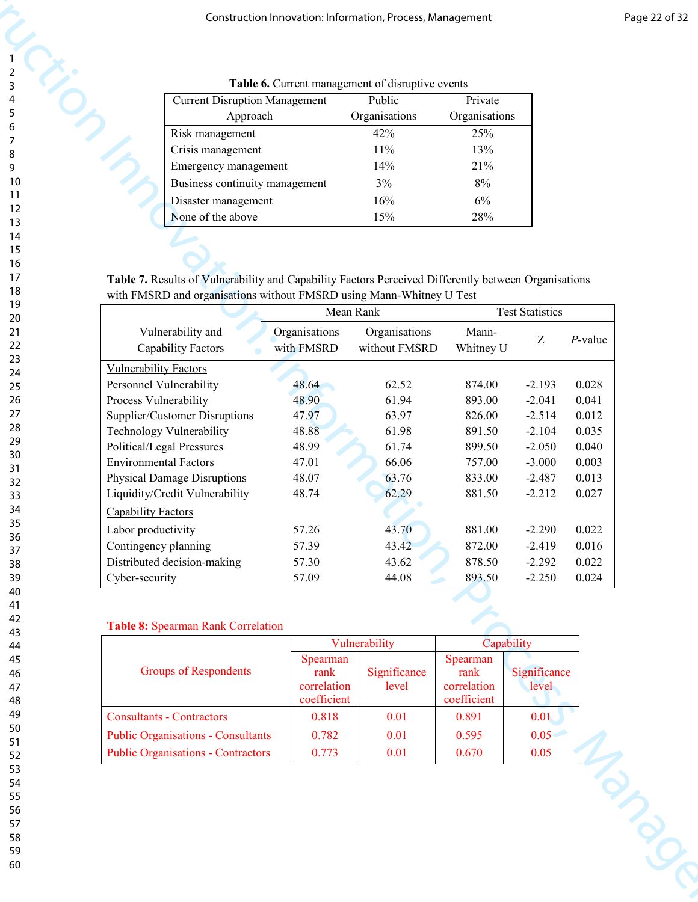| Table 6. Current management of disruptive events |               |               |  |  |  |  |  |  |
|--------------------------------------------------|---------------|---------------|--|--|--|--|--|--|
| <b>Current Disruption Management</b>             | Public        | Private       |  |  |  |  |  |  |
| Approach                                         | Organisations | Organisations |  |  |  |  |  |  |
| Risk management                                  | 42%           | 25%           |  |  |  |  |  |  |
| Crisis management                                | 11%           | 13%           |  |  |  |  |  |  |
| Emergency management                             | 14%           | 21%           |  |  |  |  |  |  |
| Business continuity management                   | 3%            | 8%            |  |  |  |  |  |  |
| Disaster management                              | 16%           | 6%            |  |  |  |  |  |  |
| None of the above                                | 15%           | 28%           |  |  |  |  |  |  |
|                                                  |               |               |  |  |  |  |  |  |

|                    | <b>Current Disruption Management</b>                                                                 |                                                | Table 6. Current management of disruptive events<br>Public | Private                            |                        |                |
|--------------------|------------------------------------------------------------------------------------------------------|------------------------------------------------|------------------------------------------------------------|------------------------------------|------------------------|----------------|
|                    | Approach                                                                                             |                                                | Organisations                                              | Organisations                      |                        |                |
|                    | Risk management                                                                                      |                                                | 42%                                                        | 25%                                |                        |                |
|                    | Crisis management                                                                                    |                                                | 11%                                                        | 13%                                |                        |                |
|                    | Emergency management                                                                                 |                                                | 14%                                                        | 21%                                |                        |                |
|                    | Business continuity management                                                                       |                                                | 3%                                                         | 8%                                 |                        |                |
|                    | Disaster management                                                                                  |                                                | 16%                                                        | 6%                                 |                        |                |
|                    | None of the above                                                                                    |                                                | 15%                                                        | 28%                                |                        |                |
|                    |                                                                                                      |                                                |                                                            |                                    |                        |                |
|                    |                                                                                                      |                                                |                                                            |                                    |                        |                |
|                    | Table 7. Results of Vulnerability and Capability Factors Perceived Differently between Organisations |                                                |                                                            |                                    |                        |                |
|                    | with FMSRD and organisations without FMSRD using Mann-Whitney U Test                                 |                                                |                                                            |                                    |                        |                |
|                    |                                                                                                      | Mean Rank                                      |                                                            |                                    | <b>Test Statistics</b> |                |
|                    | Vulnerability and                                                                                    | Organisations                                  | Organisations                                              | Mann-                              | Z                      | $P$ -value     |
|                    | <b>Capability Factors</b>                                                                            | with FMSRD                                     | without FMSRD                                              | Whitney U                          |                        |                |
|                    | <b>Vulnerability Factors</b>                                                                         |                                                |                                                            |                                    |                        |                |
|                    | Personnel Vulnerability<br>Process Vulnerability                                                     | 48.64<br>48.90                                 | 62.52<br>61.94                                             | 874.00<br>893.00                   | $-2.193$<br>$-2.041$   | 0.028<br>0.041 |
|                    | Supplier/Customer Disruptions                                                                        | 47.97                                          | 63.97                                                      | 826.00                             | $-2.514$               | 0.012          |
|                    | Technology Vulnerability                                                                             | 48.88                                          | 61.98                                                      | 891.50                             | $-2.104$               | 0.035          |
|                    | Political/Legal Pressures                                                                            | 48.99                                          | 61.74                                                      | 899.50                             | $-2.050$               | 0.040          |
|                    | <b>Environmental Factors</b>                                                                         | 47.01                                          | 66.06                                                      | 757.00                             | $-3.000$               | 0.003          |
|                    | <b>Physical Damage Disruptions</b>                                                                   | 48.07                                          | 63.76                                                      | 833.00                             | $-2.487$               | 0.013          |
| Capability Factors | Liquidity/Credit Vulnerability                                                                       | 48.74                                          | 62.29                                                      | 881.50                             | $-2.212$               | 0.027          |
| Labor productivity |                                                                                                      | 57.26                                          | 43.70                                                      | 881.00                             | $-2.290$               | 0.022          |
|                    | Contingency planning                                                                                 | 57.39                                          | 43.42                                                      | 872.00                             | $-2.419$               | 0.016          |
|                    | Distributed decision-making                                                                          | 57.30                                          | 43.62                                                      | 878.50                             | $-2.292$               | 0.022          |
| Cyber-security     |                                                                                                      | 57.09                                          | 44.08                                                      | 893.50                             | $-2.250$               | 0.024          |
|                    | Table 8: Spearman Rank Correlation                                                                   |                                                | Vulnerability                                              | Spearman                           | Capability             |                |
|                    | <b>Groups of Respondents</b>                                                                         | Spearman<br>rank<br>correlation<br>coefficient | Significance<br>level                                      | rank<br>correlation<br>coefficient | Significance<br>level  |                |
|                    | <b>Consultants - Contractors</b>                                                                     | 0.818                                          | 0.01                                                       | 0.891                              | 0.01                   |                |
|                    | <b>Public Organisations - Consultants</b>                                                            | 0.782<br>0.773                                 | 0.01<br>0.01                                               | 0.595<br>0.670                     | 0.05<br>0.05           |                |
|                    | <b>Public Organisations - Contractors</b>                                                            |                                                |                                                            |                                    |                        | TON DOC        |

#### Table 8: Spearman Rank Correlation

|                                           |                                                | Vulnerability         | Capability                                     |                       |  |
|-------------------------------------------|------------------------------------------------|-----------------------|------------------------------------------------|-----------------------|--|
| <b>Groups of Respondents</b>              | Spearman<br>rank<br>correlation<br>coefficient | Significance<br>level | Spearman<br>rank<br>correlation<br>coefficient | Significance<br>level |  |
| <b>Consultants - Contractors</b>          | 0.818                                          | 0.01                  | 0.891                                          | 0.01                  |  |
| <b>Public Organisations - Consultants</b> | 0.782                                          | 0.01                  | 0.595                                          | 0.05                  |  |
| <b>Public Organisations - Contractors</b> | 0.773                                          | 0.01                  | 0.670                                          | 0.05                  |  |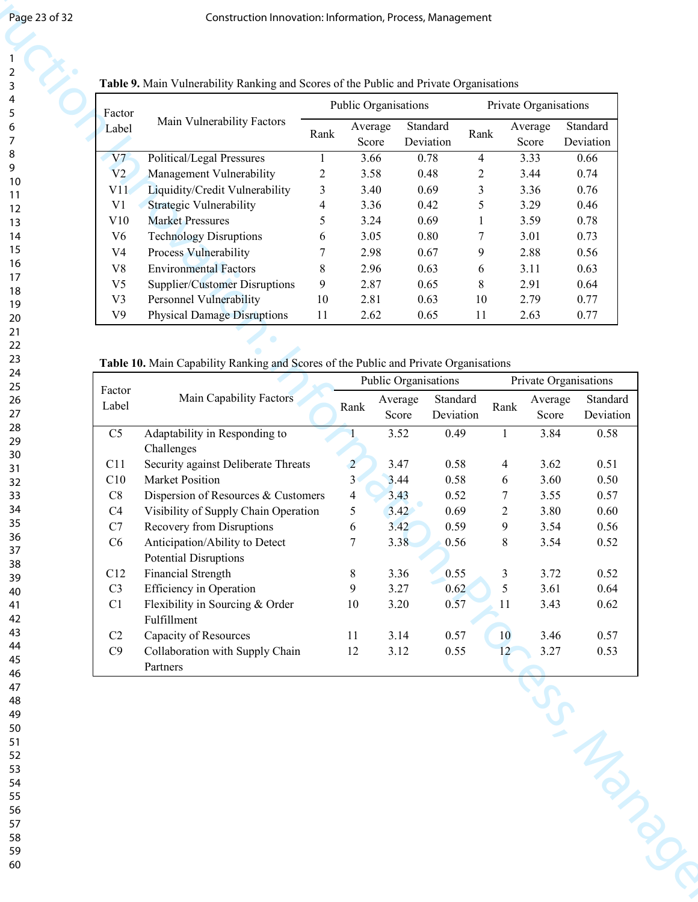| Factor         |                                    |                | <b>Public Organisations</b> |                       | Private Organisations |                  |                       |  |
|----------------|------------------------------------|----------------|-----------------------------|-----------------------|-----------------------|------------------|-----------------------|--|
| Label          | Main Vulnerability Factors         | Rank           | Average<br>Score            | Standard<br>Deviation | Rank                  | Average<br>Score | Standard<br>Deviation |  |
| V <sub>7</sub> | Political/Legal Pressures          |                | 3.66                        | 0.78                  | 4                     | 3.33             | 0.66                  |  |
| V2             | Management Vulnerability           | $\overline{2}$ | 3.58                        | 0.48                  | 2                     | 3.44             | 0.74                  |  |
| V11            | Liquidity/Credit Vulnerability     | 3              | 3.40                        | 0.69                  | 3                     | 3.36             | 0.76                  |  |
| V1             | Strategic Vulnerability            | 4              | 3.36                        | 0.42                  | 5                     | 3.29             | 0.46                  |  |
| V10            | <b>Market Pressures</b>            | 5              | 3.24                        | 0.69                  |                       | 3.59             | 0.78                  |  |
| V6             | <b>Technology Disruptions</b>      | 6              | 3.05                        | 0.80                  |                       | 3.01             | 0.73                  |  |
| V4             | Process Vulnerability              | 7              | 2.98                        | 0.67                  | 9                     | 2.88             | 0.56                  |  |
| V8             | <b>Environmental Factors</b>       | 8              | 2.96                        | 0.63                  | 6                     | 3.11             | 0.63                  |  |
| V5             | Supplier/Customer Disruptions      | 9              | 2.87                        | 0.65                  | 8                     | 2.91             | 0.64                  |  |
| V <sub>3</sub> | <b>Personnel Vulnerability</b>     | 10             | 2.81                        | 0.63                  | 10                    | 2.79             | 0.77                  |  |
| V9             | <b>Physical Damage Disruptions</b> | 11             | 2.62                        | 0.65                  | 11                    | 2.63             | 0.77                  |  |

#### **Table 9. Main Vulnerability Ranking and Scores of the Public and Private Organisations**

#### Table 10. Main Capability Ranking and Scores of the Public and Private Organisations

| Factor<br>Main Vulnerability Factors<br>Standard<br>Standard<br>Average<br>Average<br>Label<br>Rank<br>Rank<br>Deviation<br>Deviation<br>Score<br>Score<br>3.66<br>3.33<br>V7<br>Political/Legal Pressures<br>0.78<br>0.66<br>$\overline{4}$<br>1<br>V <sub>2</sub><br>Management Vulnerability<br>0.74<br>$\overline{2}$<br>3.58<br>0.48<br>3.44<br>$\overline{2}$<br>Liquidity/Credit Vulnerability<br>0.76<br>$\mathfrak{Z}$<br>0.69<br>3<br>3.36<br>V11<br>3.40<br>Strategic Vulnerability<br>V <sub>1</sub><br>0.42<br>5<br>3.29<br>0.46<br>$\overline{4}$<br>3.36<br>5<br>0.78<br>V10<br><b>Market Pressures</b><br>3.24<br>0.69<br>3.59<br><b>Technology Disruptions</b><br>0.73<br>V <sub>6</sub><br>0.80<br>3.01<br>3.05<br>7<br>6<br>V <sub>4</sub><br>Process Vulnerability<br>7<br>2.98<br>0.67<br>2.88<br>0.56<br>9<br><b>Environmental Factors</b><br>V8<br>8<br>0.63<br>2.96<br>0.63<br>3.11<br>6<br>V <sub>5</sub><br>9<br>Supplier/Customer Disruptions<br>2.87<br>0.65<br>2.91<br>0.64<br>8<br>Personnel Vulnerability<br>V <sub>3</sub><br>10<br>2.81<br>2.79<br>0.77<br>0.63<br>10<br>V <sub>9</sub><br><b>Physical Damage Disruptions</b><br>11<br>2.62<br>0.65<br>2.63<br>0.77<br>11<br>Table 10. Main Capability Ranking and Scores of the Public and Private Organisations<br>Public Organisations<br>Private Organisations<br>Factor<br>Main Capability Factors<br>Standard<br>Average<br>Average<br>Label<br>Rank<br>Rank<br>Score<br>Deviation<br>Score<br>C <sub>5</sub><br>Adaptability in Responding to<br>3.52<br>0.49<br>3.84<br>0.58<br>$\mathbf{1}$<br>Challenges<br>Security against Deliberate Threats<br>3.47<br>0.58<br>0.51<br>C11<br>$\overline{2}$<br>3.62<br>$\overline{4}$<br>3 <sup>1</sup><br>Market Position<br>C10<br>3.44<br>0.58<br>3.60<br>0.50<br>6<br>$\rm C8$<br>Dispersion of Resources & Customers<br>3.43<br>0.52<br>0.57<br>$\overline{4}$<br>$\tau$<br>3.55<br>3.42<br>Visibility of Supply Chain Operation<br>0.69<br>C4<br>5<br>$\overline{2}$<br>3.80<br>0.60<br>C7<br>Recovery from Disruptions<br>3.42<br>0.59<br>9<br>0.56<br>6<br>3.54<br>C6<br>Anticipation/Ability to Detect<br>$\tau$<br>3.38<br>0.56<br>8<br>3.54<br>0.52<br><b>Potential Disruptions</b><br><b>Financial Strength</b><br>C12<br>8<br>3.36<br>0.55<br>3<br>3.72<br>0.52<br><b>Efficiency</b> in Operation<br>9<br>5<br>3.61<br>C <sub>3</sub><br>3.27<br>0.62<br>0.64<br>Flexibility in Sourcing & Order<br>C1<br>10<br>3.20<br>0.57<br>3.43<br>0.62<br>11<br>Fulfillment<br>Capacity of Resources<br>C2<br>3.14<br>0.57<br>10<br>3.46<br>0.57<br>11<br>C9<br>3.12<br>3.27<br>Collaboration with Supply Chain<br>12<br>0.55<br>0.53<br>12 | Partners |  |  |  | US Manus |  |  |  |  |                       |  |  |  |  |  |  |  |  |  |  |  |  |  |  |  |  |  |  |  |  |
|--------------------------------------------------------------------------------------------------------------------------------------------------------------------------------------------------------------------------------------------------------------------------------------------------------------------------------------------------------------------------------------------------------------------------------------------------------------------------------------------------------------------------------------------------------------------------------------------------------------------------------------------------------------------------------------------------------------------------------------------------------------------------------------------------------------------------------------------------------------------------------------------------------------------------------------------------------------------------------------------------------------------------------------------------------------------------------------------------------------------------------------------------------------------------------------------------------------------------------------------------------------------------------------------------------------------------------------------------------------------------------------------------------------------------------------------------------------------------------------------------------------------------------------------------------------------------------------------------------------------------------------------------------------------------------------------------------------------------------------------------------------------------------------------------------------------------------------------------------------------------------------------------------------------------------------------------------------------------------------------------------------------------------------------------------------------------------------------------------------------------------------------------------------------------------------------------------------------------------------------------------------------------------------------------------------------------------------------------------------------------------------------------------------------------------------------------------------------------------------------------------------------------------------------------------------------------------------------------------------------------------------------------------------------------------|----------|--|--|--|----------|--|--|--|--|-----------------------|--|--|--|--|--|--|--|--|--|--|--|--|--|--|--|--|--|--|--|--|
|                                                                                                                                                                                                                                                                                                                                                                                                                                                                                                                                                                                                                                                                                                                                                                                                                                                                                                                                                                                                                                                                                                                                                                                                                                                                                                                                                                                                                                                                                                                                                                                                                                                                                                                                                                                                                                                                                                                                                                                                                                                                                                                                                                                                                                                                                                                                                                                                                                                                                                                                                                                                                                                                                |          |  |  |  |          |  |  |  |  |                       |  |  |  |  |  |  |  |  |  |  |  |  |  |  |  |  |  |  |  |  |
|                                                                                                                                                                                                                                                                                                                                                                                                                                                                                                                                                                                                                                                                                                                                                                                                                                                                                                                                                                                                                                                                                                                                                                                                                                                                                                                                                                                                                                                                                                                                                                                                                                                                                                                                                                                                                                                                                                                                                                                                                                                                                                                                                                                                                                                                                                                                                                                                                                                                                                                                                                                                                                                                                |          |  |  |  |          |  |  |  |  |                       |  |  |  |  |  |  |  |  |  |  |  |  |  |  |  |  |  |  |  |  |
|                                                                                                                                                                                                                                                                                                                                                                                                                                                                                                                                                                                                                                                                                                                                                                                                                                                                                                                                                                                                                                                                                                                                                                                                                                                                                                                                                                                                                                                                                                                                                                                                                                                                                                                                                                                                                                                                                                                                                                                                                                                                                                                                                                                                                                                                                                                                                                                                                                                                                                                                                                                                                                                                                |          |  |  |  |          |  |  |  |  |                       |  |  |  |  |  |  |  |  |  |  |  |  |  |  |  |  |  |  |  |  |
|                                                                                                                                                                                                                                                                                                                                                                                                                                                                                                                                                                                                                                                                                                                                                                                                                                                                                                                                                                                                                                                                                                                                                                                                                                                                                                                                                                                                                                                                                                                                                                                                                                                                                                                                                                                                                                                                                                                                                                                                                                                                                                                                                                                                                                                                                                                                                                                                                                                                                                                                                                                                                                                                                |          |  |  |  |          |  |  |  |  |                       |  |  |  |  |  |  |  |  |  |  |  |  |  |  |  |  |  |  |  |  |
|                                                                                                                                                                                                                                                                                                                                                                                                                                                                                                                                                                                                                                                                                                                                                                                                                                                                                                                                                                                                                                                                                                                                                                                                                                                                                                                                                                                                                                                                                                                                                                                                                                                                                                                                                                                                                                                                                                                                                                                                                                                                                                                                                                                                                                                                                                                                                                                                                                                                                                                                                                                                                                                                                |          |  |  |  |          |  |  |  |  |                       |  |  |  |  |  |  |  |  |  |  |  |  |  |  |  |  |  |  |  |  |
|                                                                                                                                                                                                                                                                                                                                                                                                                                                                                                                                                                                                                                                                                                                                                                                                                                                                                                                                                                                                                                                                                                                                                                                                                                                                                                                                                                                                                                                                                                                                                                                                                                                                                                                                                                                                                                                                                                                                                                                                                                                                                                                                                                                                                                                                                                                                                                                                                                                                                                                                                                                                                                                                                |          |  |  |  |          |  |  |  |  |                       |  |  |  |  |  |  |  |  |  |  |  |  |  |  |  |  |  |  |  |  |
|                                                                                                                                                                                                                                                                                                                                                                                                                                                                                                                                                                                                                                                                                                                                                                                                                                                                                                                                                                                                                                                                                                                                                                                                                                                                                                                                                                                                                                                                                                                                                                                                                                                                                                                                                                                                                                                                                                                                                                                                                                                                                                                                                                                                                                                                                                                                                                                                                                                                                                                                                                                                                                                                                |          |  |  |  |          |  |  |  |  |                       |  |  |  |  |  |  |  |  |  |  |  |  |  |  |  |  |  |  |  |  |
|                                                                                                                                                                                                                                                                                                                                                                                                                                                                                                                                                                                                                                                                                                                                                                                                                                                                                                                                                                                                                                                                                                                                                                                                                                                                                                                                                                                                                                                                                                                                                                                                                                                                                                                                                                                                                                                                                                                                                                                                                                                                                                                                                                                                                                                                                                                                                                                                                                                                                                                                                                                                                                                                                |          |  |  |  |          |  |  |  |  |                       |  |  |  |  |  |  |  |  |  |  |  |  |  |  |  |  |  |  |  |  |
|                                                                                                                                                                                                                                                                                                                                                                                                                                                                                                                                                                                                                                                                                                                                                                                                                                                                                                                                                                                                                                                                                                                                                                                                                                                                                                                                                                                                                                                                                                                                                                                                                                                                                                                                                                                                                                                                                                                                                                                                                                                                                                                                                                                                                                                                                                                                                                                                                                                                                                                                                                                                                                                                                |          |  |  |  |          |  |  |  |  |                       |  |  |  |  |  |  |  |  |  |  |  |  |  |  |  |  |  |  |  |  |
|                                                                                                                                                                                                                                                                                                                                                                                                                                                                                                                                                                                                                                                                                                                                                                                                                                                                                                                                                                                                                                                                                                                                                                                                                                                                                                                                                                                                                                                                                                                                                                                                                                                                                                                                                                                                                                                                                                                                                                                                                                                                                                                                                                                                                                                                                                                                                                                                                                                                                                                                                                                                                                                                                |          |  |  |  |          |  |  |  |  |                       |  |  |  |  |  |  |  |  |  |  |  |  |  |  |  |  |  |  |  |  |
|                                                                                                                                                                                                                                                                                                                                                                                                                                                                                                                                                                                                                                                                                                                                                                                                                                                                                                                                                                                                                                                                                                                                                                                                                                                                                                                                                                                                                                                                                                                                                                                                                                                                                                                                                                                                                                                                                                                                                                                                                                                                                                                                                                                                                                                                                                                                                                                                                                                                                                                                                                                                                                                                                |          |  |  |  |          |  |  |  |  |                       |  |  |  |  |  |  |  |  |  |  |  |  |  |  |  |  |  |  |  |  |
|                                                                                                                                                                                                                                                                                                                                                                                                                                                                                                                                                                                                                                                                                                                                                                                                                                                                                                                                                                                                                                                                                                                                                                                                                                                                                                                                                                                                                                                                                                                                                                                                                                                                                                                                                                                                                                                                                                                                                                                                                                                                                                                                                                                                                                                                                                                                                                                                                                                                                                                                                                                                                                                                                |          |  |  |  |          |  |  |  |  | Standard<br>Deviation |  |  |  |  |  |  |  |  |  |  |  |  |  |  |  |  |  |  |  |  |
|                                                                                                                                                                                                                                                                                                                                                                                                                                                                                                                                                                                                                                                                                                                                                                                                                                                                                                                                                                                                                                                                                                                                                                                                                                                                                                                                                                                                                                                                                                                                                                                                                                                                                                                                                                                                                                                                                                                                                                                                                                                                                                                                                                                                                                                                                                                                                                                                                                                                                                                                                                                                                                                                                |          |  |  |  |          |  |  |  |  |                       |  |  |  |  |  |  |  |  |  |  |  |  |  |  |  |  |  |  |  |  |
|                                                                                                                                                                                                                                                                                                                                                                                                                                                                                                                                                                                                                                                                                                                                                                                                                                                                                                                                                                                                                                                                                                                                                                                                                                                                                                                                                                                                                                                                                                                                                                                                                                                                                                                                                                                                                                                                                                                                                                                                                                                                                                                                                                                                                                                                                                                                                                                                                                                                                                                                                                                                                                                                                |          |  |  |  |          |  |  |  |  |                       |  |  |  |  |  |  |  |  |  |  |  |  |  |  |  |  |  |  |  |  |
|                                                                                                                                                                                                                                                                                                                                                                                                                                                                                                                                                                                                                                                                                                                                                                                                                                                                                                                                                                                                                                                                                                                                                                                                                                                                                                                                                                                                                                                                                                                                                                                                                                                                                                                                                                                                                                                                                                                                                                                                                                                                                                                                                                                                                                                                                                                                                                                                                                                                                                                                                                                                                                                                                |          |  |  |  |          |  |  |  |  |                       |  |  |  |  |  |  |  |  |  |  |  |  |  |  |  |  |  |  |  |  |
|                                                                                                                                                                                                                                                                                                                                                                                                                                                                                                                                                                                                                                                                                                                                                                                                                                                                                                                                                                                                                                                                                                                                                                                                                                                                                                                                                                                                                                                                                                                                                                                                                                                                                                                                                                                                                                                                                                                                                                                                                                                                                                                                                                                                                                                                                                                                                                                                                                                                                                                                                                                                                                                                                |          |  |  |  |          |  |  |  |  |                       |  |  |  |  |  |  |  |  |  |  |  |  |  |  |  |  |  |  |  |  |
|                                                                                                                                                                                                                                                                                                                                                                                                                                                                                                                                                                                                                                                                                                                                                                                                                                                                                                                                                                                                                                                                                                                                                                                                                                                                                                                                                                                                                                                                                                                                                                                                                                                                                                                                                                                                                                                                                                                                                                                                                                                                                                                                                                                                                                                                                                                                                                                                                                                                                                                                                                                                                                                                                |          |  |  |  |          |  |  |  |  |                       |  |  |  |  |  |  |  |  |  |  |  |  |  |  |  |  |  |  |  |  |
|                                                                                                                                                                                                                                                                                                                                                                                                                                                                                                                                                                                                                                                                                                                                                                                                                                                                                                                                                                                                                                                                                                                                                                                                                                                                                                                                                                                                                                                                                                                                                                                                                                                                                                                                                                                                                                                                                                                                                                                                                                                                                                                                                                                                                                                                                                                                                                                                                                                                                                                                                                                                                                                                                |          |  |  |  |          |  |  |  |  |                       |  |  |  |  |  |  |  |  |  |  |  |  |  |  |  |  |  |  |  |  |
|                                                                                                                                                                                                                                                                                                                                                                                                                                                                                                                                                                                                                                                                                                                                                                                                                                                                                                                                                                                                                                                                                                                                                                                                                                                                                                                                                                                                                                                                                                                                                                                                                                                                                                                                                                                                                                                                                                                                                                                                                                                                                                                                                                                                                                                                                                                                                                                                                                                                                                                                                                                                                                                                                |          |  |  |  |          |  |  |  |  |                       |  |  |  |  |  |  |  |  |  |  |  |  |  |  |  |  |  |  |  |  |
|                                                                                                                                                                                                                                                                                                                                                                                                                                                                                                                                                                                                                                                                                                                                                                                                                                                                                                                                                                                                                                                                                                                                                                                                                                                                                                                                                                                                                                                                                                                                                                                                                                                                                                                                                                                                                                                                                                                                                                                                                                                                                                                                                                                                                                                                                                                                                                                                                                                                                                                                                                                                                                                                                |          |  |  |  |          |  |  |  |  |                       |  |  |  |  |  |  |  |  |  |  |  |  |  |  |  |  |  |  |  |  |
|                                                                                                                                                                                                                                                                                                                                                                                                                                                                                                                                                                                                                                                                                                                                                                                                                                                                                                                                                                                                                                                                                                                                                                                                                                                                                                                                                                                                                                                                                                                                                                                                                                                                                                                                                                                                                                                                                                                                                                                                                                                                                                                                                                                                                                                                                                                                                                                                                                                                                                                                                                                                                                                                                |          |  |  |  |          |  |  |  |  |                       |  |  |  |  |  |  |  |  |  |  |  |  |  |  |  |  |  |  |  |  |
|                                                                                                                                                                                                                                                                                                                                                                                                                                                                                                                                                                                                                                                                                                                                                                                                                                                                                                                                                                                                                                                                                                                                                                                                                                                                                                                                                                                                                                                                                                                                                                                                                                                                                                                                                                                                                                                                                                                                                                                                                                                                                                                                                                                                                                                                                                                                                                                                                                                                                                                                                                                                                                                                                |          |  |  |  |          |  |  |  |  |                       |  |  |  |  |  |  |  |  |  |  |  |  |  |  |  |  |  |  |  |  |
|                                                                                                                                                                                                                                                                                                                                                                                                                                                                                                                                                                                                                                                                                                                                                                                                                                                                                                                                                                                                                                                                                                                                                                                                                                                                                                                                                                                                                                                                                                                                                                                                                                                                                                                                                                                                                                                                                                                                                                                                                                                                                                                                                                                                                                                                                                                                                                                                                                                                                                                                                                                                                                                                                |          |  |  |  |          |  |  |  |  |                       |  |  |  |  |  |  |  |  |  |  |  |  |  |  |  |  |  |  |  |  |
|                                                                                                                                                                                                                                                                                                                                                                                                                                                                                                                                                                                                                                                                                                                                                                                                                                                                                                                                                                                                                                                                                                                                                                                                                                                                                                                                                                                                                                                                                                                                                                                                                                                                                                                                                                                                                                                                                                                                                                                                                                                                                                                                                                                                                                                                                                                                                                                                                                                                                                                                                                                                                                                                                |          |  |  |  |          |  |  |  |  |                       |  |  |  |  |  |  |  |  |  |  |  |  |  |  |  |  |  |  |  |  |
|                                                                                                                                                                                                                                                                                                                                                                                                                                                                                                                                                                                                                                                                                                                                                                                                                                                                                                                                                                                                                                                                                                                                                                                                                                                                                                                                                                                                                                                                                                                                                                                                                                                                                                                                                                                                                                                                                                                                                                                                                                                                                                                                                                                                                                                                                                                                                                                                                                                                                                                                                                                                                                                                                |          |  |  |  |          |  |  |  |  |                       |  |  |  |  |  |  |  |  |  |  |  |  |  |  |  |  |  |  |  |  |
|                                                                                                                                                                                                                                                                                                                                                                                                                                                                                                                                                                                                                                                                                                                                                                                                                                                                                                                                                                                                                                                                                                                                                                                                                                                                                                                                                                                                                                                                                                                                                                                                                                                                                                                                                                                                                                                                                                                                                                                                                                                                                                                                                                                                                                                                                                                                                                                                                                                                                                                                                                                                                                                                                |          |  |  |  |          |  |  |  |  |                       |  |  |  |  |  |  |  |  |  |  |  |  |  |  |  |  |  |  |  |  |
|                                                                                                                                                                                                                                                                                                                                                                                                                                                                                                                                                                                                                                                                                                                                                                                                                                                                                                                                                                                                                                                                                                                                                                                                                                                                                                                                                                                                                                                                                                                                                                                                                                                                                                                                                                                                                                                                                                                                                                                                                                                                                                                                                                                                                                                                                                                                                                                                                                                                                                                                                                                                                                                                                |          |  |  |  |          |  |  |  |  |                       |  |  |  |  |  |  |  |  |  |  |  |  |  |  |  |  |  |  |  |  |
|                                                                                                                                                                                                                                                                                                                                                                                                                                                                                                                                                                                                                                                                                                                                                                                                                                                                                                                                                                                                                                                                                                                                                                                                                                                                                                                                                                                                                                                                                                                                                                                                                                                                                                                                                                                                                                                                                                                                                                                                                                                                                                                                                                                                                                                                                                                                                                                                                                                                                                                                                                                                                                                                                |          |  |  |  |          |  |  |  |  |                       |  |  |  |  |  |  |  |  |  |  |  |  |  |  |  |  |  |  |  |  |
|                                                                                                                                                                                                                                                                                                                                                                                                                                                                                                                                                                                                                                                                                                                                                                                                                                                                                                                                                                                                                                                                                                                                                                                                                                                                                                                                                                                                                                                                                                                                                                                                                                                                                                                                                                                                                                                                                                                                                                                                                                                                                                                                                                                                                                                                                                                                                                                                                                                                                                                                                                                                                                                                                |          |  |  |  |          |  |  |  |  |                       |  |  |  |  |  |  |  |  |  |  |  |  |  |  |  |  |  |  |  |  |
|                                                                                                                                                                                                                                                                                                                                                                                                                                                                                                                                                                                                                                                                                                                                                                                                                                                                                                                                                                                                                                                                                                                                                                                                                                                                                                                                                                                                                                                                                                                                                                                                                                                                                                                                                                                                                                                                                                                                                                                                                                                                                                                                                                                                                                                                                                                                                                                                                                                                                                                                                                                                                                                                                |          |  |  |  |          |  |  |  |  |                       |  |  |  |  |  |  |  |  |  |  |  |  |  |  |  |  |  |  |  |  |
|                                                                                                                                                                                                                                                                                                                                                                                                                                                                                                                                                                                                                                                                                                                                                                                                                                                                                                                                                                                                                                                                                                                                                                                                                                                                                                                                                                                                                                                                                                                                                                                                                                                                                                                                                                                                                                                                                                                                                                                                                                                                                                                                                                                                                                                                                                                                                                                                                                                                                                                                                                                                                                                                                |          |  |  |  |          |  |  |  |  |                       |  |  |  |  |  |  |  |  |  |  |  |  |  |  |  |  |  |  |  |  |
|                                                                                                                                                                                                                                                                                                                                                                                                                                                                                                                                                                                                                                                                                                                                                                                                                                                                                                                                                                                                                                                                                                                                                                                                                                                                                                                                                                                                                                                                                                                                                                                                                                                                                                                                                                                                                                                                                                                                                                                                                                                                                                                                                                                                                                                                                                                                                                                                                                                                                                                                                                                                                                                                                |          |  |  |  |          |  |  |  |  |                       |  |  |  |  |  |  |  |  |  |  |  |  |  |  |  |  |  |  |  |  |
|                                                                                                                                                                                                                                                                                                                                                                                                                                                                                                                                                                                                                                                                                                                                                                                                                                                                                                                                                                                                                                                                                                                                                                                                                                                                                                                                                                                                                                                                                                                                                                                                                                                                                                                                                                                                                                                                                                                                                                                                                                                                                                                                                                                                                                                                                                                                                                                                                                                                                                                                                                                                                                                                                |          |  |  |  |          |  |  |  |  |                       |  |  |  |  |  |  |  |  |  |  |  |  |  |  |  |  |  |  |  |  |
|                                                                                                                                                                                                                                                                                                                                                                                                                                                                                                                                                                                                                                                                                                                                                                                                                                                                                                                                                                                                                                                                                                                                                                                                                                                                                                                                                                                                                                                                                                                                                                                                                                                                                                                                                                                                                                                                                                                                                                                                                                                                                                                                                                                                                                                                                                                                                                                                                                                                                                                                                                                                                                                                                |          |  |  |  |          |  |  |  |  |                       |  |  |  |  |  |  |  |  |  |  |  |  |  |  |  |  |  |  |  |  |
|                                                                                                                                                                                                                                                                                                                                                                                                                                                                                                                                                                                                                                                                                                                                                                                                                                                                                                                                                                                                                                                                                                                                                                                                                                                                                                                                                                                                                                                                                                                                                                                                                                                                                                                                                                                                                                                                                                                                                                                                                                                                                                                                                                                                                                                                                                                                                                                                                                                                                                                                                                                                                                                                                |          |  |  |  |          |  |  |  |  |                       |  |  |  |  |  |  |  |  |  |  |  |  |  |  |  |  |  |  |  |  |
|                                                                                                                                                                                                                                                                                                                                                                                                                                                                                                                                                                                                                                                                                                                                                                                                                                                                                                                                                                                                                                                                                                                                                                                                                                                                                                                                                                                                                                                                                                                                                                                                                                                                                                                                                                                                                                                                                                                                                                                                                                                                                                                                                                                                                                                                                                                                                                                                                                                                                                                                                                                                                                                                                |          |  |  |  |          |  |  |  |  |                       |  |  |  |  |  |  |  |  |  |  |  |  |  |  |  |  |  |  |  |  |
|                                                                                                                                                                                                                                                                                                                                                                                                                                                                                                                                                                                                                                                                                                                                                                                                                                                                                                                                                                                                                                                                                                                                                                                                                                                                                                                                                                                                                                                                                                                                                                                                                                                                                                                                                                                                                                                                                                                                                                                                                                                                                                                                                                                                                                                                                                                                                                                                                                                                                                                                                                                                                                                                                |          |  |  |  |          |  |  |  |  |                       |  |  |  |  |  |  |  |  |  |  |  |  |  |  |  |  |  |  |  |  |
|                                                                                                                                                                                                                                                                                                                                                                                                                                                                                                                                                                                                                                                                                                                                                                                                                                                                                                                                                                                                                                                                                                                                                                                                                                                                                                                                                                                                                                                                                                                                                                                                                                                                                                                                                                                                                                                                                                                                                                                                                                                                                                                                                                                                                                                                                                                                                                                                                                                                                                                                                                                                                                                                                |          |  |  |  |          |  |  |  |  |                       |  |  |  |  |  |  |  |  |  |  |  |  |  |  |  |  |  |  |  |  |
|                                                                                                                                                                                                                                                                                                                                                                                                                                                                                                                                                                                                                                                                                                                                                                                                                                                                                                                                                                                                                                                                                                                                                                                                                                                                                                                                                                                                                                                                                                                                                                                                                                                                                                                                                                                                                                                                                                                                                                                                                                                                                                                                                                                                                                                                                                                                                                                                                                                                                                                                                                                                                                                                                |          |  |  |  |          |  |  |  |  |                       |  |  |  |  |  |  |  |  |  |  |  |  |  |  |  |  |  |  |  |  |
|                                                                                                                                                                                                                                                                                                                                                                                                                                                                                                                                                                                                                                                                                                                                                                                                                                                                                                                                                                                                                                                                                                                                                                                                                                                                                                                                                                                                                                                                                                                                                                                                                                                                                                                                                                                                                                                                                                                                                                                                                                                                                                                                                                                                                                                                                                                                                                                                                                                                                                                                                                                                                                                                                |          |  |  |  |          |  |  |  |  |                       |  |  |  |  |  |  |  |  |  |  |  |  |  |  |  |  |  |  |  |  |
|                                                                                                                                                                                                                                                                                                                                                                                                                                                                                                                                                                                                                                                                                                                                                                                                                                                                                                                                                                                                                                                                                                                                                                                                                                                                                                                                                                                                                                                                                                                                                                                                                                                                                                                                                                                                                                                                                                                                                                                                                                                                                                                                                                                                                                                                                                                                                                                                                                                                                                                                                                                                                                                                                |          |  |  |  |          |  |  |  |  |                       |  |  |  |  |  |  |  |  |  |  |  |  |  |  |  |  |  |  |  |  |
|                                                                                                                                                                                                                                                                                                                                                                                                                                                                                                                                                                                                                                                                                                                                                                                                                                                                                                                                                                                                                                                                                                                                                                                                                                                                                                                                                                                                                                                                                                                                                                                                                                                                                                                                                                                                                                                                                                                                                                                                                                                                                                                                                                                                                                                                                                                                                                                                                                                                                                                                                                                                                                                                                |          |  |  |  |          |  |  |  |  |                       |  |  |  |  |  |  |  |  |  |  |  |  |  |  |  |  |  |  |  |  |
|                                                                                                                                                                                                                                                                                                                                                                                                                                                                                                                                                                                                                                                                                                                                                                                                                                                                                                                                                                                                                                                                                                                                                                                                                                                                                                                                                                                                                                                                                                                                                                                                                                                                                                                                                                                                                                                                                                                                                                                                                                                                                                                                                                                                                                                                                                                                                                                                                                                                                                                                                                                                                                                                                |          |  |  |  |          |  |  |  |  |                       |  |  |  |  |  |  |  |  |  |  |  |  |  |  |  |  |  |  |  |  |
|                                                                                                                                                                                                                                                                                                                                                                                                                                                                                                                                                                                                                                                                                                                                                                                                                                                                                                                                                                                                                                                                                                                                                                                                                                                                                                                                                                                                                                                                                                                                                                                                                                                                                                                                                                                                                                                                                                                                                                                                                                                                                                                                                                                                                                                                                                                                                                                                                                                                                                                                                                                                                                                                                |          |  |  |  |          |  |  |  |  |                       |  |  |  |  |  |  |  |  |  |  |  |  |  |  |  |  |  |  |  |  |
|                                                                                                                                                                                                                                                                                                                                                                                                                                                                                                                                                                                                                                                                                                                                                                                                                                                                                                                                                                                                                                                                                                                                                                                                                                                                                                                                                                                                                                                                                                                                                                                                                                                                                                                                                                                                                                                                                                                                                                                                                                                                                                                                                                                                                                                                                                                                                                                                                                                                                                                                                                                                                                                                                |          |  |  |  |          |  |  |  |  |                       |  |  |  |  |  |  |  |  |  |  |  |  |  |  |  |  |  |  |  |  |
|                                                                                                                                                                                                                                                                                                                                                                                                                                                                                                                                                                                                                                                                                                                                                                                                                                                                                                                                                                                                                                                                                                                                                                                                                                                                                                                                                                                                                                                                                                                                                                                                                                                                                                                                                                                                                                                                                                                                                                                                                                                                                                                                                                                                                                                                                                                                                                                                                                                                                                                                                                                                                                                                                |          |  |  |  |          |  |  |  |  |                       |  |  |  |  |  |  |  |  |  |  |  |  |  |  |  |  |  |  |  |  |
|                                                                                                                                                                                                                                                                                                                                                                                                                                                                                                                                                                                                                                                                                                                                                                                                                                                                                                                                                                                                                                                                                                                                                                                                                                                                                                                                                                                                                                                                                                                                                                                                                                                                                                                                                                                                                                                                                                                                                                                                                                                                                                                                                                                                                                                                                                                                                                                                                                                                                                                                                                                                                                                                                |          |  |  |  |          |  |  |  |  |                       |  |  |  |  |  |  |  |  |  |  |  |  |  |  |  |  |  |  |  |  |
|                                                                                                                                                                                                                                                                                                                                                                                                                                                                                                                                                                                                                                                                                                                                                                                                                                                                                                                                                                                                                                                                                                                                                                                                                                                                                                                                                                                                                                                                                                                                                                                                                                                                                                                                                                                                                                                                                                                                                                                                                                                                                                                                                                                                                                                                                                                                                                                                                                                                                                                                                                                                                                                                                |          |  |  |  |          |  |  |  |  |                       |  |  |  |  |  |  |  |  |  |  |  |  |  |  |  |  |  |  |  |  |
|                                                                                                                                                                                                                                                                                                                                                                                                                                                                                                                                                                                                                                                                                                                                                                                                                                                                                                                                                                                                                                                                                                                                                                                                                                                                                                                                                                                                                                                                                                                                                                                                                                                                                                                                                                                                                                                                                                                                                                                                                                                                                                                                                                                                                                                                                                                                                                                                                                                                                                                                                                                                                                                                                |          |  |  |  |          |  |  |  |  |                       |  |  |  |  |  |  |  |  |  |  |  |  |  |  |  |  |  |  |  |  |
|                                                                                                                                                                                                                                                                                                                                                                                                                                                                                                                                                                                                                                                                                                                                                                                                                                                                                                                                                                                                                                                                                                                                                                                                                                                                                                                                                                                                                                                                                                                                                                                                                                                                                                                                                                                                                                                                                                                                                                                                                                                                                                                                                                                                                                                                                                                                                                                                                                                                                                                                                                                                                                                                                |          |  |  |  |          |  |  |  |  |                       |  |  |  |  |  |  |  |  |  |  |  |  |  |  |  |  |  |  |  |  |
|                                                                                                                                                                                                                                                                                                                                                                                                                                                                                                                                                                                                                                                                                                                                                                                                                                                                                                                                                                                                                                                                                                                                                                                                                                                                                                                                                                                                                                                                                                                                                                                                                                                                                                                                                                                                                                                                                                                                                                                                                                                                                                                                                                                                                                                                                                                                                                                                                                                                                                                                                                                                                                                                                |          |  |  |  |          |  |  |  |  |                       |  |  |  |  |  |  |  |  |  |  |  |  |  |  |  |  |  |  |  |  |
|                                                                                                                                                                                                                                                                                                                                                                                                                                                                                                                                                                                                                                                                                                                                                                                                                                                                                                                                                                                                                                                                                                                                                                                                                                                                                                                                                                                                                                                                                                                                                                                                                                                                                                                                                                                                                                                                                                                                                                                                                                                                                                                                                                                                                                                                                                                                                                                                                                                                                                                                                                                                                                                                                |          |  |  |  |          |  |  |  |  |                       |  |  |  |  |  |  |  |  |  |  |  |  |  |  |  |  |  |  |  |  |
|                                                                                                                                                                                                                                                                                                                                                                                                                                                                                                                                                                                                                                                                                                                                                                                                                                                                                                                                                                                                                                                                                                                                                                                                                                                                                                                                                                                                                                                                                                                                                                                                                                                                                                                                                                                                                                                                                                                                                                                                                                                                                                                                                                                                                                                                                                                                                                                                                                                                                                                                                                                                                                                                                |          |  |  |  |          |  |  |  |  |                       |  |  |  |  |  |  |  |  |  |  |  |  |  |  |  |  |  |  |  |  |
|                                                                                                                                                                                                                                                                                                                                                                                                                                                                                                                                                                                                                                                                                                                                                                                                                                                                                                                                                                                                                                                                                                                                                                                                                                                                                                                                                                                                                                                                                                                                                                                                                                                                                                                                                                                                                                                                                                                                                                                                                                                                                                                                                                                                                                                                                                                                                                                                                                                                                                                                                                                                                                                                                |          |  |  |  |          |  |  |  |  |                       |  |  |  |  |  |  |  |  |  |  |  |  |  |  |  |  |  |  |  |  |
|                                                                                                                                                                                                                                                                                                                                                                                                                                                                                                                                                                                                                                                                                                                                                                                                                                                                                                                                                                                                                                                                                                                                                                                                                                                                                                                                                                                                                                                                                                                                                                                                                                                                                                                                                                                                                                                                                                                                                                                                                                                                                                                                                                                                                                                                                                                                                                                                                                                                                                                                                                                                                                                                                |          |  |  |  |          |  |  |  |  |                       |  |  |  |  |  |  |  |  |  |  |  |  |  |  |  |  |  |  |  |  |
|                                                                                                                                                                                                                                                                                                                                                                                                                                                                                                                                                                                                                                                                                                                                                                                                                                                                                                                                                                                                                                                                                                                                                                                                                                                                                                                                                                                                                                                                                                                                                                                                                                                                                                                                                                                                                                                                                                                                                                                                                                                                                                                                                                                                                                                                                                                                                                                                                                                                                                                                                                                                                                                                                |          |  |  |  |          |  |  |  |  |                       |  |  |  |  |  |  |  |  |  |  |  |  |  |  |  |  |  |  |  |  |
|                                                                                                                                                                                                                                                                                                                                                                                                                                                                                                                                                                                                                                                                                                                                                                                                                                                                                                                                                                                                                                                                                                                                                                                                                                                                                                                                                                                                                                                                                                                                                                                                                                                                                                                                                                                                                                                                                                                                                                                                                                                                                                                                                                                                                                                                                                                                                                                                                                                                                                                                                                                                                                                                                |          |  |  |  |          |  |  |  |  |                       |  |  |  |  |  |  |  |  |  |  |  |  |  |  |  |  |  |  |  |  |
|                                                                                                                                                                                                                                                                                                                                                                                                                                                                                                                                                                                                                                                                                                                                                                                                                                                                                                                                                                                                                                                                                                                                                                                                                                                                                                                                                                                                                                                                                                                                                                                                                                                                                                                                                                                                                                                                                                                                                                                                                                                                                                                                                                                                                                                                                                                                                                                                                                                                                                                                                                                                                                                                                |          |  |  |  |          |  |  |  |  |                       |  |  |  |  |  |  |  |  |  |  |  |  |  |  |  |  |  |  |  |  |
|                                                                                                                                                                                                                                                                                                                                                                                                                                                                                                                                                                                                                                                                                                                                                                                                                                                                                                                                                                                                                                                                                                                                                                                                                                                                                                                                                                                                                                                                                                                                                                                                                                                                                                                                                                                                                                                                                                                                                                                                                                                                                                                                                                                                                                                                                                                                                                                                                                                                                                                                                                                                                                                                                |          |  |  |  |          |  |  |  |  |                       |  |  |  |  |  |  |  |  |  |  |  |  |  |  |  |  |  |  |  |  |
|                                                                                                                                                                                                                                                                                                                                                                                                                                                                                                                                                                                                                                                                                                                                                                                                                                                                                                                                                                                                                                                                                                                                                                                                                                                                                                                                                                                                                                                                                                                                                                                                                                                                                                                                                                                                                                                                                                                                                                                                                                                                                                                                                                                                                                                                                                                                                                                                                                                                                                                                                                                                                                                                                |          |  |  |  |          |  |  |  |  |                       |  |  |  |  |  |  |  |  |  |  |  |  |  |  |  |  |  |  |  |  |
|                                                                                                                                                                                                                                                                                                                                                                                                                                                                                                                                                                                                                                                                                                                                                                                                                                                                                                                                                                                                                                                                                                                                                                                                                                                                                                                                                                                                                                                                                                                                                                                                                                                                                                                                                                                                                                                                                                                                                                                                                                                                                                                                                                                                                                                                                                                                                                                                                                                                                                                                                                                                                                                                                |          |  |  |  |          |  |  |  |  |                       |  |  |  |  |  |  |  |  |  |  |  |  |  |  |  |  |  |  |  |  |
|                                                                                                                                                                                                                                                                                                                                                                                                                                                                                                                                                                                                                                                                                                                                                                                                                                                                                                                                                                                                                                                                                                                                                                                                                                                                                                                                                                                                                                                                                                                                                                                                                                                                                                                                                                                                                                                                                                                                                                                                                                                                                                                                                                                                                                                                                                                                                                                                                                                                                                                                                                                                                                                                                |          |  |  |  |          |  |  |  |  |                       |  |  |  |  |  |  |  |  |  |  |  |  |  |  |  |  |  |  |  |  |
|                                                                                                                                                                                                                                                                                                                                                                                                                                                                                                                                                                                                                                                                                                                                                                                                                                                                                                                                                                                                                                                                                                                                                                                                                                                                                                                                                                                                                                                                                                                                                                                                                                                                                                                                                                                                                                                                                                                                                                                                                                                                                                                                                                                                                                                                                                                                                                                                                                                                                                                                                                                                                                                                                |          |  |  |  |          |  |  |  |  |                       |  |  |  |  |  |  |  |  |  |  |  |  |  |  |  |  |  |  |  |  |
|                                                                                                                                                                                                                                                                                                                                                                                                                                                                                                                                                                                                                                                                                                                                                                                                                                                                                                                                                                                                                                                                                                                                                                                                                                                                                                                                                                                                                                                                                                                                                                                                                                                                                                                                                                                                                                                                                                                                                                                                                                                                                                                                                                                                                                                                                                                                                                                                                                                                                                                                                                                                                                                                                |          |  |  |  |          |  |  |  |  |                       |  |  |  |  |  |  |  |  |  |  |  |  |  |  |  |  |  |  |  |  |
|                                                                                                                                                                                                                                                                                                                                                                                                                                                                                                                                                                                                                                                                                                                                                                                                                                                                                                                                                                                                                                                                                                                                                                                                                                                                                                                                                                                                                                                                                                                                                                                                                                                                                                                                                                                                                                                                                                                                                                                                                                                                                                                                                                                                                                                                                                                                                                                                                                                                                                                                                                                                                                                                                |          |  |  |  |          |  |  |  |  |                       |  |  |  |  |  |  |  |  |  |  |  |  |  |  |  |  |  |  |  |  |
|                                                                                                                                                                                                                                                                                                                                                                                                                                                                                                                                                                                                                                                                                                                                                                                                                                                                                                                                                                                                                                                                                                                                                                                                                                                                                                                                                                                                                                                                                                                                                                                                                                                                                                                                                                                                                                                                                                                                                                                                                                                                                                                                                                                                                                                                                                                                                                                                                                                                                                                                                                                                                                                                                |          |  |  |  |          |  |  |  |  |                       |  |  |  |  |  |  |  |  |  |  |  |  |  |  |  |  |  |  |  |  |
|                                                                                                                                                                                                                                                                                                                                                                                                                                                                                                                                                                                                                                                                                                                                                                                                                                                                                                                                                                                                                                                                                                                                                                                                                                                                                                                                                                                                                                                                                                                                                                                                                                                                                                                                                                                                                                                                                                                                                                                                                                                                                                                                                                                                                                                                                                                                                                                                                                                                                                                                                                                                                                                                                |          |  |  |  |          |  |  |  |  |                       |  |  |  |  |  |  |  |  |  |  |  |  |  |  |  |  |  |  |  |  |
|                                                                                                                                                                                                                                                                                                                                                                                                                                                                                                                                                                                                                                                                                                                                                                                                                                                                                                                                                                                                                                                                                                                                                                                                                                                                                                                                                                                                                                                                                                                                                                                                                                                                                                                                                                                                                                                                                                                                                                                                                                                                                                                                                                                                                                                                                                                                                                                                                                                                                                                                                                                                                                                                                |          |  |  |  |          |  |  |  |  |                       |  |  |  |  |  |  |  |  |  |  |  |  |  |  |  |  |  |  |  |  |
|                                                                                                                                                                                                                                                                                                                                                                                                                                                                                                                                                                                                                                                                                                                                                                                                                                                                                                                                                                                                                                                                                                                                                                                                                                                                                                                                                                                                                                                                                                                                                                                                                                                                                                                                                                                                                                                                                                                                                                                                                                                                                                                                                                                                                                                                                                                                                                                                                                                                                                                                                                                                                                                                                |          |  |  |  |          |  |  |  |  |                       |  |  |  |  |  |  |  |  |  |  |  |  |  |  |  |  |  |  |  |  |
|                                                                                                                                                                                                                                                                                                                                                                                                                                                                                                                                                                                                                                                                                                                                                                                                                                                                                                                                                                                                                                                                                                                                                                                                                                                                                                                                                                                                                                                                                                                                                                                                                                                                                                                                                                                                                                                                                                                                                                                                                                                                                                                                                                                                                                                                                                                                                                                                                                                                                                                                                                                                                                                                                |          |  |  |  |          |  |  |  |  |                       |  |  |  |  |  |  |  |  |  |  |  |  |  |  |  |  |  |  |  |  |
|                                                                                                                                                                                                                                                                                                                                                                                                                                                                                                                                                                                                                                                                                                                                                                                                                                                                                                                                                                                                                                                                                                                                                                                                                                                                                                                                                                                                                                                                                                                                                                                                                                                                                                                                                                                                                                                                                                                                                                                                                                                                                                                                                                                                                                                                                                                                                                                                                                                                                                                                                                                                                                                                                |          |  |  |  |          |  |  |  |  |                       |  |  |  |  |  |  |  |  |  |  |  |  |  |  |  |  |  |  |  |  |
|                                                                                                                                                                                                                                                                                                                                                                                                                                                                                                                                                                                                                                                                                                                                                                                                                                                                                                                                                                                                                                                                                                                                                                                                                                                                                                                                                                                                                                                                                                                                                                                                                                                                                                                                                                                                                                                                                                                                                                                                                                                                                                                                                                                                                                                                                                                                                                                                                                                                                                                                                                                                                                                                                |          |  |  |  |          |  |  |  |  |                       |  |  |  |  |  |  |  |  |  |  |  |  |  |  |  |  |  |  |  |  |
|                                                                                                                                                                                                                                                                                                                                                                                                                                                                                                                                                                                                                                                                                                                                                                                                                                                                                                                                                                                                                                                                                                                                                                                                                                                                                                                                                                                                                                                                                                                                                                                                                                                                                                                                                                                                                                                                                                                                                                                                                                                                                                                                                                                                                                                                                                                                                                                                                                                                                                                                                                                                                                                                                |          |  |  |  |          |  |  |  |  |                       |  |  |  |  |  |  |  |  |  |  |  |  |  |  |  |  |  |  |  |  |
|                                                                                                                                                                                                                                                                                                                                                                                                                                                                                                                                                                                                                                                                                                                                                                                                                                                                                                                                                                                                                                                                                                                                                                                                                                                                                                                                                                                                                                                                                                                                                                                                                                                                                                                                                                                                                                                                                                                                                                                                                                                                                                                                                                                                                                                                                                                                                                                                                                                                                                                                                                                                                                                                                |          |  |  |  |          |  |  |  |  |                       |  |  |  |  |  |  |  |  |  |  |  |  |  |  |  |  |  |  |  |  |
|                                                                                                                                                                                                                                                                                                                                                                                                                                                                                                                                                                                                                                                                                                                                                                                                                                                                                                                                                                                                                                                                                                                                                                                                                                                                                                                                                                                                                                                                                                                                                                                                                                                                                                                                                                                                                                                                                                                                                                                                                                                                                                                                                                                                                                                                                                                                                                                                                                                                                                                                                                                                                                                                                |          |  |  |  |          |  |  |  |  |                       |  |  |  |  |  |  |  |  |  |  |  |  |  |  |  |  |  |  |  |  |
|                                                                                                                                                                                                                                                                                                                                                                                                                                                                                                                                                                                                                                                                                                                                                                                                                                                                                                                                                                                                                                                                                                                                                                                                                                                                                                                                                                                                                                                                                                                                                                                                                                                                                                                                                                                                                                                                                                                                                                                                                                                                                                                                                                                                                                                                                                                                                                                                                                                                                                                                                                                                                                                                                |          |  |  |  |          |  |  |  |  |                       |  |  |  |  |  |  |  |  |  |  |  |  |  |  |  |  |  |  |  |  |
|                                                                                                                                                                                                                                                                                                                                                                                                                                                                                                                                                                                                                                                                                                                                                                                                                                                                                                                                                                                                                                                                                                                                                                                                                                                                                                                                                                                                                                                                                                                                                                                                                                                                                                                                                                                                                                                                                                                                                                                                                                                                                                                                                                                                                                                                                                                                                                                                                                                                                                                                                                                                                                                                                |          |  |  |  |          |  |  |  |  |                       |  |  |  |  |  |  |  |  |  |  |  |  |  |  |  |  |  |  |  |  |
|                                                                                                                                                                                                                                                                                                                                                                                                                                                                                                                                                                                                                                                                                                                                                                                                                                                                                                                                                                                                                                                                                                                                                                                                                                                                                                                                                                                                                                                                                                                                                                                                                                                                                                                                                                                                                                                                                                                                                                                                                                                                                                                                                                                                                                                                                                                                                                                                                                                                                                                                                                                                                                                                                |          |  |  |  |          |  |  |  |  |                       |  |  |  |  |  |  |  |  |  |  |  |  |  |  |  |  |  |  |  |  |
|                                                                                                                                                                                                                                                                                                                                                                                                                                                                                                                                                                                                                                                                                                                                                                                                                                                                                                                                                                                                                                                                                                                                                                                                                                                                                                                                                                                                                                                                                                                                                                                                                                                                                                                                                                                                                                                                                                                                                                                                                                                                                                                                                                                                                                                                                                                                                                                                                                                                                                                                                                                                                                                                                |          |  |  |  |          |  |  |  |  |                       |  |  |  |  |  |  |  |  |  |  |  |  |  |  |  |  |  |  |  |  |
|                                                                                                                                                                                                                                                                                                                                                                                                                                                                                                                                                                                                                                                                                                                                                                                                                                                                                                                                                                                                                                                                                                                                                                                                                                                                                                                                                                                                                                                                                                                                                                                                                                                                                                                                                                                                                                                                                                                                                                                                                                                                                                                                                                                                                                                                                                                                                                                                                                                                                                                                                                                                                                                                                |          |  |  |  |          |  |  |  |  |                       |  |  |  |  |  |  |  |  |  |  |  |  |  |  |  |  |  |  |  |  |
|                                                                                                                                                                                                                                                                                                                                                                                                                                                                                                                                                                                                                                                                                                                                                                                                                                                                                                                                                                                                                                                                                                                                                                                                                                                                                                                                                                                                                                                                                                                                                                                                                                                                                                                                                                                                                                                                                                                                                                                                                                                                                                                                                                                                                                                                                                                                                                                                                                                                                                                                                                                                                                                                                |          |  |  |  |          |  |  |  |  |                       |  |  |  |  |  |  |  |  |  |  |  |  |  |  |  |  |  |  |  |  |
|                                                                                                                                                                                                                                                                                                                                                                                                                                                                                                                                                                                                                                                                                                                                                                                                                                                                                                                                                                                                                                                                                                                                                                                                                                                                                                                                                                                                                                                                                                                                                                                                                                                                                                                                                                                                                                                                                                                                                                                                                                                                                                                                                                                                                                                                                                                                                                                                                                                                                                                                                                                                                                                                                |          |  |  |  |          |  |  |  |  |                       |  |  |  |  |  |  |  |  |  |  |  |  |  |  |  |  |  |  |  |  |
|                                                                                                                                                                                                                                                                                                                                                                                                                                                                                                                                                                                                                                                                                                                                                                                                                                                                                                                                                                                                                                                                                                                                                                                                                                                                                                                                                                                                                                                                                                                                                                                                                                                                                                                                                                                                                                                                                                                                                                                                                                                                                                                                                                                                                                                                                                                                                                                                                                                                                                                                                                                                                                                                                |          |  |  |  |          |  |  |  |  |                       |  |  |  |  |  |  |  |  |  |  |  |  |  |  |  |  |  |  |  |  |
|                                                                                                                                                                                                                                                                                                                                                                                                                                                                                                                                                                                                                                                                                                                                                                                                                                                                                                                                                                                                                                                                                                                                                                                                                                                                                                                                                                                                                                                                                                                                                                                                                                                                                                                                                                                                                                                                                                                                                                                                                                                                                                                                                                                                                                                                                                                                                                                                                                                                                                                                                                                                                                                                                |          |  |  |  |          |  |  |  |  |                       |  |  |  |  |  |  |  |  |  |  |  |  |  |  |  |  |  |  |  |  |
|                                                                                                                                                                                                                                                                                                                                                                                                                                                                                                                                                                                                                                                                                                                                                                                                                                                                                                                                                                                                                                                                                                                                                                                                                                                                                                                                                                                                                                                                                                                                                                                                                                                                                                                                                                                                                                                                                                                                                                                                                                                                                                                                                                                                                                                                                                                                                                                                                                                                                                                                                                                                                                                                                |          |  |  |  |          |  |  |  |  |                       |  |  |  |  |  |  |  |  |  |  |  |  |  |  |  |  |  |  |  |  |
|                                                                                                                                                                                                                                                                                                                                                                                                                                                                                                                                                                                                                                                                                                                                                                                                                                                                                                                                                                                                                                                                                                                                                                                                                                                                                                                                                                                                                                                                                                                                                                                                                                                                                                                                                                                                                                                                                                                                                                                                                                                                                                                                                                                                                                                                                                                                                                                                                                                                                                                                                                                                                                                                                |          |  |  |  |          |  |  |  |  |                       |  |  |  |  |  |  |  |  |  |  |  |  |  |  |  |  |  |  |  |  |
|                                                                                                                                                                                                                                                                                                                                                                                                                                                                                                                                                                                                                                                                                                                                                                                                                                                                                                                                                                                                                                                                                                                                                                                                                                                                                                                                                                                                                                                                                                                                                                                                                                                                                                                                                                                                                                                                                                                                                                                                                                                                                                                                                                                                                                                                                                                                                                                                                                                                                                                                                                                                                                                                                |          |  |  |  |          |  |  |  |  |                       |  |  |  |  |  |  |  |  |  |  |  |  |  |  |  |  |  |  |  |  |
|                                                                                                                                                                                                                                                                                                                                                                                                                                                                                                                                                                                                                                                                                                                                                                                                                                                                                                                                                                                                                                                                                                                                                                                                                                                                                                                                                                                                                                                                                                                                                                                                                                                                                                                                                                                                                                                                                                                                                                                                                                                                                                                                                                                                                                                                                                                                                                                                                                                                                                                                                                                                                                                                                |          |  |  |  |          |  |  |  |  |                       |  |  |  |  |  |  |  |  |  |  |  |  |  |  |  |  |  |  |  |  |
|                                                                                                                                                                                                                                                                                                                                                                                                                                                                                                                                                                                                                                                                                                                                                                                                                                                                                                                                                                                                                                                                                                                                                                                                                                                                                                                                                                                                                                                                                                                                                                                                                                                                                                                                                                                                                                                                                                                                                                                                                                                                                                                                                                                                                                                                                                                                                                                                                                                                                                                                                                                                                                                                                |          |  |  |  |          |  |  |  |  |                       |  |  |  |  |  |  |  |  |  |  |  |  |  |  |  |  |  |  |  |  |
|                                                                                                                                                                                                                                                                                                                                                                                                                                                                                                                                                                                                                                                                                                                                                                                                                                                                                                                                                                                                                                                                                                                                                                                                                                                                                                                                                                                                                                                                                                                                                                                                                                                                                                                                                                                                                                                                                                                                                                                                                                                                                                                                                                                                                                                                                                                                                                                                                                                                                                                                                                                                                                                                                |          |  |  |  |          |  |  |  |  |                       |  |  |  |  |  |  |  |  |  |  |  |  |  |  |  |  |  |  |  |  |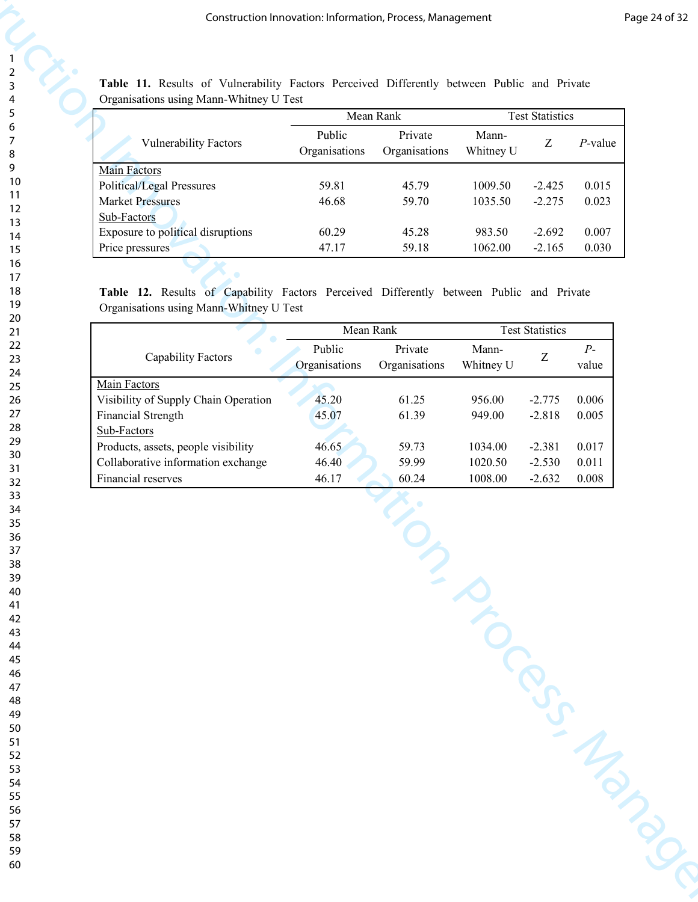|                                   |                         | Mean Rank                |                    | <b>Test Statistics</b> |            |
|-----------------------------------|-------------------------|--------------------------|--------------------|------------------------|------------|
| <b>Vulnerability Factors</b>      | Public<br>Organisations | Private<br>Organisations | Mann-<br>Whitney U | Z                      | $P$ -value |
| <b>Main Factors</b>               |                         |                          |                    |                        |            |
| Political/Legal Pressures         | 59.81                   | 45.79                    | 1009.50            | $-2.425$               | 0.015      |
| <b>Market Pressures</b>           | 46.68                   | 59.70                    | 1035.50            | $-2.275$               | 0.023      |
| Sub-Factors                       |                         |                          |                    |                        |            |
| Exposure to political disruptions | 60.29                   | 45.28                    | 983.50             | $-2.692$               | 0.007      |
| Price pressures                   | 47.17                   | 59.18                    | 1062.00            | $-2.165$               | 0.030      |

| Mean Rank<br><b>Test Statistics</b><br>Public<br>Private<br>Mann-<br>$Z_{\rm}$<br><b>Vulnerability Factors</b><br>$P$ -value<br>Organisations<br>Organisations<br>Whitney U<br><b>Main Factors</b><br>Political/Legal Pressures<br>1009.50<br>59.81<br>45.79<br>$-2.425$<br>0.015<br><b>Market Pressures</b><br>46.68<br>59.70<br>1035.50<br>$-2.275$<br>0.023<br>Sub-Factors<br>Exposure to political disruptions<br>60.29<br>45.28<br>983.50<br>$-2.692$<br>0.007<br>47.17<br>59.18<br>1062.00<br>$-2.165$<br>0.030<br>Price pressures<br>Table 12. Results of Capability Factors Perceived Differently between Public and Private<br>Organisations using Mann-Whitney U Test<br>Mean Rank<br><b>Test Statistics</b><br>Public<br>Private<br>$P-$<br>Mann-<br>$\ensuremath{\textnormal{Z}}$<br>Capability Factors<br>Organisations<br>Organisations<br>Whitney U<br>value<br>Main Factors<br>0.006<br>Visibility of Supply Chain Operation<br>45.20<br>61.25<br>956.00<br>$-2.775$<br>61.39<br>Financial Strength<br>$-2.818$<br>0.005<br>45.07<br>949.00<br>Sub-Factors<br>Products, assets, people visibility<br>$0.017\,$<br>1034.00<br>$-2.381$<br>46.65<br>59.73<br>Collaborative information exchange<br>46.40<br>59.99<br>$-2.530$<br>$0.011\,$<br>1020.50<br>Financial reserves<br>46.17<br>60.24<br>1008.00<br>$-2.632$<br>0.008 | MISCRIPTION OF | Table 11. Results of Vulnerability Factors Perceived Differently between Public and Private<br>Organisations using Mann-Whitney U Test |  |  |  |
|---------------------------------------------------------------------------------------------------------------------------------------------------------------------------------------------------------------------------------------------------------------------------------------------------------------------------------------------------------------------------------------------------------------------------------------------------------------------------------------------------------------------------------------------------------------------------------------------------------------------------------------------------------------------------------------------------------------------------------------------------------------------------------------------------------------------------------------------------------------------------------------------------------------------------------------------------------------------------------------------------------------------------------------------------------------------------------------------------------------------------------------------------------------------------------------------------------------------------------------------------------------------------------------------------------------------------------------------|----------------|----------------------------------------------------------------------------------------------------------------------------------------|--|--|--|
|                                                                                                                                                                                                                                                                                                                                                                                                                                                                                                                                                                                                                                                                                                                                                                                                                                                                                                                                                                                                                                                                                                                                                                                                                                                                                                                                             |                |                                                                                                                                        |  |  |  |
|                                                                                                                                                                                                                                                                                                                                                                                                                                                                                                                                                                                                                                                                                                                                                                                                                                                                                                                                                                                                                                                                                                                                                                                                                                                                                                                                             |                |                                                                                                                                        |  |  |  |
|                                                                                                                                                                                                                                                                                                                                                                                                                                                                                                                                                                                                                                                                                                                                                                                                                                                                                                                                                                                                                                                                                                                                                                                                                                                                                                                                             |                |                                                                                                                                        |  |  |  |
|                                                                                                                                                                                                                                                                                                                                                                                                                                                                                                                                                                                                                                                                                                                                                                                                                                                                                                                                                                                                                                                                                                                                                                                                                                                                                                                                             |                |                                                                                                                                        |  |  |  |
|                                                                                                                                                                                                                                                                                                                                                                                                                                                                                                                                                                                                                                                                                                                                                                                                                                                                                                                                                                                                                                                                                                                                                                                                                                                                                                                                             |                |                                                                                                                                        |  |  |  |
|                                                                                                                                                                                                                                                                                                                                                                                                                                                                                                                                                                                                                                                                                                                                                                                                                                                                                                                                                                                                                                                                                                                                                                                                                                                                                                                                             |                |                                                                                                                                        |  |  |  |
|                                                                                                                                                                                                                                                                                                                                                                                                                                                                                                                                                                                                                                                                                                                                                                                                                                                                                                                                                                                                                                                                                                                                                                                                                                                                                                                                             |                |                                                                                                                                        |  |  |  |
|                                                                                                                                                                                                                                                                                                                                                                                                                                                                                                                                                                                                                                                                                                                                                                                                                                                                                                                                                                                                                                                                                                                                                                                                                                                                                                                                             |                |                                                                                                                                        |  |  |  |
|                                                                                                                                                                                                                                                                                                                                                                                                                                                                                                                                                                                                                                                                                                                                                                                                                                                                                                                                                                                                                                                                                                                                                                                                                                                                                                                                             |                |                                                                                                                                        |  |  |  |
|                                                                                                                                                                                                                                                                                                                                                                                                                                                                                                                                                                                                                                                                                                                                                                                                                                                                                                                                                                                                                                                                                                                                                                                                                                                                                                                                             |                |                                                                                                                                        |  |  |  |
|                                                                                                                                                                                                                                                                                                                                                                                                                                                                                                                                                                                                                                                                                                                                                                                                                                                                                                                                                                                                                                                                                                                                                                                                                                                                                                                                             |                |                                                                                                                                        |  |  |  |
|                                                                                                                                                                                                                                                                                                                                                                                                                                                                                                                                                                                                                                                                                                                                                                                                                                                                                                                                                                                                                                                                                                                                                                                                                                                                                                                                             |                |                                                                                                                                        |  |  |  |
|                                                                                                                                                                                                                                                                                                                                                                                                                                                                                                                                                                                                                                                                                                                                                                                                                                                                                                                                                                                                                                                                                                                                                                                                                                                                                                                                             |                |                                                                                                                                        |  |  |  |
|                                                                                                                                                                                                                                                                                                                                                                                                                                                                                                                                                                                                                                                                                                                                                                                                                                                                                                                                                                                                                                                                                                                                                                                                                                                                                                                                             |                |                                                                                                                                        |  |  |  |
|                                                                                                                                                                                                                                                                                                                                                                                                                                                                                                                                                                                                                                                                                                                                                                                                                                                                                                                                                                                                                                                                                                                                                                                                                                                                                                                                             |                |                                                                                                                                        |  |  |  |
|                                                                                                                                                                                                                                                                                                                                                                                                                                                                                                                                                                                                                                                                                                                                                                                                                                                                                                                                                                                                                                                                                                                                                                                                                                                                                                                                             |                |                                                                                                                                        |  |  |  |
|                                                                                                                                                                                                                                                                                                                                                                                                                                                                                                                                                                                                                                                                                                                                                                                                                                                                                                                                                                                                                                                                                                                                                                                                                                                                                                                                             |                |                                                                                                                                        |  |  |  |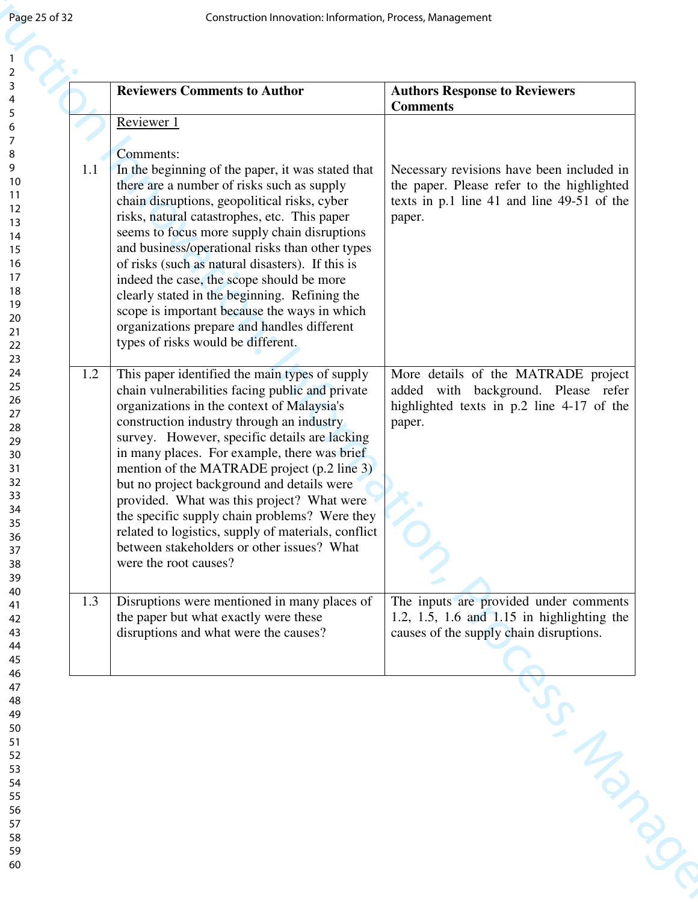| 1.1 | Reviewer 1<br>Comments:<br>In the beginning of the paper, it was stated that                                                                                                                                                                                                                                                                                                                                                                                                                                                                                                                                            |                                                                                                                                                 |
|-----|-------------------------------------------------------------------------------------------------------------------------------------------------------------------------------------------------------------------------------------------------------------------------------------------------------------------------------------------------------------------------------------------------------------------------------------------------------------------------------------------------------------------------------------------------------------------------------------------------------------------------|-------------------------------------------------------------------------------------------------------------------------------------------------|
|     |                                                                                                                                                                                                                                                                                                                                                                                                                                                                                                                                                                                                                         |                                                                                                                                                 |
|     | there are a number of risks such as supply<br>chain disruptions, geopolitical risks, cyber<br>risks, natural catastrophes, etc. This paper<br>seems to focus more supply chain disruptions<br>and business/operational risks than other types<br>of risks (such as natural disasters). If this is<br>indeed the case, the scope should be more<br>clearly stated in the beginning. Refining the<br>scope is important because the ways in which<br>organizations prepare and handles different<br>types of risks would be different.                                                                                    | Necessary revisions have been included in<br>the paper. Please refer to the highlighted<br>texts in p.1 line 41 and line 49-51 of the<br>paper. |
| 1.2 | This paper identified the main types of supply<br>chain vulnerabilities facing public and private<br>organizations in the context of Malaysia's<br>construction industry through an industry<br>survey. However, specific details are lacking<br>in many places. For example, there was brief<br>mention of the MATRADE project (p.2 line 3)<br>but no project background and details were<br>provided. What was this project? What were<br>the specific supply chain problems? Were they<br>related to logistics, supply of materials, conflict<br>between stakeholders or other issues? What<br>were the root causes? | More details of the MATRADE project<br>added with background. Please refer<br>highlighted texts in p.2 line 4-17 of the<br>paper.               |
| 1.3 | Disruptions were mentioned in many places of<br>the paper but what exactly were these<br>disruptions and what were the causes?                                                                                                                                                                                                                                                                                                                                                                                                                                                                                          | The inputs are provided under comments<br>1.2, 1.5, 1.6 and $1.15$ in highlighting the<br>causes of the supply chain disruptions.               |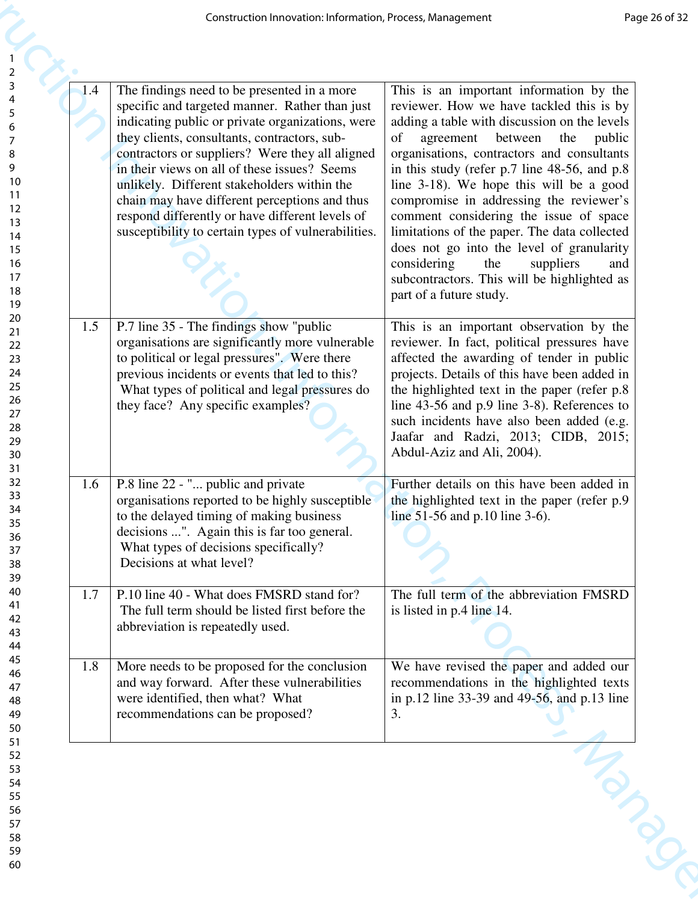| The findings need to be presented in a more<br>1.4<br>specific and targeted manner. Rather than just<br>indicating public or private organizations, were<br>they clients, consultants, contractors, sub-<br>of<br>contractors or suppliers? Were they all aligned<br>in their views on all of these issues? Seems<br>unlikely. Different stakeholders within the<br>chain may have different perceptions and thus<br>respond differently or have different levels of<br>susceptibility to certain types of vulnerabilities.<br>considering<br>the<br>suppliers<br>part of a future study.<br>P.7 line 35 - The findings show "public"<br>1.5<br>organisations are significantly more vulnerable<br>to political or legal pressures". Were there<br>previous incidents or events that led to this?<br>What types of political and legal pressures do<br>they face? Any specific examples?<br>Abdul-Aziz and Ali, 2004).<br>P.8 line 22 - " public and private<br>1.6<br>organisations reported to be highly susceptible<br>to the delayed timing of making business<br>line $51-56$ and p.10 line 3-6).<br>decisions ". Again this is far too general.<br>What types of decisions specifically?<br>Decisions at what level?<br>P.10 line 40 - What does FMSRD stand for?<br>1.7<br>The full term should be listed first before the<br>is listed in p.4 line 14.<br>abbreviation is repeatedly used.<br>More needs to be proposed for the conclusion<br>1.8<br>and way forward. After these vulnerabilities | Construction Innovation: Information, Process, Management | Page 26 of 32                                                                                                                                                                                                                                                                                                                                                                                                                                                                                                                                         |
|-----------------------------------------------------------------------------------------------------------------------------------------------------------------------------------------------------------------------------------------------------------------------------------------------------------------------------------------------------------------------------------------------------------------------------------------------------------------------------------------------------------------------------------------------------------------------------------------------------------------------------------------------------------------------------------------------------------------------------------------------------------------------------------------------------------------------------------------------------------------------------------------------------------------------------------------------------------------------------------------------------------------------------------------------------------------------------------------------------------------------------------------------------------------------------------------------------------------------------------------------------------------------------------------------------------------------------------------------------------------------------------------------------------------------------------------------------------------------------------------------------------|-----------------------------------------------------------|-------------------------------------------------------------------------------------------------------------------------------------------------------------------------------------------------------------------------------------------------------------------------------------------------------------------------------------------------------------------------------------------------------------------------------------------------------------------------------------------------------------------------------------------------------|
|                                                                                                                                                                                                                                                                                                                                                                                                                                                                                                                                                                                                                                                                                                                                                                                                                                                                                                                                                                                                                                                                                                                                                                                                                                                                                                                                                                                                                                                                                                           |                                                           | This is an important information by the<br>reviewer. How we have tackled this is by<br>adding a table with discussion on the levels<br>agreement between the public<br>organisations, contractors and consultants<br>in this study (refer p.7 line 48-56, and p.8)<br>line 3-18). We hope this will be a good<br>compromise in addressing the reviewer's<br>comment considering the issue of space<br>limitations of the paper. The data collected<br>does not go into the level of granularity<br>and<br>subcontractors. This will be highlighted as |
|                                                                                                                                                                                                                                                                                                                                                                                                                                                                                                                                                                                                                                                                                                                                                                                                                                                                                                                                                                                                                                                                                                                                                                                                                                                                                                                                                                                                                                                                                                           |                                                           | This is an important observation by the<br>reviewer. In fact, political pressures have<br>affected the awarding of tender in public<br>projects. Details of this have been added in<br>the highlighted text in the paper (refer p.8)<br>line $43-56$ and p.9 line $3-8$ ). References to<br>such incidents have also been added (e.g.<br>Jaafar and Radzi, 2013; CIDB, 2015;                                                                                                                                                                          |
|                                                                                                                                                                                                                                                                                                                                                                                                                                                                                                                                                                                                                                                                                                                                                                                                                                                                                                                                                                                                                                                                                                                                                                                                                                                                                                                                                                                                                                                                                                           |                                                           | Further details on this have been added in<br>the highlighted text in the paper (refer p.9)                                                                                                                                                                                                                                                                                                                                                                                                                                                           |
|                                                                                                                                                                                                                                                                                                                                                                                                                                                                                                                                                                                                                                                                                                                                                                                                                                                                                                                                                                                                                                                                                                                                                                                                                                                                                                                                                                                                                                                                                                           |                                                           | The full term of the abbreviation FMSRD                                                                                                                                                                                                                                                                                                                                                                                                                                                                                                               |
| 3.<br>recommendations can be proposed?                                                                                                                                                                                                                                                                                                                                                                                                                                                                                                                                                                                                                                                                                                                                                                                                                                                                                                                                                                                                                                                                                                                                                                                                                                                                                                                                                                                                                                                                    | were identified, then what? What                          | We have revised the paper and added our<br>recommendations in the highlighted texts<br>in p.12 line 33-39 and 49-56, and p.13 line                                                                                                                                                                                                                                                                                                                                                                                                                    |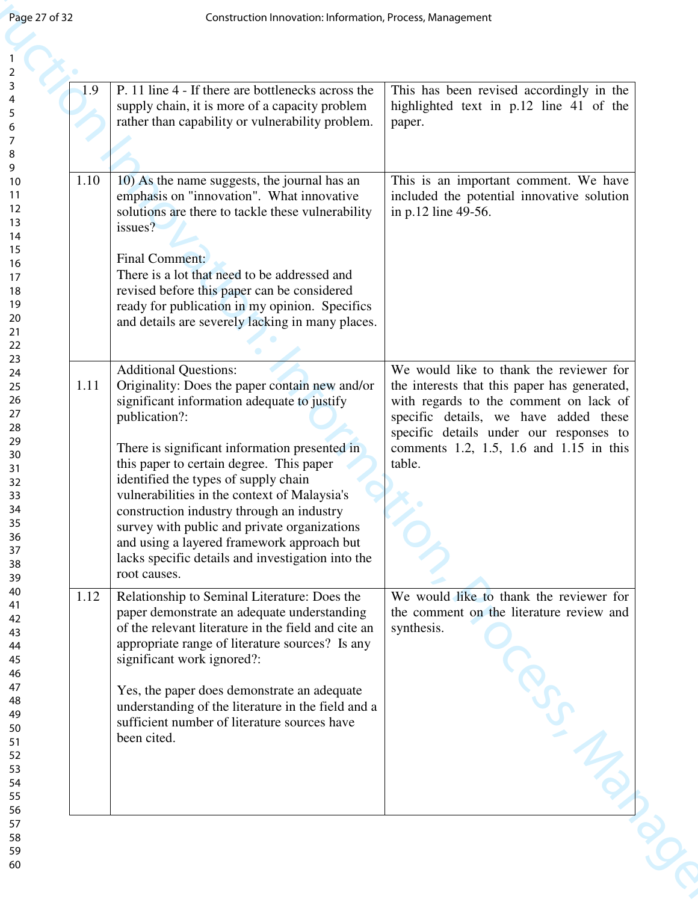| Page 27 of 32 | Construction Innovation: Information, Process, Management                                                                                                                                                                                                                                                                                                                                                                                                                                                                                           |                                                                                                                                                                                                                                                                            |
|---------------|-----------------------------------------------------------------------------------------------------------------------------------------------------------------------------------------------------------------------------------------------------------------------------------------------------------------------------------------------------------------------------------------------------------------------------------------------------------------------------------------------------------------------------------------------------|----------------------------------------------------------------------------------------------------------------------------------------------------------------------------------------------------------------------------------------------------------------------------|
| 1.9           | P. 11 line 4 - If there are bottlenecks across the<br>supply chain, it is more of a capacity problem<br>rather than capability or vulnerability problem.                                                                                                                                                                                                                                                                                                                                                                                            | This has been revised accordingly in the<br>highlighted text in p.12 line 41 of the<br>paper.                                                                                                                                                                              |
| 1.10          | 10) As the name suggests, the journal has an<br>emphasis on "innovation". What innovative<br>solutions are there to tackle these vulnerability<br>issues?<br>Final Comment:<br>There is a lot that need to be addressed and<br>revised before this paper can be considered<br>ready for publication in my opinion. Specifics<br>and details are severely lacking in many places.                                                                                                                                                                    | This is an important comment. We have<br>included the potential innovative solution<br>in p.12 line 49-56.                                                                                                                                                                 |
| 1.11          | <b>Additional Questions:</b><br>Originality: Does the paper contain new and/or<br>significant information adequate to justify<br>publication?:<br>There is significant information presented in<br>this paper to certain degree. This paper<br>identified the types of supply chain<br>vulnerabilities in the context of Malaysia's<br>construction industry through an industry<br>survey with public and private organizations<br>and using a layered framework approach but<br>lacks specific details and investigation into the<br>root causes. | We would like to thank the reviewer for<br>the interests that this paper has generated,<br>with regards to the comment on lack of<br>specific details, we have added these<br>specific details under our responses to<br>comments 1.2, 1.5, 1.6 and 1.15 in this<br>table. |
| 1.12          | Relationship to Seminal Literature: Does the<br>paper demonstrate an adequate understanding<br>of the relevant literature in the field and cite an<br>appropriate range of literature sources? Is any<br>significant work ignored?:<br>Yes, the paper does demonstrate an adequate<br>understanding of the literature in the field and a<br>sufficient number of literature sources have<br>been cited.                                                                                                                                             | We would like to thank the reviewer for<br>the comment on the literature review and<br>synthesis.                                                                                                                                                                          |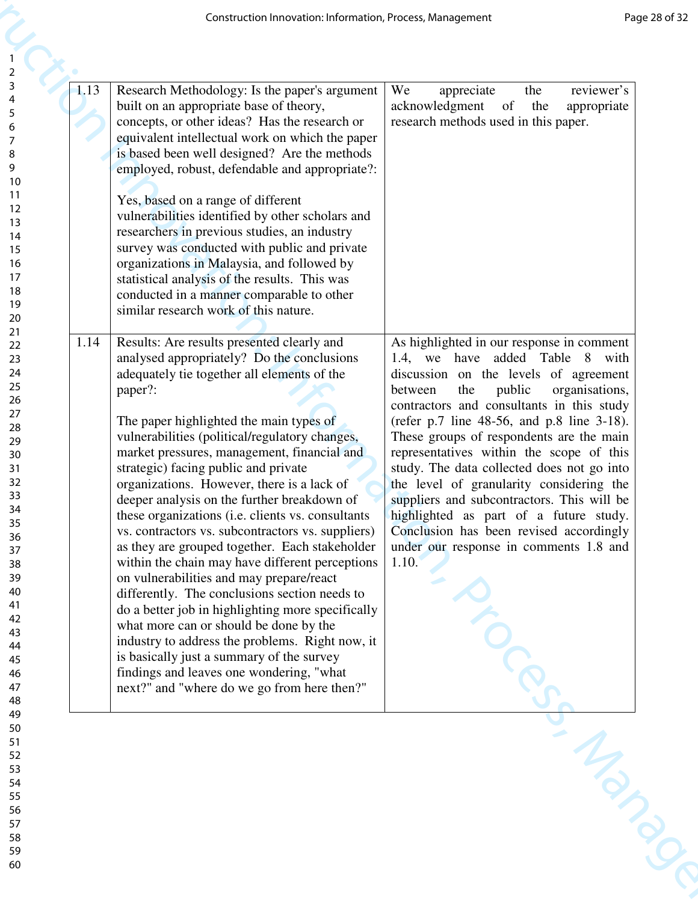| 1.13<br>Research Methodology: Is the paper's argument<br>We<br>reviewer's<br>appreciate<br>the<br>built on an appropriate base of theory,<br>acknowledgment<br><sub>of</sub><br>the<br>appropriate<br>concepts, or other ideas? Has the research or<br>research methods used in this paper.<br>equivalent intellectual work on which the paper<br>is based been well designed? Are the methods<br>employed, robust, defendable and appropriate?:<br>Yes, based on a range of different<br>vulnerabilities identified by other scholars and<br>researchers in previous studies, an industry<br>survey was conducted with public and private<br>organizations in Malaysia, and followed by<br>statistical analysis of the results. This was<br>conducted in a manner comparable to other<br>similar research work of this nature.<br>Results: Are results presented clearly and<br>As highlighted in our response in comment<br>1.14<br>analysed appropriately? Do the conclusions<br>have added Table 8 with<br>1.4, we<br>adequately tie together all elements of the<br>discussion on the levels of agreement<br>paper?:<br>public<br>organisations,<br>between<br>the<br>contractors and consultants in this study<br>The paper highlighted the main types of<br>(refer p.7 line 48-56, and p.8 line 3-18).<br>vulnerabilities (political/regulatory changes,<br>These groups of respondents are the main<br>market pressures, management, financial and<br>representatives within the scope of this<br>study. The data collected does not go into<br>strategic) facing public and private<br>organizations. However, there is a lack of<br>the level of granularity considering the<br>suppliers and subcontractors. This will be<br>deeper analysis on the further breakdown of<br>these organizations (i.e. clients vs. consultants<br>highlighted as part of a future study.<br>Conclusion has been revised accordingly<br>vs. contractors vs. subcontractors vs. suppliers)<br>as they are grouped together. Each stakeholder<br>under our response in comments 1.8 and<br>within the chain may have different perceptions<br>1.10.<br>on vulnerabilities and may prepare/react<br>differently. The conclusions section needs to<br>do a better job in highlighting more specifically<br>what more can or should be done by the<br>industry to address the problems. Right now, it<br>is basically just a summary of the survey<br>findings and leaves one wondering, "what |                                                                                                                                                                                  | Construction Innovation: Information, Process, Management | Page 28 of 32 |
|------------------------------------------------------------------------------------------------------------------------------------------------------------------------------------------------------------------------------------------------------------------------------------------------------------------------------------------------------------------------------------------------------------------------------------------------------------------------------------------------------------------------------------------------------------------------------------------------------------------------------------------------------------------------------------------------------------------------------------------------------------------------------------------------------------------------------------------------------------------------------------------------------------------------------------------------------------------------------------------------------------------------------------------------------------------------------------------------------------------------------------------------------------------------------------------------------------------------------------------------------------------------------------------------------------------------------------------------------------------------------------------------------------------------------------------------------------------------------------------------------------------------------------------------------------------------------------------------------------------------------------------------------------------------------------------------------------------------------------------------------------------------------------------------------------------------------------------------------------------------------------------------------------------------------------------------------------------------------------------------------------------------------------------------------------------------------------------------------------------------------------------------------------------------------------------------------------------------------------------------------------------------------------------------------------------------------------------------------------------------------------------------------------------------------------------------------------------------------------|----------------------------------------------------------------------------------------------------------------------------------------------------------------------------------|-----------------------------------------------------------|---------------|
|                                                                                                                                                                                                                                                                                                                                                                                                                                                                                                                                                                                                                                                                                                                                                                                                                                                                                                                                                                                                                                                                                                                                                                                                                                                                                                                                                                                                                                                                                                                                                                                                                                                                                                                                                                                                                                                                                                                                                                                                                                                                                                                                                                                                                                                                                                                                                                                                                                                                                    | $\overline{2}$<br>3<br>5<br>6<br>7<br>8<br>9<br>10<br>11<br>12<br>13<br>14<br>15<br>16<br>17<br>18                                                                               |                                                           |               |
| next?" and "where do we go from here then?"                                                                                                                                                                                                                                                                                                                                                                                                                                                                                                                                                                                                                                                                                                                                                                                                                                                                                                                                                                                                                                                                                                                                                                                                                                                                                                                                                                                                                                                                                                                                                                                                                                                                                                                                                                                                                                                                                                                                                                                                                                                                                                                                                                                                                                                                                                                                                                                                                                        | 19<br>20<br>21<br>22<br>23<br>24<br>25<br>26<br>27<br>28<br>29<br>30<br>31<br>32<br>33<br>34<br>35<br>36<br>37<br>38<br>39<br>40<br>41<br>42<br>43<br>44<br>45<br>46<br>47<br>48 |                                                           |               |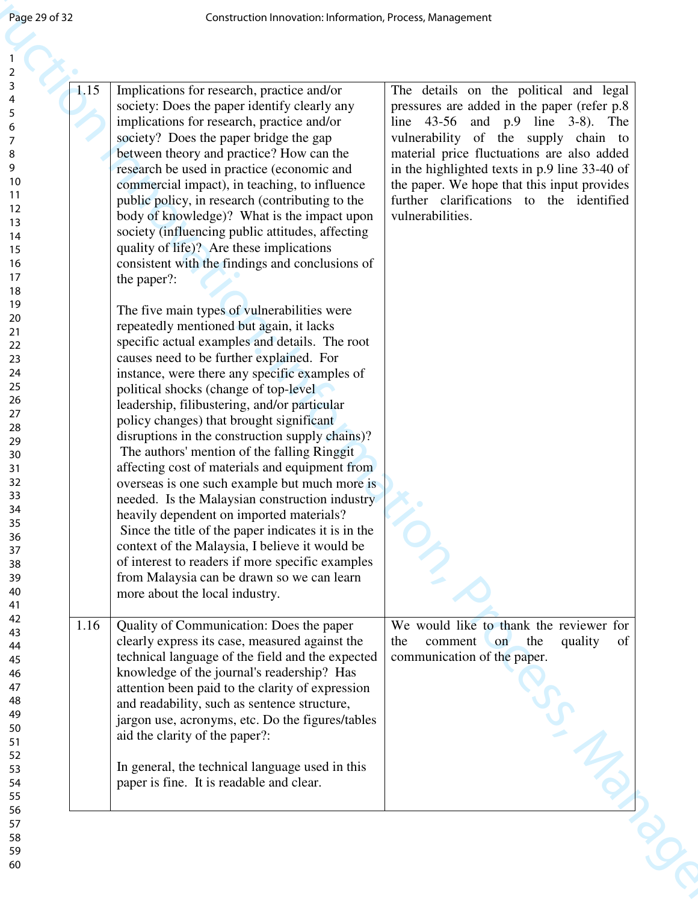| Page 29 of 32                                                                                                                                                                            | Construction Innovation: Information, Process, Management                                                                                                                                                                                                                                                                                                                                                                                                                                                                                                                                                                                                                                                                                                                                                                                                                                                                                                                                                                                                                                                                                                                                                                                                                                                                                                                                                                                                                                       |                                                                                                                                                                                                                                                                                                                                                                                          |
|------------------------------------------------------------------------------------------------------------------------------------------------------------------------------------------|-------------------------------------------------------------------------------------------------------------------------------------------------------------------------------------------------------------------------------------------------------------------------------------------------------------------------------------------------------------------------------------------------------------------------------------------------------------------------------------------------------------------------------------------------------------------------------------------------------------------------------------------------------------------------------------------------------------------------------------------------------------------------------------------------------------------------------------------------------------------------------------------------------------------------------------------------------------------------------------------------------------------------------------------------------------------------------------------------------------------------------------------------------------------------------------------------------------------------------------------------------------------------------------------------------------------------------------------------------------------------------------------------------------------------------------------------------------------------------------------------|------------------------------------------------------------------------------------------------------------------------------------------------------------------------------------------------------------------------------------------------------------------------------------------------------------------------------------------------------------------------------------------|
|                                                                                                                                                                                          |                                                                                                                                                                                                                                                                                                                                                                                                                                                                                                                                                                                                                                                                                                                                                                                                                                                                                                                                                                                                                                                                                                                                                                                                                                                                                                                                                                                                                                                                                                 |                                                                                                                                                                                                                                                                                                                                                                                          |
| 1.15<br>10<br>11<br>12<br>13<br>14<br>15<br>16<br>17<br>18<br>19<br>20<br>21<br>22<br>23<br>24<br>25<br>26<br>27<br>28<br>29<br>30<br>31<br>32<br>33<br>34<br>35<br>36<br>37<br>38<br>39 | Implications for research, practice and/or<br>society: Does the paper identify clearly any<br>implications for research, practice and/or<br>society? Does the paper bridge the gap<br>between theory and practice? How can the<br>research be used in practice (economic and<br>commercial impact), in teaching, to influence<br>public policy, in research (contributing to the<br>body of knowledge)? What is the impact upon<br>society (influencing public attitudes, affecting<br>quality of life)? Are these implications<br>consistent with the findings and conclusions of<br>the paper?:<br>The five main types of vulnerabilities were<br>repeatedly mentioned but again, it lacks<br>specific actual examples and details. The root<br>causes need to be further explained. For<br>instance, were there any specific examples of<br>political shocks (change of top-level)<br>leadership, filibustering, and/or particular<br>policy changes) that brought significant<br>disruptions in the construction supply chains)?<br>The authors' mention of the falling Ringgit<br>affecting cost of materials and equipment from<br>overseas is one such example but much more is<br>needed. Is the Malaysian construction industry<br>heavily dependent on imported materials?<br>Since the title of the paper indicates it is in the<br>context of the Malaysia, I believe it would be<br>of interest to readers if more specific examples<br>from Malaysia can be drawn so we can learn | The details on the political and legal<br>pressures are added in the paper (refer p.8)<br>line $43-56$ and $p.9$ line $3-8$ ). The<br>vulnerability of the supply chain to<br>material price fluctuations are also added<br>in the highlighted texts in p.9 line 33-40 of<br>the paper. We hope that this input provides<br>further clarifications to the identified<br>vulnerabilities. |
| 1.16                                                                                                                                                                                     | more about the local industry.<br>Quality of Communication: Does the paper<br>clearly express its case, measured against the<br>technical language of the field and the expected<br>knowledge of the journal's readership? Has<br>attention been paid to the clarity of expression<br>and readability, such as sentence structure,<br>jargon use, acronyms, etc. Do the figures/tables<br>aid the clarity of the paper?:<br>In general, the technical language used in this<br>paper is fine. It is readable and clear.                                                                                                                                                                                                                                                                                                                                                                                                                                                                                                                                                                                                                                                                                                                                                                                                                                                                                                                                                                         | We would like to thank the reviewer for<br>comment<br>on<br>the<br>quality<br>of<br>the<br>communication of the paper.                                                                                                                                                                                                                                                                   |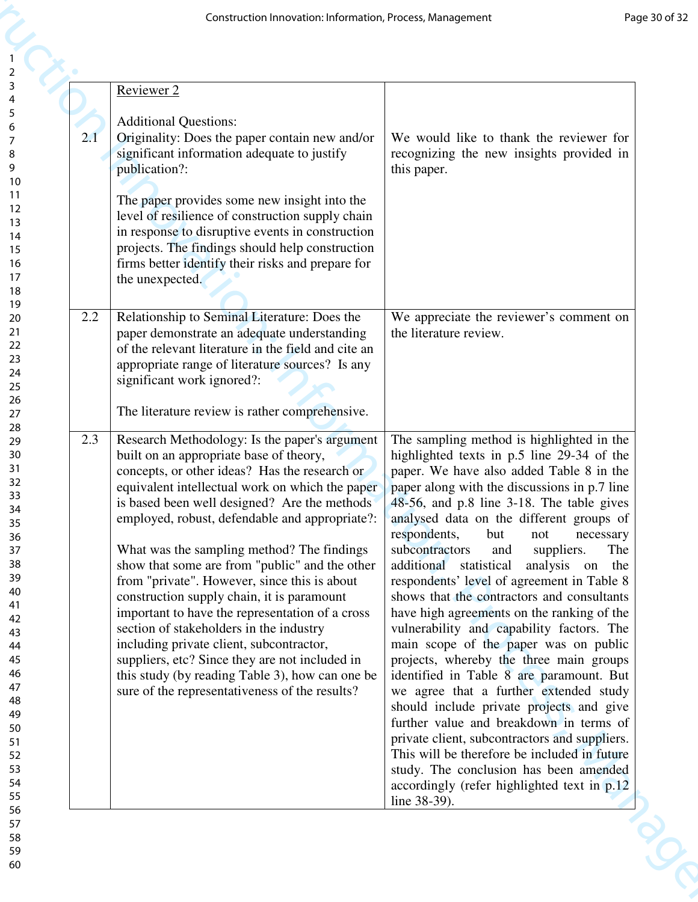|     | Construction Innovation: Information, Process, Management                                                                                                                                                                                                                                                                                                                                                                                                                                                                                                                                                                                                                                                                                                                                     | Page 30 of 32                                                                                                                                                                                                                                                                                                                                                                                                                                                                                                                                                                                                                                                                                                                                                                                                                                                                                                                                                                                                                                                                         |
|-----|-----------------------------------------------------------------------------------------------------------------------------------------------------------------------------------------------------------------------------------------------------------------------------------------------------------------------------------------------------------------------------------------------------------------------------------------------------------------------------------------------------------------------------------------------------------------------------------------------------------------------------------------------------------------------------------------------------------------------------------------------------------------------------------------------|---------------------------------------------------------------------------------------------------------------------------------------------------------------------------------------------------------------------------------------------------------------------------------------------------------------------------------------------------------------------------------------------------------------------------------------------------------------------------------------------------------------------------------------------------------------------------------------------------------------------------------------------------------------------------------------------------------------------------------------------------------------------------------------------------------------------------------------------------------------------------------------------------------------------------------------------------------------------------------------------------------------------------------------------------------------------------------------|
| 2.1 | Reviewer 2<br><b>Additional Questions:</b><br>Originality: Does the paper contain new and/or<br>significant information adequate to justify<br>publication?:<br>The paper provides some new insight into the<br>level of resilience of construction supply chain<br>in response to disruptive events in construction<br>projects. The findings should help construction<br>firms better identify their risks and prepare for<br>the unexpected.                                                                                                                                                                                                                                                                                                                                               | We would like to thank the reviewer for<br>recognizing the new insights provided in<br>this paper.                                                                                                                                                                                                                                                                                                                                                                                                                                                                                                                                                                                                                                                                                                                                                                                                                                                                                                                                                                                    |
| 2.2 | Relationship to Seminal Literature: Does the<br>paper demonstrate an adequate understanding<br>of the relevant literature in the field and cite an<br>appropriate range of literature sources? Is any<br>significant work ignored?:<br>The literature review is rather comprehensive.                                                                                                                                                                                                                                                                                                                                                                                                                                                                                                         | We appreciate the reviewer's comment on<br>the literature review.                                                                                                                                                                                                                                                                                                                                                                                                                                                                                                                                                                                                                                                                                                                                                                                                                                                                                                                                                                                                                     |
| 2.3 | Research Methodology: Is the paper's argument<br>built on an appropriate base of theory,<br>concepts, or other ideas? Has the research or<br>equivalent intellectual work on which the paper<br>is based been well designed? Are the methods<br>employed, robust, defendable and appropriate?:<br>What was the sampling method? The findings<br>show that some are from "public" and the other<br>from "private". However, since this is about<br>construction supply chain, it is paramount<br>important to have the representation of a cross<br>section of stakeholders in the industry<br>including private client, subcontractor,<br>suppliers, etc? Since they are not included in<br>this study (by reading Table 3), how can one be<br>sure of the representativeness of the results? | The sampling method is highlighted in the<br>highlighted texts in p.5 line 29-34 of the<br>paper. We have also added Table 8 in the<br>paper along with the discussions in p.7 line<br>48-56, and p.8 line 3-18. The table gives<br>analysed data on the different groups of<br>respondents,<br>but<br>not<br>necessary<br>suppliers.<br>subcontractors<br>The<br>and<br>additional statistical<br>analysis on the<br>respondents' level of agreement in Table 8<br>shows that the contractors and consultants<br>have high agreements on the ranking of the<br>vulnerability and capability factors. The<br>main scope of the paper was on public<br>projects, whereby the three main groups<br>identified in Table 8 are paramount. But<br>we agree that a further extended study<br>should include private projects and give<br>further value and breakdown in terms of<br>private client, subcontractors and suppliers.<br>This will be therefore be included in future<br>study. The conclusion has been amended<br>accordingly (refer highlighted text in p.12)<br>line 38-39). |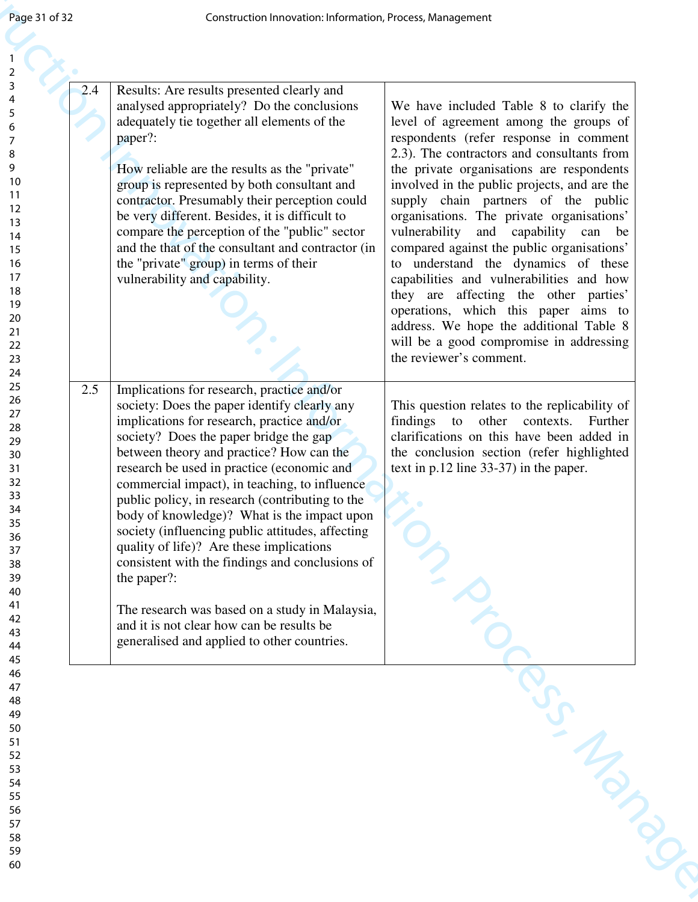| Page 31 of 32                                                                                                                           | Construction Innovation: Information, Process, Management                                                                                                                                                                                                                                                                                                                                                                                                                                                                                                                                                                                                                                                                                       |                                                                                                                                                                                                                                                                                                                                                                                                                                                                                                                                                                                                                                                                                                                                      |
|-----------------------------------------------------------------------------------------------------------------------------------------|-------------------------------------------------------------------------------------------------------------------------------------------------------------------------------------------------------------------------------------------------------------------------------------------------------------------------------------------------------------------------------------------------------------------------------------------------------------------------------------------------------------------------------------------------------------------------------------------------------------------------------------------------------------------------------------------------------------------------------------------------|--------------------------------------------------------------------------------------------------------------------------------------------------------------------------------------------------------------------------------------------------------------------------------------------------------------------------------------------------------------------------------------------------------------------------------------------------------------------------------------------------------------------------------------------------------------------------------------------------------------------------------------------------------------------------------------------------------------------------------------|
| $\overline{2}$<br>3<br>2.4<br>5<br>6<br>7<br>8<br>9<br>10<br>11<br>12<br>13<br>14<br>15<br>16<br>17<br>18<br>19<br>20<br>21<br>22<br>23 | Results: Are results presented clearly and<br>analysed appropriately? Do the conclusions<br>adequately tie together all elements of the<br>paper?:<br>How reliable are the results as the "private"<br>group is represented by both consultant and<br>contractor. Presumably their perception could<br>be very different. Besides, it is difficult to<br>compare the perception of the "public" sector<br>and the that of the consultant and contractor (in<br>the "private" group) in terms of their<br>vulnerability and capability.                                                                                                                                                                                                          | We have included Table 8 to clarify the<br>level of agreement among the groups of<br>respondents (refer response in comment<br>2.3). The contractors and consultants from<br>the private organisations are respondents<br>involved in the public projects, and are the<br>supply chain partners of the public<br>organisations. The private organisations'<br>vulnerability and capability can be<br>compared against the public organisations'<br>to understand the dynamics of these<br>capabilities and vulnerabilities and how<br>they are affecting the other parties'<br>operations, which this paper aims to<br>address. We hope the additional Table 8<br>will be a good compromise in addressing<br>the reviewer's comment. |
| 24<br>25<br>2.5<br>26<br>27<br>28<br>29<br>30<br>31<br>32<br>33<br>34<br>35<br>36<br>37<br>38<br>39<br>40<br>41<br>42<br>43<br>44<br>45 | Implications for research, practice and/or<br>society: Does the paper identify clearly any<br>implications for research, practice and/or<br>society? Does the paper bridge the gap<br>between theory and practice? How can the<br>research be used in practice (economic and<br>commercial impact), in teaching, to influence<br>public policy, in research (contributing to the<br>body of knowledge)? What is the impact upon<br>society (influencing public attitudes, affecting<br>quality of life)? Are these implications<br>consistent with the findings and conclusions of<br>the paper?:<br>The research was based on a study in Malaysia,<br>and it is not clear how can be results be<br>generalised and applied to other countries. | This question relates to the replicability of<br>findings<br>to<br>other contexts.<br>Further<br>clarifications on this have been added in<br>the conclusion section (refer highlighted<br>text in $p.12$ line 33-37) in the paper.                                                                                                                                                                                                                                                                                                                                                                                                                                                                                                  |
|                                                                                                                                         |                                                                                                                                                                                                                                                                                                                                                                                                                                                                                                                                                                                                                                                                                                                                                 | - Manus                                                                                                                                                                                                                                                                                                                                                                                                                                                                                                                                                                                                                                                                                                                              |